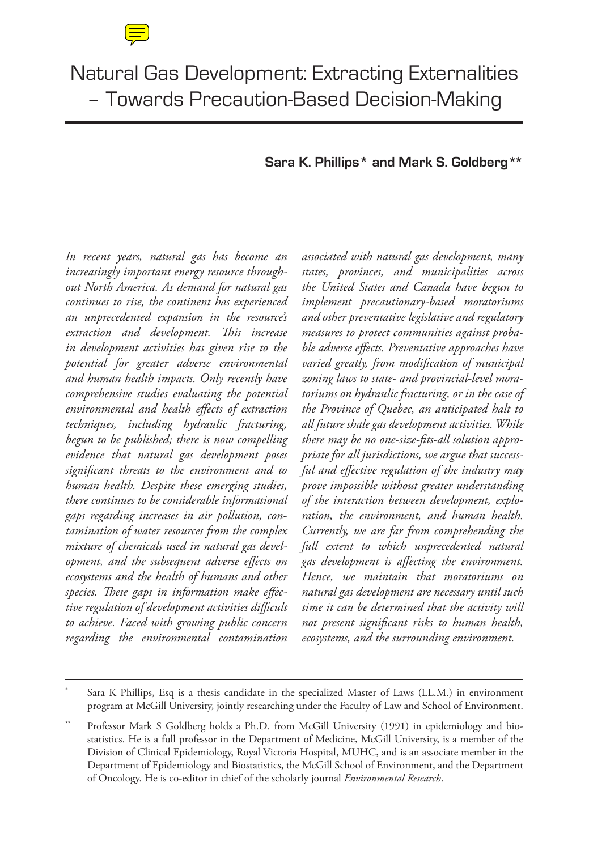# Natural Gas Development: Extracting Externalities – Towards Precaution-Based Decision-Making

# **Sara K. Phillips\* and Mark S. Goldberg\*\***

*In recent years, natural gas has become an increasingly important energy resource throughout North America. As demand for natural gas continues to rise, the continent has experienced an unprecedented expansion in the resource's extraction and development. This increase in development activities has given rise to the potential for greater adverse environmental and human health impacts. Only recently have comprehensive studies evaluating the potential environmental and health effects of extraction techniques, including hydraulic fracturing, begun to be published; there is now compelling evidence that natural gas development poses significant threats to the environment and to human health. Despite these emerging studies, there continues to be considerable informational gaps regarding increases in air pollution, contamination of water resources from the complex mixture of chemicals used in natural gas development, and the subsequent adverse effects on ecosystems and the health of humans and other species. These gaps in information make effective regulation of development activities difficult to achieve. Faced with growing public concern regarding the environmental contamination* 

*associated with natural gas development, many states, provinces, and municipalities across the United States and Canada have begun to implement precautionary-based moratoriums and other preventative legislative and regulatory measures to protect communities against probable adverse effects. Preventative approaches have varied greatly, from modification of municipal zoning laws to state- and provincial-level moratoriums on hydraulic fracturing, or in the case of the Province of Quebec, an anticipated halt to all future shale gas development activities. While there may be no one-size-fits-all solution appropriate for all jurisdictions, we argue that successful and effective regulation of the industry may prove impossible without greater understanding of the interaction between development, exploration, the environment, and human health. Currently, we are far from comprehending the full extent to which unprecedented natural gas development is affecting the environment. Hence, we maintain that moratoriums on natural gas development are necessary until such time it can be determined that the activity will not present significant risks to human health, ecosystems, and the surrounding environment.*

Sara K Phillips, Esq is a thesis candidate in the specialized Master of Laws (LL.M.) in environment program at McGill University, jointly researching under the Faculty of Law and School of Environment.

Professor Mark S Goldberg holds a Ph.D. from McGill University (1991) in epidemiology and biostatistics. He is a full professor in the Department of Medicine, McGill University, is a member of the Division of Clinical Epidemiology, Royal Victoria Hospital, MUHC, and is an associate member in the Department of Epidemiology and Biostatistics, the McGill School of Environment, and the Department of Oncology. He is co-editor in chief of the scholarly journal *Environmental Research*.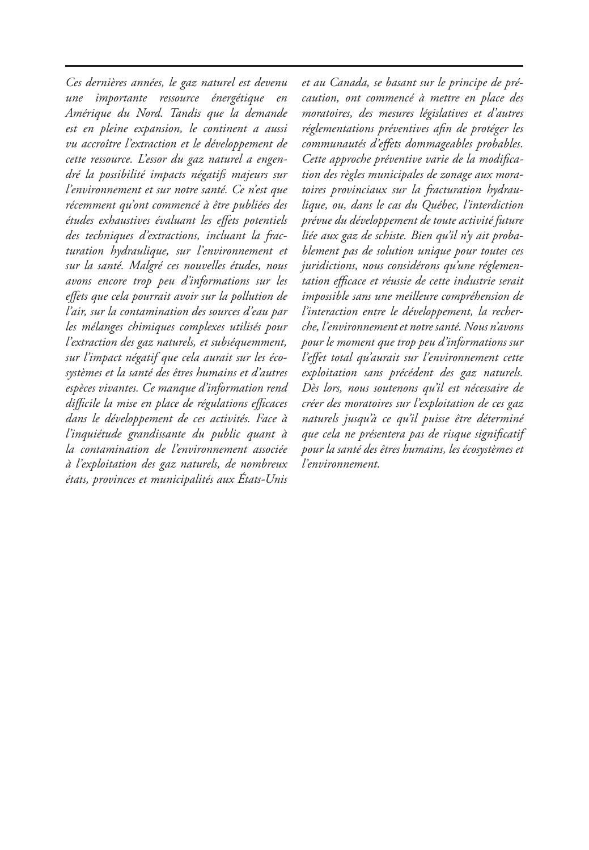*Ces dernières années, le gaz naturel est devenu une importante ressource énergétique en Amérique du Nord. Tandis que la demande est en pleine expansion, le continent a aussi vu accroître l'extraction et le développement de cette ressource. L'essor du gaz naturel a engendré la possibilité impacts négatifs majeurs sur l'environnement et sur notre santé. Ce n'est que récemment qu'ont commencé à être publiées des études exhaustives évaluant les effets potentiels des techniques d'extractions, incluant la fracturation hydraulique, sur l'environnement et sur la santé. Malgré ces nouvelles études, nous avons encore trop peu d'informations sur les effets que cela pourrait avoir sur la pollution de l'air, sur la contamination des sources d'eau par les mélanges chimiques complexes utilisés pour l'extraction des gaz naturels, et subséquemment, sur l'impact négatif que cela aurait sur les écosystèmes et la santé des êtres humains et d'autres espèces vivantes. Ce manque d'information rend difficile la mise en place de régulations efficaces dans le développement de ces activités. Face à l'inquiétude grandissante du public quant à la contamination de l'environnement associée à l'exploitation des gaz naturels, de nombreux états, provinces et municipalités aux États-Unis* 

*et au Canada, se basant sur le principe de précaution, ont commencé à mettre en place des moratoires, des mesures législatives et d'autres réglementations préventives afin de protéger les communautés d'effets dommageables probables. Cette approche préventive varie de la modification des règles municipales de zonage aux moratoires provinciaux sur la fracturation hydraulique, ou, dans le cas du Québec, l'interdiction prévue du développement de toute activité future liée aux gaz de schiste. Bien qu'il n'y ait probablement pas de solution unique pour toutes ces juridictions, nous considérons qu'une réglementation efficace et réussie de cette industrie serait impossible sans une meilleure compréhension de l'interaction entre le développement, la recherche, l'environnement et notre santé. Nous n'avons pour le moment que trop peu d'informations sur l'effet total qu'aurait sur l'environnement cette exploitation sans précédent des gaz naturels. Dès lors, nous soutenons qu'il est nécessaire de créer des moratoires sur l'exploitation de ces gaz naturels jusqu'à ce qu'il puisse être déterminé que cela ne présentera pas de risque significatif pour la santé des êtres humains, les écosystèmes et l'environnement.*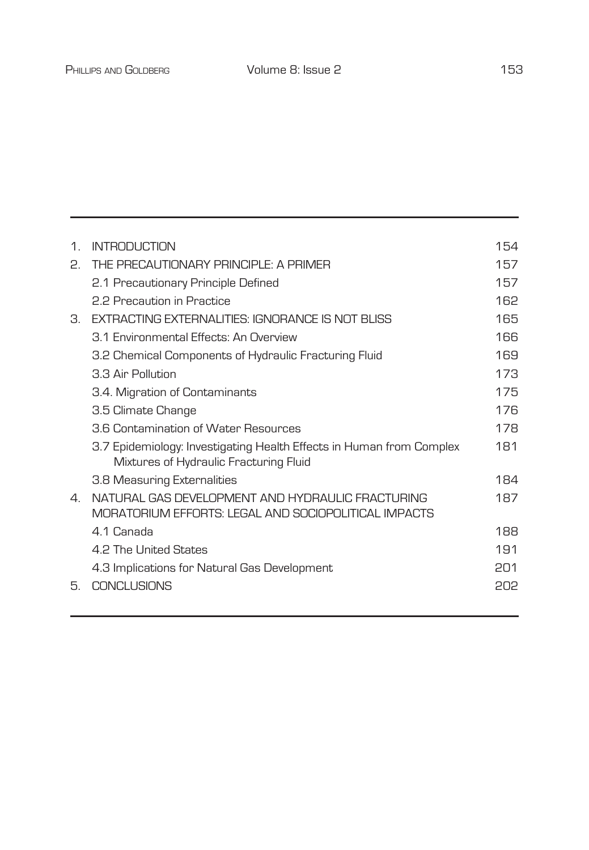| $\mathbf{1}$ .        | INTRODUCTION                                                                                                   | 154 |
|-----------------------|----------------------------------------------------------------------------------------------------------------|-----|
| 2.                    | THE PRECALITIONARY PRINCIPLE: A PRIMER                                                                         | 157 |
|                       | 2.1 Precautionary Principle Defined                                                                            | 157 |
|                       | 2.2 Precaution in Practice                                                                                     | 162 |
| 3.                    | FXTRACTING FXTFRNAI ITIFS: IGNORANCE IS NOT BLISS                                                              | 165 |
|                       | 3.1 Environmental Effects: An Overview                                                                         | 166 |
|                       | 3.2 Chemical Components of Hydraulic Fracturing Fluid                                                          | 169 |
|                       | 3.3 Air Pollution                                                                                              | 173 |
|                       | 3.4. Migration of Contaminants                                                                                 | 175 |
|                       | 3.5 Climate Change                                                                                             | 176 |
|                       | 3.6 Contamination of Water Resources                                                                           | 178 |
|                       | 3.7 Epidemiology: Investigating Health Effects in Human from Complex<br>Mixtures of Hydraulic Fracturing Fluid | 181 |
|                       | 3.8 Measuring Externalities                                                                                    | 184 |
| $\mathcal{A}_{\cdot}$ | NATURAL GAS DEVELOPMENT AND HYDRAULIC FRACTURING<br>MORATORIUM FFEORTS: I FGAL AND SOCIOPOLITICAL IMPACTS      | 187 |
|                       | 4.1 Canada                                                                                                     | 188 |
|                       | 4.2 The United States                                                                                          | 191 |
|                       | 4.3 Implications for Natural Gas Development                                                                   | 201 |
| 5.                    | CONCLUSIONS                                                                                                    | 505 |
|                       |                                                                                                                |     |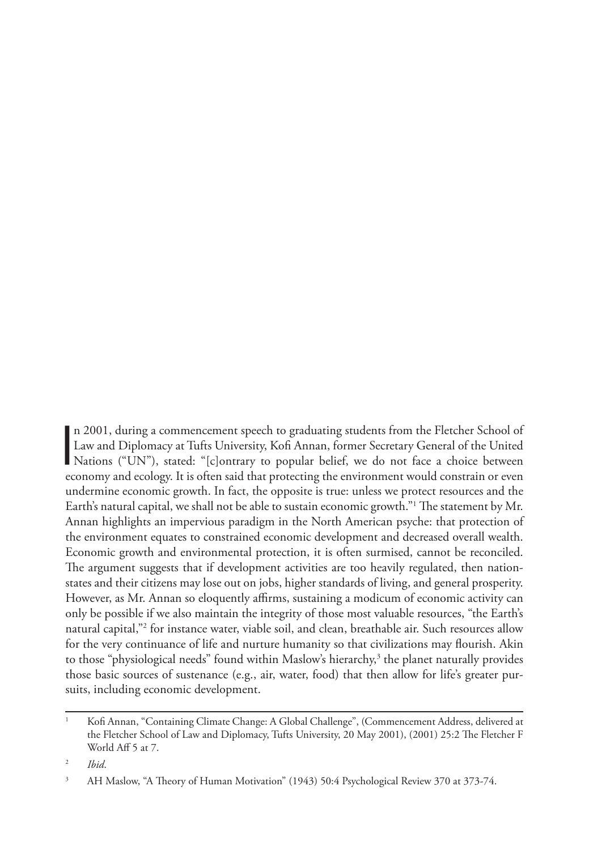n 2001, during a commencement speech to graduating students from the Fletcher School of<br>Law and Diplomacy at Tufts University, Kofi Annan, former Secretary General of the United<br>Nations ("UN"), stated: "[c]ontrary to popul n 2001, during a commencement speech to graduating students from the Fletcher School of Law and Diplomacy at Tufts University, Kofi Annan, former Secretary General of the United economy and ecology. It is often said that protecting the environment would constrain or even undermine economic growth. In fact, the opposite is true: unless we protect resources and the Earth's natural capital, we shall not be able to sustain economic growth."1 The statement by Mr. Annan highlights an impervious paradigm in the North American psyche: that protection of the environment equates to constrained economic development and decreased overall wealth. Economic growth and environmental protection, it is often surmised, cannot be reconciled. The argument suggests that if development activities are too heavily regulated, then nationstates and their citizens may lose out on jobs, higher standards of living, and general prosperity. However, as Mr. Annan so eloquently affirms, sustaining a modicum of economic activity can only be possible if we also maintain the integrity of those most valuable resources, "the Earth's natural capital,"2 for instance water, viable soil, and clean, breathable air. Such resources allow for the very continuance of life and nurture humanity so that civilizations may flourish. Akin to those "physiological needs" found within Maslow's hierarchy,<sup>3</sup> the planet naturally provides those basic sources of sustenance (e.g., air, water, food) that then allow for life's greater pursuits, including economic development.

<sup>2</sup> *Ibid*.

<sup>1</sup> Kofi Annan, "Containing Climate Change: A Global Challenge", (Commencement Address, delivered at the Fletcher School of Law and Diplomacy, Tufts University, 20 May 2001), (2001) 25:2 The Fletcher F World Aff 5 at 7.

<sup>&</sup>lt;sup>3</sup> AH Maslow, "A Theory of Human Motivation" (1943) 50:4 Psychological Review 370 at 373-74.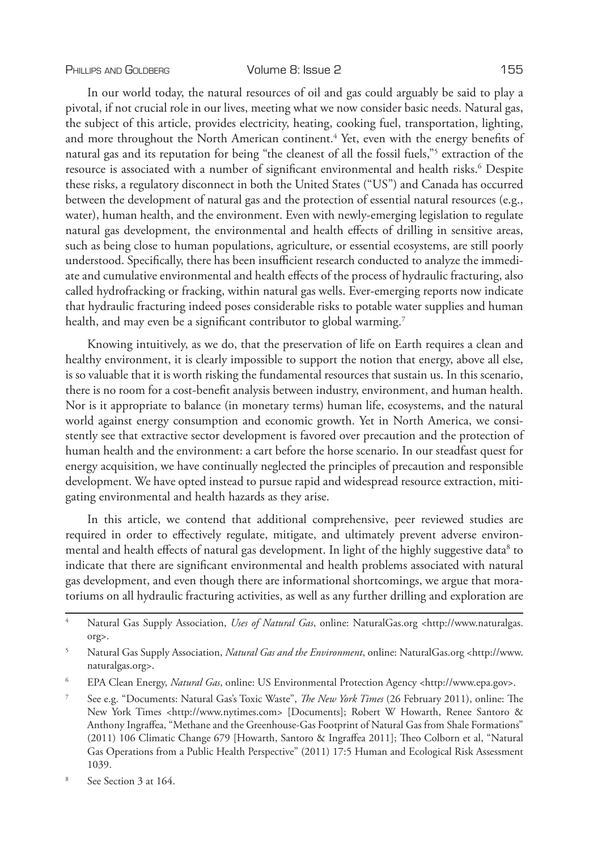In our world today, the natural resources of oil and gas could arguably be said to play a pivotal, if not crucial role in our lives, meeting what we now consider basic needs. Natural gas, the subject of this article, provides electricity, heating, cooking fuel, transportation, lighting, and more throughout the North American continent.<sup>4</sup> Yet, even with the energy benefits of natural gas and its reputation for being "the cleanest of all the fossil fuels,"5 extraction of the resource is associated with a number of significant environmental and health risks.<sup>6</sup> Despite these risks, a regulatory disconnect in both the United States ("US") and Canada has occurred between the development of natural gas and the protection of essential natural resources (e.g., water), human health, and the environment. Even with newly-emerging legislation to regulate natural gas development, the environmental and health effects of drilling in sensitive areas, such as being close to human populations, agriculture, or essential ecosystems, are still poorly understood. Specifically, there has been insufficient research conducted to analyze the immediate and cumulative environmental and health effects of the process of hydraulic fracturing, also called hydrofracking or fracking, within natural gas wells. Ever-emerging reports now indicate that hydraulic fracturing indeed poses considerable risks to potable water supplies and human health, and may even be a significant contributor to global warming.<sup>7</sup>

Knowing intuitively, as we do, that the preservation of life on Earth requires a clean and healthy environment, it is clearly impossible to support the notion that energy, above all else, is so valuable that it is worth risking the fundamental resources that sustain us. In this scenario, there is no room for a cost-benefit analysis between industry, environment, and human health. Nor is it appropriate to balance (in monetary terms) human life, ecosystems, and the natural world against energy consumption and economic growth. Yet in North America, we consistently see that extractive sector development is favored over precaution and the protection of human health and the environment: a cart before the horse scenario. In our steadfast quest for energy acquisition, we have continually neglected the principles of precaution and responsible development. We have opted instead to pursue rapid and widespread resource extraction, mitigating environmental and health hazards as they arise.

In this article, we contend that additional comprehensive, peer reviewed studies are required in order to effectively regulate, mitigate, and ultimately prevent adverse environmental and health effects of natural gas development. In light of the highly suggestive data<sup>8</sup> to indicate that there are significant environmental and health problems associated with natural gas development, and even though there are informational shortcomings, we argue that moratoriums on all hydraulic fracturing activities, as well as any further drilling and exploration are

<sup>4</sup> Natural Gas Supply Association, *Uses of Natural Gas*, online: NaturalGas.org <http://www.naturalgas. org>.

<sup>5</sup> Natural Gas Supply Association, *Natural Gas and the Environment*, online: NaturalGas.org <http://www. naturalgas.org>.

<sup>6</sup> EPA Clean Energy, *Natural Gas*, online: US Environmental Protection Agency <http://www.epa.gov>.

<sup>7</sup> See e.g. "Documents: Natural Gas's Toxic Waste", *The New York Times* (26 February 2011), online: The New York Times <http://www.nytimes.com> [Documents]; Robert W Howarth, Renee Santoro & Anthony Ingraffea, "Methane and the Greenhouse-Gas Footprint of Natural Gas from Shale Formations" (2011) 106 Climatic Change 679 [Howarth, Santoro & Ingraffea 2011]; Theo Colborn et al, "Natural Gas Operations from a Public Health Perspective" (2011) 17:5 Human and Ecological Risk Assessment 1039.

See Section 3 at 164.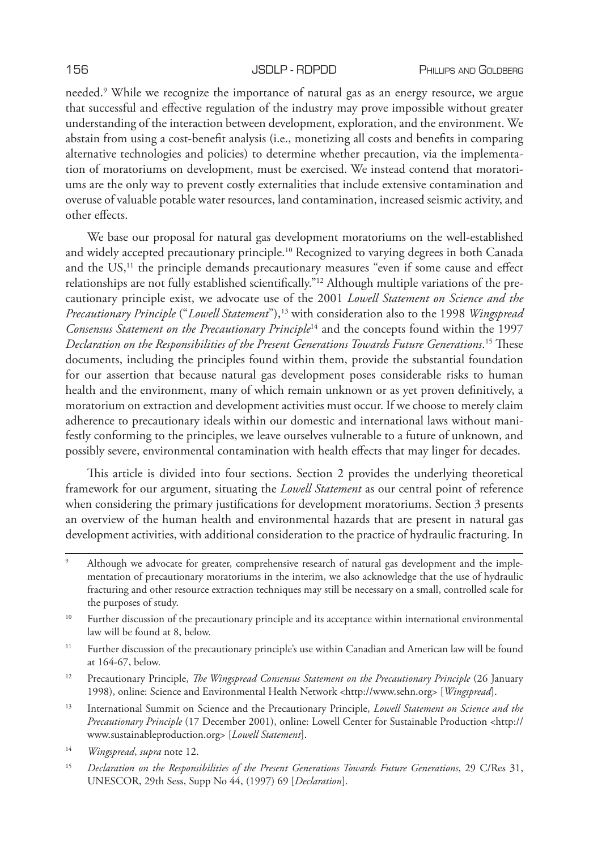needed.9 While we recognize the importance of natural gas as an energy resource, we argue that successful and effective regulation of the industry may prove impossible without greater understanding of the interaction between development, exploration, and the environment. We abstain from using a cost-benefit analysis (i.e., monetizing all costs and benefits in comparing alternative technologies and policies) to determine whether precaution, via the implementation of moratoriums on development, must be exercised. We instead contend that moratoriums are the only way to prevent costly externalities that include extensive contamination and overuse of valuable potable water resources, land contamination, increased seismic activity, and other effects.

We base our proposal for natural gas development moratoriums on the well-established and widely accepted precautionary principle.10 Recognized to varying degrees in both Canada and the  $US<sub>1</sub><sup>11</sup>$  the principle demands precautionary measures "even if some cause and effect relationships are not fully established scientifically."12 Although multiple variations of the precautionary principle exist, we advocate use of the 2001 *Lowell Statement on Science and the Precautionary Principle* ("Lowell Statement"),<sup>13</sup> with consideration also to the 1998 *Wingspread Consensus Statement on the Precautionary Principle*14 and the concepts found within the 1997 *Declaration on the Responsibilities of the Present Generations Towards Future Generations*. 15 These documents, including the principles found within them, provide the substantial foundation for our assertion that because natural gas development poses considerable risks to human health and the environment, many of which remain unknown or as yet proven definitively, a moratorium on extraction and development activities must occur. If we choose to merely claim adherence to precautionary ideals within our domestic and international laws without manifestly conforming to the principles, we leave ourselves vulnerable to a future of unknown, and possibly severe, environmental contamination with health effects that may linger for decades.

This article is divided into four sections. Section 2 provides the underlying theoretical framework for our argument, situating the *Lowell Statement* as our central point of reference when considering the primary justifications for development moratoriums. Section 3 presents an overview of the human health and environmental hazards that are present in natural gas development activities, with additional consideration to the practice of hydraulic fracturing. In

- <sup>11</sup> Further discussion of the precautionary principle's use within Canadian and American law will be found at 164-67, below.
- <sup>12</sup> Precautionary Principle, *The Wingspread Consensus Statement on the Precautionary Principle* (26 January 1998), online: Science and Environmental Health Network <http://www.sehn.org> [*Wingspread*].
- <sup>13</sup> International Summit on Science and the Precautionary Principle, *Lowell Statement on Science and the Precautionary Principle* (17 December 2001), online: Lowell Center for Sustainable Production <http:// www.sustainableproduction.org> [*Lowell Statement*].
- <sup>14</sup> *Wingspread*, *supra* note 12.
- <sup>15</sup> *Declaration on the Responsibilities of the Present Generations Towards Future Generations*, 29 C/Res 31, UNESCOR, 29th Sess, Supp No 44, (1997) 69 [*Declaration*].

Although we advocate for greater, comprehensive research of natural gas development and the implementation of precautionary moratoriums in the interim, we also acknowledge that the use of hydraulic fracturing and other resource extraction techniques may still be necessary on a small, controlled scale for the purposes of study.

<sup>&</sup>lt;sup>10</sup> Further discussion of the precautionary principle and its acceptance within international environmental law will be found at 8, below.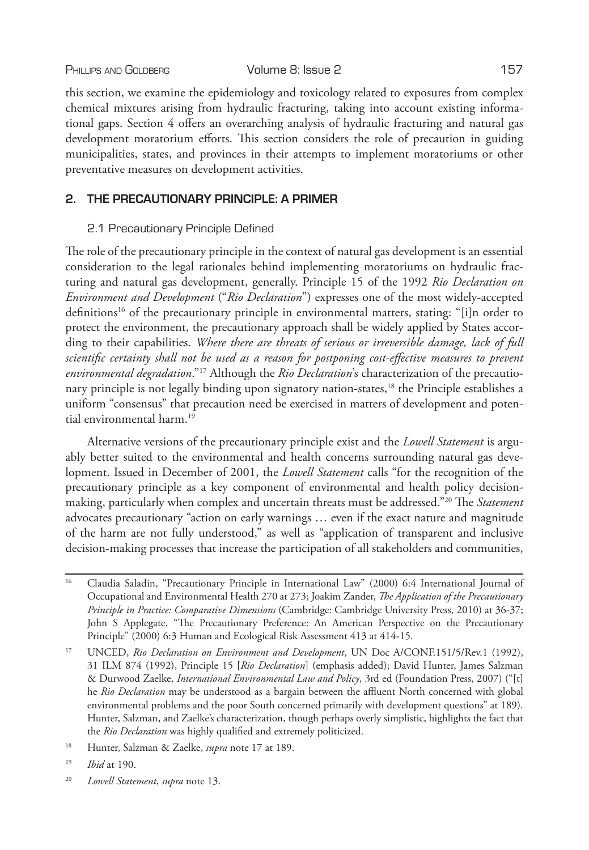this section, we examine the epidemiology and toxicology related to exposures from complex chemical mixtures arising from hydraulic fracturing, taking into account existing informational gaps. Section 4 offers an overarching analysis of hydraulic fracturing and natural gas development moratorium efforts. This section considers the role of precaution in guiding municipalities, states, and provinces in their attempts to implement moratoriums or other preventative measures on development activities.

# **2. THE PRECAUTIONARY PRINCIPLE: A PRIMER**

# 2.1 Precautionary Principle Defined

The role of the precautionary principle in the context of natural gas development is an essential consideration to the legal rationales behind implementing moratoriums on hydraulic fracturing and natural gas development, generally. Principle 15 of the 1992 *Rio Declaration on Environment and Development* ("*Rio Declaration*") expresses one of the most widely-accepted definitions<sup>16</sup> of the precautionary principle in environmental matters, stating: "[i]n order to protect the environment, the precautionary approach shall be widely applied by States according to their capabilities. *Where there are threats of serious or irreversible damage, lack of full scientific certainty shall not be used as a reason for postponing cost-effective measures to prevent environmental degradation*."17 Although the *Rio Declaration*'s characterization of the precautionary principle is not legally binding upon signatory nation-states,<sup>18</sup> the Principle establishes a uniform "consensus" that precaution need be exercised in matters of development and potential environmental harm.<sup>19</sup>

Alternative versions of the precautionary principle exist and the *Lowell Statement* is arguably better suited to the environmental and health concerns surrounding natural gas development. Issued in December of 2001, the *Lowell Statement* calls "for the recognition of the precautionary principle as a key component of environmental and health policy decisionmaking, particularly when complex and uncertain threats must be addressed."20 The *Statement* advocates precautionary "action on early warnings … even if the exact nature and magnitude of the harm are not fully understood," as well as "application of transparent and inclusive decision-making processes that increase the participation of all stakeholders and communities,

<sup>&</sup>lt;sup>16</sup> Claudia Saladin, "Precautionary Principle in International Law" (2000) 6:4 International Journal of Occupational and Environmental Health 270 at 273; Joakim Zander, *The Application of the Precautionary Principle in Practice: Comparative Dimensions* (Cambridge: Cambridge University Press, 2010) at 36-37; John S Applegate, "The Precautionary Preference: An American Perspective on the Precautionary Principle" (2000) 6:3 Human and Ecological Risk Assessment 413 at 414-15.

<sup>&</sup>lt;sup>17</sup> UNCED, Rio Declaration on Environment and Development, UN Doc A/CONF.151/5/Rev.1 (1992), 31 ILM 874 (1992), Principle 15 [*Rio Declaration*] (emphasis added); David Hunter, James Salzman & Durwood Zaelke, *International Environmental Law and Policy*, 3rd ed (Foundation Press, 2007) ("[t] he *Rio Declaration* may be understood as a bargain between the affluent North concerned with global environmental problems and the poor South concerned primarily with development questions" at 189). Hunter, Salzman, and Zaelke's characterization, though perhaps overly simplistic, highlights the fact that the *Rio Declaration* was highly qualified and extremely politicized.

<sup>18</sup> Hunter, Salzman & Zaelke, *supra* note 17 at 189.

<sup>19</sup> *Ibid* at 190.

<sup>20</sup> *Lowell Statement*, *supra* note 13.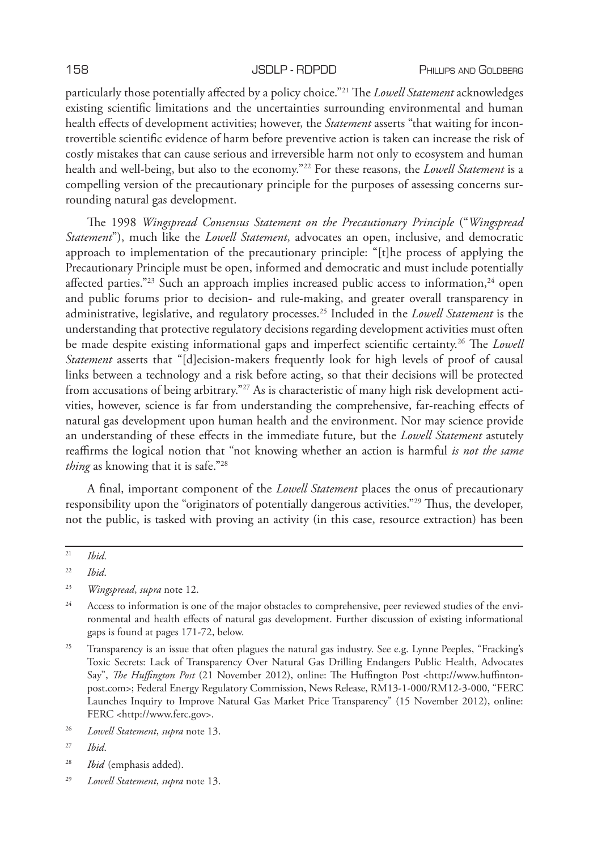particularly those potentially affected by a policy choice."21 The *Lowell Statement* acknowledges existing scientific limitations and the uncertainties surrounding environmental and human health effects of development activities; however, the *Statement* asserts "that waiting for incontrovertible scientific evidence of harm before preventive action is taken can increase the risk of costly mistakes that can cause serious and irreversible harm not only to ecosystem and human health and well-being, but also to the economy."22 For these reasons, the *Lowell Statement* is a compelling version of the precautionary principle for the purposes of assessing concerns surrounding natural gas development.

The 1998 *Wingspread Consensus Statement on the Precautionary Principle* ("*Wingspread Statement*"), much like the *Lowell Statement*, advocates an open, inclusive, and democratic approach to implementation of the precautionary principle: "[t]he process of applying the Precautionary Principle must be open, informed and democratic and must include potentially affected parties."<sup>23</sup> Such an approach implies increased public access to information, $24$  open and public forums prior to decision- and rule-making, and greater overall transparency in administrative, legislative, and regulatory processes.25 Included in the *Lowell Statement* is the understanding that protective regulatory decisions regarding development activities must often be made despite existing informational gaps and imperfect scientific certainty.26 The *Lowell Statement* asserts that "[d]ecision-makers frequently look for high levels of proof of causal links between a technology and a risk before acting, so that their decisions will be protected from accusations of being arbitrary."<sup>27</sup> As is characteristic of many high risk development activities, however, science is far from understanding the comprehensive, far-reaching effects of natural gas development upon human health and the environment. Nor may science provide an understanding of these effects in the immediate future, but the *Lowell Statement* astutely reaffirms the logical notion that "not knowing whether an action is harmful *is not the same thing* as knowing that it is safe."28

A final, important component of the *Lowell Statement* places the onus of precautionary responsibility upon the "originators of potentially dangerous activities."29 Thus, the developer, not the public, is tasked with proving an activity (in this case, resource extraction) has been

- <sup>28</sup> *Ibid* (emphasis added).
- <sup>29</sup> *Lowell Statement*, *supra* note 13.

<sup>21</sup> *Ibid*.

<sup>22</sup> *Ibid*.

<sup>23</sup> *Wingspread*, *supra* note 12.

<sup>&</sup>lt;sup>24</sup> Access to information is one of the major obstacles to comprehensive, peer reviewed studies of the environmental and health effects of natural gas development. Further discussion of existing informational gaps is found at pages 171-72, below.

<sup>&</sup>lt;sup>25</sup> Transparency is an issue that often plagues the natural gas industry. See e.g. Lynne Peeples, "Fracking's Toxic Secrets: Lack of Transparency Over Natural Gas Drilling Endangers Public Health, Advocates Say", *The Huffington Post* (21 November 2012), online: The Huffington Post <http://www.huffintonpost.com>; Federal Energy Regulatory Commission, News Release, RM13-1-000/RM12-3-000, "FERC Launches Inquiry to Improve Natural Gas Market Price Transparency" (15 November 2012), online: FERC <http://www.ferc.gov>.

<sup>26</sup> *Lowell Statement*, *supra* note 13.

<sup>27</sup> *Ibid*.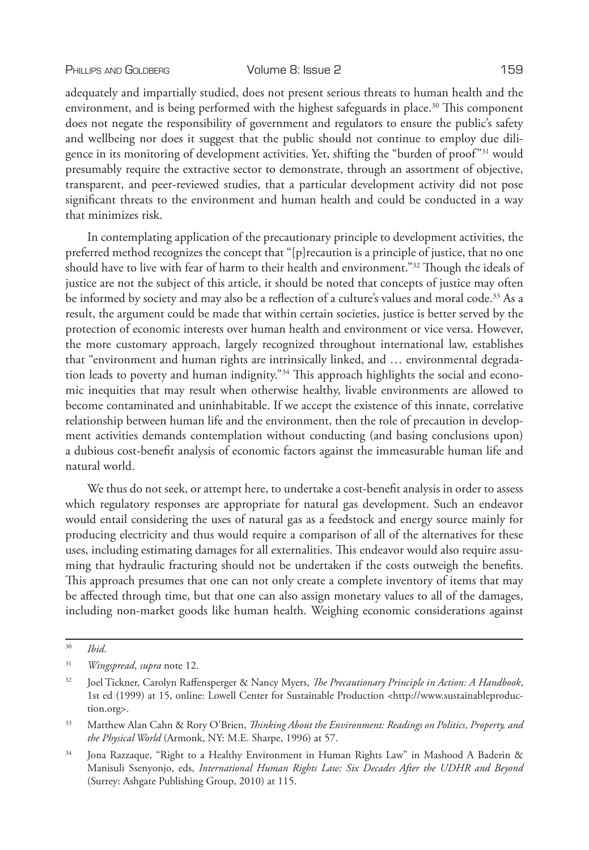adequately and impartially studied, does not present serious threats to human health and the environment, and is being performed with the highest safeguards in place.<sup>30</sup> This component does not negate the responsibility of government and regulators to ensure the public's safety and wellbeing nor does it suggest that the public should not continue to employ due diligence in its monitoring of development activities. Yet, shifting the "burden of proof"31 would presumably require the extractive sector to demonstrate, through an assortment of objective, transparent, and peer-reviewed studies, that a particular development activity did not pose significant threats to the environment and human health and could be conducted in a way that minimizes risk.

In contemplating application of the precautionary principle to development activities, the preferred method recognizes the concept that "[p]recaution is a principle of justice, that no one should have to live with fear of harm to their health and environment."32 Though the ideals of justice are not the subject of this article, it should be noted that concepts of justice may often be informed by society and may also be a reflection of a culture's values and moral code.<sup>33</sup> As a result, the argument could be made that within certain societies, justice is better served by the protection of economic interests over human health and environment or vice versa. However, the more customary approach, largely recognized throughout international law, establishes that "environment and human rights are intrinsically linked, and … environmental degradation leads to poverty and human indignity."34 This approach highlights the social and economic inequities that may result when otherwise healthy, livable environments are allowed to become contaminated and uninhabitable. If we accept the existence of this innate, correlative relationship between human life and the environment, then the role of precaution in development activities demands contemplation without conducting (and basing conclusions upon) a dubious cost-benefit analysis of economic factors against the immeasurable human life and natural world.

We thus do not seek, or attempt here, to undertake a cost-benefit analysis in order to assess which regulatory responses are appropriate for natural gas development. Such an endeavor would entail considering the uses of natural gas as a feedstock and energy source mainly for producing electricity and thus would require a comparison of all of the alternatives for these uses, including estimating damages for all externalities. This endeavor would also require assuming that hydraulic fracturing should not be undertaken if the costs outweigh the benefits. This approach presumes that one can not only create a complete inventory of items that may be affected through time, but that one can also assign monetary values to all of the damages, including non-market goods like human health. Weighing economic considerations against

<sup>30</sup> *Ibid*.

<sup>31</sup> *Wingspread*, *supra* note 12.

<sup>32</sup> Joel Tickner, Carolyn Raffensperger & Nancy Myers, *The Precautionary Principle in Action: A Handbook*, 1st ed (1999) at 15, online: Lowell Center for Sustainable Production <http://www.sustainableproduction.org>.

<sup>33</sup> Matthew Alan Cahn & Rory O'Brien, *Thinking About the Environment: Readings on Politics, Property, and the Physical World* (Armonk, NY: M.E. Sharpe, 1996) at 57.

<sup>&</sup>lt;sup>34</sup> Jona Razzaque, "Right to a Healthy Environment in Human Rights Law" in Mashood A Baderin & Manisuli Ssenyonjo, eds, *International Human Rights Law: Six Decades After the UDHR and Beyond*  (Surrey: Ashgate Publishing Group, 2010) at 115.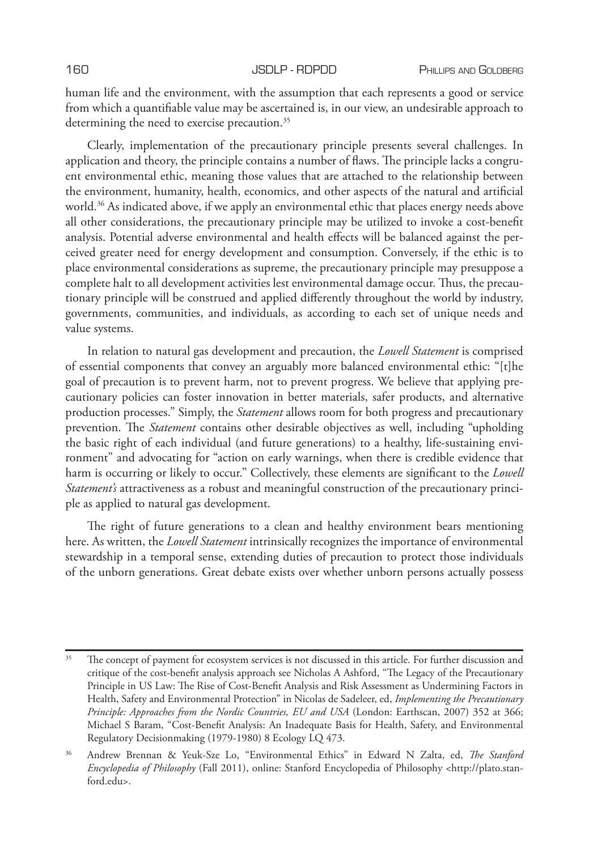human life and the environment, with the assumption that each represents a good or service from which a quantifiable value may be ascertained is, in our view, an undesirable approach to determining the need to exercise precaution.<sup>35</sup>

Clearly, implementation of the precautionary principle presents several challenges. In application and theory, the principle contains a number of flaws. The principle lacks a congruent environmental ethic, meaning those values that are attached to the relationship between the environment, humanity, health, economics, and other aspects of the natural and artificial world.<sup>36</sup> As indicated above, if we apply an environmental ethic that places energy needs above all other considerations, the precautionary principle may be utilized to invoke a cost-benefit analysis. Potential adverse environmental and health effects will be balanced against the perceived greater need for energy development and consumption. Conversely, if the ethic is to place environmental considerations as supreme, the precautionary principle may presuppose a complete halt to all development activities lest environmental damage occur. Thus, the precautionary principle will be construed and applied differently throughout the world by industry, governments, communities, and individuals, as according to each set of unique needs and value systems.

In relation to natural gas development and precaution, the *Lowell Statement* is comprised of essential components that convey an arguably more balanced environmental ethic: "[t]he goal of precaution is to prevent harm, not to prevent progress. We believe that applying precautionary policies can foster innovation in better materials, safer products, and alternative production processes." Simply, the *Statement* allows room for both progress and precautionary prevention. The *Statement* contains other desirable objectives as well, including "upholding the basic right of each individual (and future generations) to a healthy, life-sustaining environment" and advocating for "action on early warnings, when there is credible evidence that harm is occurring or likely to occur." Collectively, these elements are significant to the *Lowell Statement's* attractiveness as a robust and meaningful construction of the precautionary principle as applied to natural gas development.

The right of future generations to a clean and healthy environment bears mentioning here. As written, the *Lowell Statement* intrinsically recognizes the importance of environmental stewardship in a temporal sense, extending duties of precaution to protect those individuals of the unborn generations. Great debate exists over whether unborn persons actually possess

<sup>&</sup>lt;sup>35</sup> The concept of payment for ecosystem services is not discussed in this article. For further discussion and critique of the cost-benefit analysis approach see Nicholas A Ashford, "The Legacy of the Precautionary Principle in US Law: The Rise of Cost-Benefit Analysis and Risk Assessment as Undermining Factors in Health, Safety and Environmental Protection" in Nicolas de Sadeleer, ed, *Implementing the Precautionary Principle: Approaches from the Nordic Countries, EU and USA* (London: Earthscan, 2007) 352 at 366; Michael S Baram, "Cost-Benefit Analysis: An Inadequate Basis for Health, Safety, and Environmental Regulatory Decisionmaking (1979-1980) 8 Ecology LQ 473.

<sup>36</sup> Andrew Brennan & Yeuk-Sze Lo, "Environmental Ethics" in Edward N Zalta, ed, *The Stanford Encyclopedia of Philosophy* (Fall 2011), online: Stanford Encyclopedia of Philosophy <http://plato.stanford.edu>.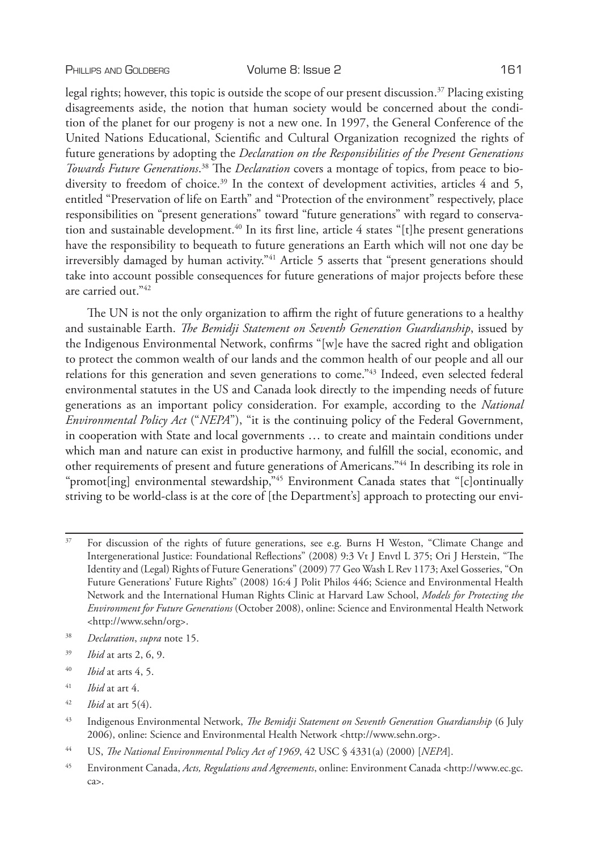### PHILLIPS AND GOLDBERG **Volume 8: Issue 2** 161

legal rights; however, this topic is outside the scope of our present discussion.37 Placing existing disagreements aside, the notion that human society would be concerned about the condition of the planet for our progeny is not a new one. In 1997, the General Conference of the United Nations Educational, Scientific and Cultural Organization recognized the rights of future generations by adopting the *Declaration on the Responsibilities of the Present Generations Towards Future Generations*. 38 The *Declaration* covers a montage of topics, from peace to biodiversity to freedom of choice.<sup>39</sup> In the context of development activities, articles 4 and 5, entitled "Preservation of life on Earth" and "Protection of the environment" respectively, place responsibilities on "present generations" toward "future generations" with regard to conservation and sustainable development.<sup>40</sup> In its first line, article 4 states "[t]he present generations have the responsibility to bequeath to future generations an Earth which will not one day be irreversibly damaged by human activity."<sup>41</sup> Article 5 asserts that "present generations should take into account possible consequences for future generations of major projects before these are carried out."42

The UN is not the only organization to affirm the right of future generations to a healthy and sustainable Earth. *The Bemidji Statement on Seventh Generation Guardianship*, issued by the Indigenous Environmental Network, confirms "[w]e have the sacred right and obligation to protect the common wealth of our lands and the common health of our people and all our relations for this generation and seven generations to come."43 Indeed, even selected federal environmental statutes in the US and Canada look directly to the impending needs of future generations as an important policy consideration. For example, according to the *National Environmental Policy Act* ("*NEPA*"), "it is the continuing policy of the Federal Government, in cooperation with State and local governments … to create and maintain conditions under which man and nature can exist in productive harmony, and fulfill the social, economic, and other requirements of present and future generations of Americans."44 In describing its role in "promot[ing] environmental stewardship,"45 Environment Canada states that "[c]ontinually striving to be world-class is at the core of [the Department's] approach to protecting our envi-

- <sup>39</sup> *Ibid* at arts 2, 6, 9.
- <sup>40</sup> *Ibid* at arts 4, 5.
- <sup>41</sup> *Ibid* at art 4.
- <sup>42</sup> *Ibid* at art 5(4).

<sup>&</sup>lt;sup>37</sup> For discussion of the rights of future generations, see e.g. Burns H Weston, "Climate Change and Intergenerational Justice: Foundational Reflections" (2008) 9:3 Vt J Envtl L 375; Ori J Herstein, "The Identity and (Legal) Rights of Future Generations" (2009) 77 Geo Wash L Rev 1173; Axel Gosseries, "On Future Generations' Future Rights" (2008) 16:4 J Polit Philos 446; Science and Environmental Health Network and the International Human Rights Clinic at Harvard Law School, *Models for Protecting the Environment for Future Generations* (October 2008), online: Science and Environmental Health Network <http://www.sehn/org>.

<sup>38</sup> *Declaration*, *supra* note 15.

<sup>43</sup> Indigenous Environmental Network, *The Bemidji Statement on Seventh Generation Guardianship* (6 July 2006), online: Science and Environmental Health Network <http://www.sehn.org>.

<sup>44</sup> US, *The National Environmental Policy Act of 1969*, 42 USC § 4331(a) (2000) [*NEPA*].

<sup>45</sup> Environment Canada, *Acts, Regulations and Agreements*, online: Environment Canada <http://www.ec.gc. ca>.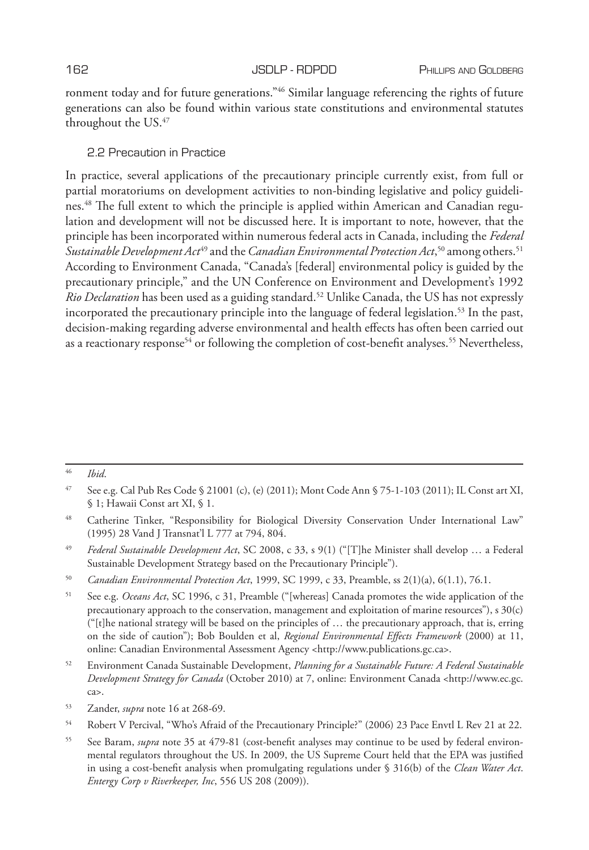ronment today and for future generations."46 Similar language referencing the rights of future generations can also be found within various state constitutions and environmental statutes throughout the US.47

# 2.2 Precaution in Practice

In practice, several applications of the precautionary principle currently exist, from full or partial moratoriums on development activities to non-binding legislative and policy guidelines.48 The full extent to which the principle is applied within American and Canadian regulation and development will not be discussed here. It is important to note, however, that the principle has been incorporated within numerous federal acts in Canada, including the *Federal Sustainable Development Act*49 and the *Canadian Environmental Protection Act*, 50 among others.51 According to Environment Canada, "Canada's [federal] environmental policy is guided by the precautionary principle," and the UN Conference on Environment and Development's 1992 *Rio Declaration* has been used as a guiding standard.52 Unlike Canada, the US has not expressly incorporated the precautionary principle into the language of federal legislation.53 In the past, decision-making regarding adverse environmental and health effects has often been carried out as a reactionary response<sup>54</sup> or following the completion of cost-benefit analyses.<sup>55</sup> Nevertheless,

<sup>46</sup> *Ibid*.

<sup>47</sup> See e.g. Cal Pub Res Code § 21001 (c), (e) (2011); Mont Code Ann § 75-1-103 (2011); IL Const art XI, § 1; Hawaii Const art XI, § 1.

<sup>48</sup> Catherine Tinker, "Responsibility for Biological Diversity Conservation Under International Law" (1995) 28 Vand J Transnat'l L 777 at 794, 804.

<sup>49</sup> *Federal Sustainable Development Act*, SC 2008, c 33, s 9(1) ("[T]he Minister shall develop … a Federal Sustainable Development Strategy based on the Precautionary Principle").

<sup>50</sup> *Canadian Environmental Protection Act*, 1999, SC 1999, c 33, Preamble, ss 2(1)(a), 6(1.1), 76.1.

<sup>51</sup> See e.g. *Oceans Act*, SC 1996, c 31, Preamble ("[whereas] Canada promotes the wide application of the precautionary approach to the conservation, management and exploitation of marine resources"), s 30(c)  $("[t]$ he national strategy will be based on the principles of ... the precautionary approach, that is, erring on the side of caution"); Bob Boulden et al, *Regional Environmental Effects Framework* (2000) at 11, online: Canadian Environmental Assessment Agency <http://www.publications.gc.ca>.

<sup>52</sup> Environment Canada Sustainable Development, *Planning for a Sustainable Future: A Federal Sustainable Development Strategy for Canada* (October 2010) at 7, online: Environment Canada <http://www.ec.gc. ca>.

<sup>53</sup> Zander, *supra* note 16 at 268-69.

<sup>54</sup> Robert V Percival, "Who's Afraid of the Precautionary Principle?" (2006) 23 Pace Envtl L Rev 21 at 22.

<sup>55</sup> See Baram, *supra* note 35 at 479-81 (cost-benefit analyses may continue to be used by federal environmental regulators throughout the US. In 2009, the US Supreme Court held that the EPA was justified in using a cost-benefit analysis when promulgating regulations under § 316(b) of the *Clean Water Act*. *Entergy Corp v Riverkeeper, Inc*, 556 US 208 (2009)).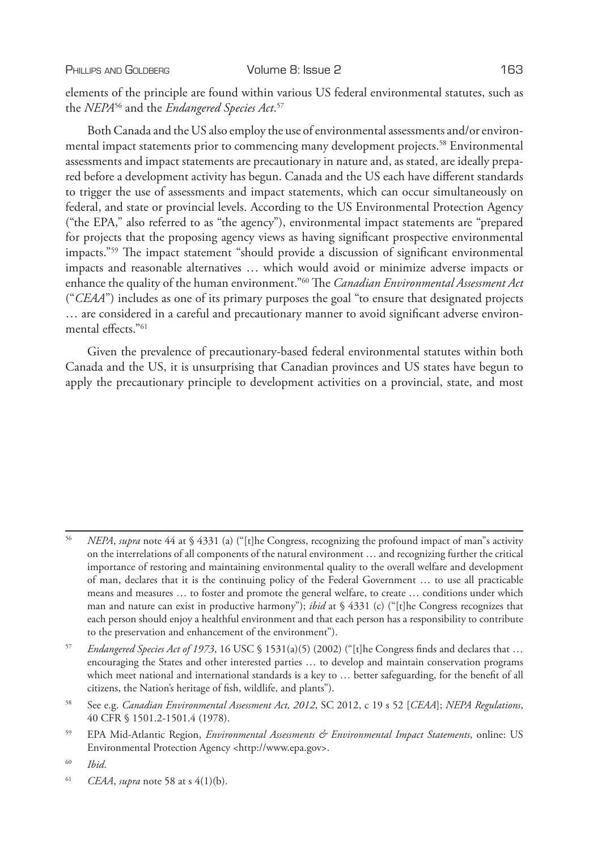PHILLIPS AND GOLDBERG **Volume 8: Issue 2** 163

elements of the principle are found within various US federal environmental statutes, such as the *NEPA*56 and the *Endangered Species Act*. 57

Both Canada and the US also employ the use of environmental assessments and/or environmental impact statements prior to commencing many development projects.<sup>58</sup> Environmental assessments and impact statements are precautionary in nature and, as stated, are ideally prepared before a development activity has begun. Canada and the US each have different standards to trigger the use of assessments and impact statements, which can occur simultaneously on federal, and state or provincial levels. According to the US Environmental Protection Agency ("the EPA," also referred to as "the agency"), environmental impact statements are "prepared for projects that the proposing agency views as having significant prospective environmental impacts."59 The impact statement "should provide a discussion of significant environmental impacts and reasonable alternatives … which would avoid or minimize adverse impacts or enhance the quality of the human environment."60 The *Canadian Environmental Assessment Act*  ("*CEAA*") includes as one of its primary purposes the goal "to ensure that designated projects … are considered in a careful and precautionary manner to avoid significant adverse environmental effects."61

Given the prevalence of precautionary-based federal environmental statutes within both Canada and the US, it is unsurprising that Canadian provinces and US states have begun to apply the precautionary principle to development activities on a provincial, state, and most

<sup>56</sup> *NEPA*, *supra* note 44 at § 4331 (a) ("[t]he Congress, recognizing the profound impact of man"s activity on the interrelations of all components of the natural environment … and recognizing further the critical importance of restoring and maintaining environmental quality to the overall welfare and development of man, declares that it is the continuing policy of the Federal Government … to use all practicable means and measures … to foster and promote the general welfare, to create … conditions under which man and nature can exist in productive harmony"); *ibid* at § 4331 (c) ("[t]he Congress recognizes that each person should enjoy a healthful environment and that each person has a responsibility to contribute to the preservation and enhancement of the environment").

<sup>57</sup> *Endangered Species Act of 1973*, 16 USC § 1531(a)(5) (2002) ("[t]he Congress finds and declares that … encouraging the States and other interested parties … to develop and maintain conservation programs which meet national and international standards is a key to … better safeguarding, for the benefit of all citizens, the Nation's heritage of fish, wildlife, and plants").

<sup>58</sup> See e.g. *Canadian Environmental Assessment Act, 2012*, SC 2012, c 19 s 52 [*CEAA*]; *NEPA Regulations*, 40 CFR § 1501.2-1501.4 (1978).

<sup>59</sup> EPA Mid-Atlantic Region, *Environmental Assessments & Environmental Impact Statements*, online: US Environmental Protection Agency <http://www.epa.gov>.

<sup>60</sup> *Ibid*.

<sup>61</sup> *CEAA*, *supra* note 58 at s 4(1)(b).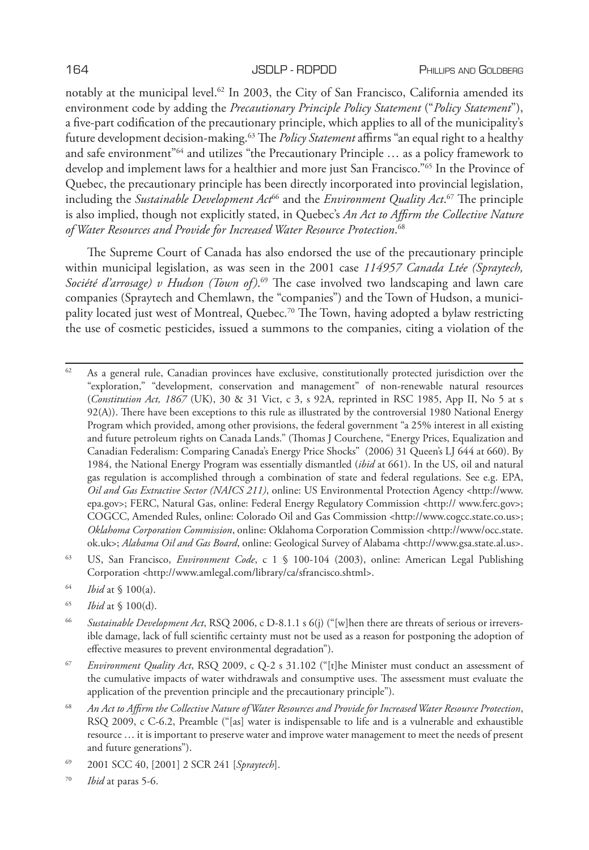notably at the municipal level.<sup>62</sup> In 2003, the City of San Francisco, California amended its environment code by adding the *Precautionary Principle Policy Statement* ("*Policy Statement*"), a five-part codification of the precautionary principle, which applies to all of the municipality's future development decision-making.63 The *Policy Statement* affirms "an equal right to a healthy and safe environment<sup>"64</sup> and utilizes "the Precautionary Principle ... as a policy framework to develop and implement laws for a healthier and more just San Francisco."65 In the Province of Quebec, the precautionary principle has been directly incorporated into provincial legislation, including the *Sustainable Development Act*66 and the *Environment Quality Act*. 67 The principle is also implied, though not explicitly stated, in Quebec's *An Act to Affirm the Collective Nature of Water Resources and Provide for Increased Water Resource Protection*. 68

The Supreme Court of Canada has also endorsed the use of the precautionary principle within municipal legislation, as was seen in the 2001 case *114957 Canada Ltée (Spraytech, Société d'arrosage) v Hudson (Town of)*. 69 The case involved two landscaping and lawn care companies (Spraytech and Chemlawn, the "companies") and the Town of Hudson, a municipality located just west of Montreal, Quebec.<sup>70</sup> The Town, having adopted a bylaw restricting the use of cosmetic pesticides, issued a summons to the companies, citing a violation of the

 $62$  As a general rule, Canadian provinces have exclusive, constitutionally protected jurisdiction over the "exploration," "development, conservation and management" of non-renewable natural resources (*Constitution Act, 1867* (UK), 30 & 31 Vict, c 3, s 92A, reprinted in RSC 1985, App II, No 5 at s 92(A)). There have been exceptions to this rule as illustrated by the controversial 1980 National Energy Program which provided, among other provisions, the federal government "a 25% interest in all existing and future petroleum rights on Canada Lands." (Thomas J Courchene, "Energy Prices, Equalization and Canadian Federalism: Comparing Canada's Energy Price Shocks" (2006) 31 Queen's LJ 644 at 660). By 1984, the National Energy Program was essentially dismantled (*ibid* at 661). In the US, oil and natural gas regulation is accomplished through a combination of state and federal regulations. See e.g. EPA, *Oil and Gas Extractive Sector (NAICS 211)*, online: US Environmental Protection Agency <http://www. epa.gov>; FERC, Natural Gas, online: Federal Energy Regulatory Commission <http:// www.ferc.gov>; COGCC, Amended Rules, online: Colorado Oil and Gas Commission <http://www.cogcc.state.co.us>; *Oklahoma Corporation Commission*, online: Oklahoma Corporation Commission <http://www/occ.state. ok.uk>; *Alabama Oil and Gas Board*, online: Geological Survey of Alabama <http://www.gsa.state.al.us>.

<sup>63</sup> US, San Francisco, *Environment Code*, c 1 § 100-104 (2003), online: American Legal Publishing Corporation <http://www.amlegal.com/library/ca/sfrancisco.shtml>.

- <sup>64</sup> *Ibid* at § 100(a).
- <sup>65</sup> *Ibid* at § 100(d).

<sup>66</sup> *Sustainable Development Act*, RSQ 2006, c D-8.1.1 s 6(j) ("[w]hen there are threats of serious or irreversible damage, lack of full scientific certainty must not be used as a reason for postponing the adoption of effective measures to prevent environmental degradation").

<sup>67</sup> *Environment Quality Act*, RSQ 2009, c Q-2 s 31.102 ("[t]he Minister must conduct an assessment of the cumulative impacts of water withdrawals and consumptive uses. The assessment must evaluate the application of the prevention principle and the precautionary principle").

<sup>68</sup> *An Act to Affirm the Collective Nature of Water Resources and Provide for Increased Water Resource Protection*, RSQ 2009, c C-6.2, Preamble ("[as] water is indispensable to life and is a vulnerable and exhaustible resource … it is important to preserve water and improve water management to meet the needs of present and future generations").

<sup>69</sup> 2001 SCC 40, [2001] 2 SCR 241 [*Spraytech*].

<sup>70</sup> *Ibid* at paras 5-6.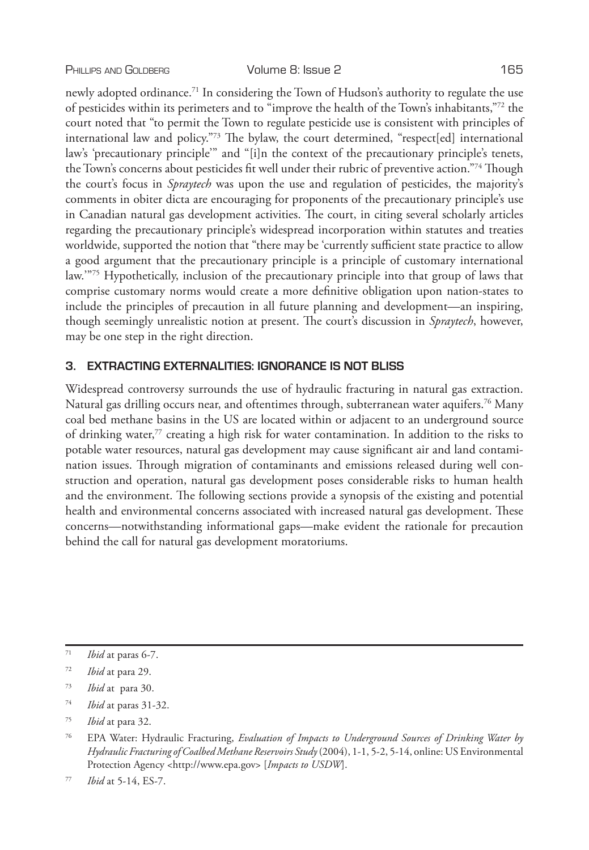newly adopted ordinance.<sup>71</sup> In considering the Town of Hudson's authority to regulate the use of pesticides within its perimeters and to "improve the health of the Town's inhabitants,"72 the court noted that "to permit the Town to regulate pesticide use is consistent with principles of international law and policy."73 The bylaw, the court determined, "respect[ed] international law's 'precautionary principle'" and "[i]n the context of the precautionary principle's tenets, the Town's concerns about pesticides fit well under their rubric of preventive action."74 Though the court's focus in *Spraytech* was upon the use and regulation of pesticides, the majority's comments in obiter dicta are encouraging for proponents of the precautionary principle's use in Canadian natural gas development activities. The court, in citing several scholarly articles regarding the precautionary principle's widespread incorporation within statutes and treaties worldwide, supported the notion that "there may be 'currently sufficient state practice to allow a good argument that the precautionary principle is a principle of customary international law.'"75 Hypothetically, inclusion of the precautionary principle into that group of laws that comprise customary norms would create a more definitive obligation upon nation-states to include the principles of precaution in all future planning and development—an inspiring, though seemingly unrealistic notion at present. The court's discussion in *Spraytech*, however, may be one step in the right direction.

# **3. EXTRACTING EXTERNALITIES: IGNORANCE IS NOT BLISS**

Widespread controversy surrounds the use of hydraulic fracturing in natural gas extraction. Natural gas drilling occurs near, and oftentimes through, subterranean water aquifers.<sup>76</sup> Many coal bed methane basins in the US are located within or adjacent to an underground source of drinking water,77 creating a high risk for water contamination. In addition to the risks to potable water resources, natural gas development may cause significant air and land contamination issues. Through migration of contaminants and emissions released during well construction and operation, natural gas development poses considerable risks to human health and the environment. The following sections provide a synopsis of the existing and potential health and environmental concerns associated with increased natural gas development. These concerns—notwithstanding informational gaps—make evident the rationale for precaution behind the call for natural gas development moratoriums.

<sup>71</sup> *Ibid* at paras 6-7.

<sup>72</sup> *Ibid* at para 29.

<sup>73</sup> *Ibid* at para 30.

<sup>74</sup> *Ibid* at paras 31-32.

<sup>75</sup> *Ibid* at para 32.

<sup>76</sup> EPA Water: Hydraulic Fracturing, *Evaluation of Impacts to Underground Sources of Drinking Water by Hydraulic Fracturing of Coalbed Methane Reservoirs Study* (2004), 1-1, 5-2, 5-14, online: US Environmental Protection Agency <http://www.epa.gov> [*Impacts to USDW*].

<sup>77</sup> *Ibid* at 5-14, ES-7.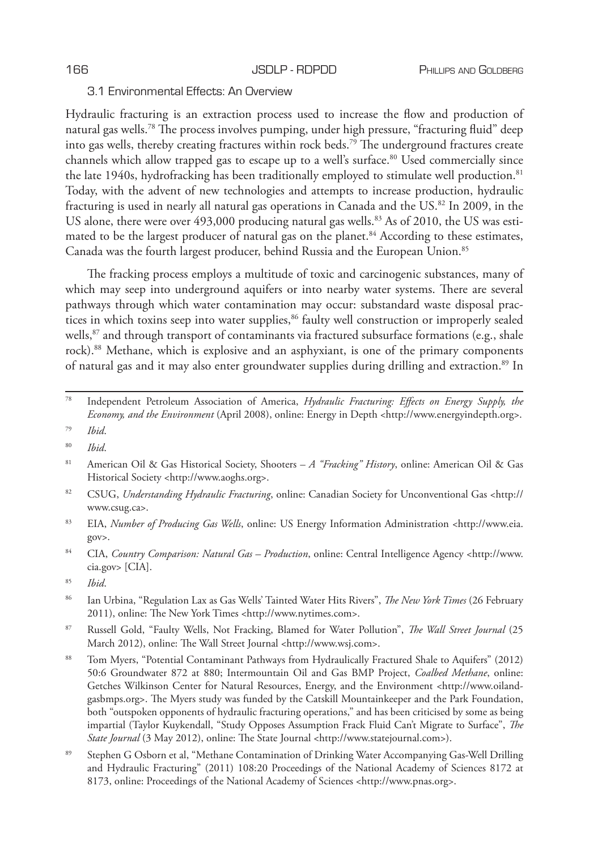# 3.1 Environmental Effects: An Overview

Hydraulic fracturing is an extraction process used to increase the flow and production of natural gas wells.78 The process involves pumping, under high pressure, "fracturing fluid" deep into gas wells, thereby creating fractures within rock beds.79 The underground fractures create channels which allow trapped gas to escape up to a well's surface.80 Used commercially since the late 1940s, hydrofracking has been traditionally employed to stimulate well production.<sup>81</sup> Today, with the advent of new technologies and attempts to increase production, hydraulic fracturing is used in nearly all natural gas operations in Canada and the US.82 In 2009, in the US alone, there were over 493,000 producing natural gas wells.<sup>83</sup> As of 2010, the US was estimated to be the largest producer of natural gas on the planet.<sup>84</sup> According to these estimates, Canada was the fourth largest producer, behind Russia and the European Union.<sup>85</sup>

The fracking process employs a multitude of toxic and carcinogenic substances, many of which may seep into underground aquifers or into nearby water systems. There are several pathways through which water contamination may occur: substandard waste disposal practices in which toxins seep into water supplies,<sup>86</sup> faulty well construction or improperly sealed wells,<sup>87</sup> and through transport of contaminants via fractured subsurface formations (e.g., shale rock).<sup>88</sup> Methane, which is explosive and an asphyxiant, is one of the primary components of natural gas and it may also enter groundwater supplies during drilling and extraction.89 In

- <sup>79</sup> *Ibid*.
- <sup>80</sup> *Ibid*.
- <sup>81</sup> American Oil & Gas Historical Society, Shooters *A "Fracking" History*, online: American Oil & Gas Historical Society <http://www.aoghs.org>.
- <sup>82</sup> CSUG, *Understanding Hydraulic Fracturing*, online: Canadian Society for Unconventional Gas <http:// www.csug.ca>.
- <sup>83</sup> EIA, *Number of Producing Gas Wells*, online: US Energy Information Administration <http://www.eia. gov>.
- <sup>84</sup> CIA, *Country Comparison: Natural Gas Production*, online: Central Intelligence Agency <http://www. cia.gov> [CIA].
- <sup>85</sup> *Ibid*.
- <sup>86</sup> Ian Urbina, "Regulation Lax as Gas Wells' Tainted Water Hits Rivers", *The New York Times* (26 February 2011), online: The New York Times <http://www.nytimes.com>.
- <sup>87</sup> Russell Gold, "Faulty Wells, Not Fracking, Blamed for Water Pollution", *The Wall Street Journal* (25 March 2012), online: The Wall Street Journal <http://www.wsj.com>.
- <sup>88</sup> Tom Myers, "Potential Contaminant Pathways from Hydraulically Fractured Shale to Aquifers" (2012) 50:6 Groundwater 872 at 880; Intermountain Oil and Gas BMP Project, *Coalbed Methane*, online: Getches Wilkinson Center for Natural Resources, Energy, and the Environment <http://www.oilandgasbmps.org>. The Myers study was funded by the Catskill Mountainkeeper and the Park Foundation, both "outspoken opponents of hydraulic fracturing operations," and has been criticised by some as being impartial (Taylor Kuykendall, "Study Opposes Assumption Frack Fluid Can't Migrate to Surface", *The State Journal* (3 May 2012), online: The State Journal <http://www.statejournal.com>).
- <sup>89</sup> Stephen G Osborn et al, "Methane Contamination of Drinking Water Accompanying Gas-Well Drilling and Hydraulic Fracturing" (2011) 108:20 Proceedings of the National Academy of Sciences 8172 at 8173, online: Proceedings of the National Academy of Sciences <http://www.pnas.org>.

<sup>78</sup> Independent Petroleum Association of America, *Hydraulic Fracturing: Effects on Energy Supply, the Economy, and the Environment* (April 2008), online: Energy in Depth <http://www.energyindepth.org>.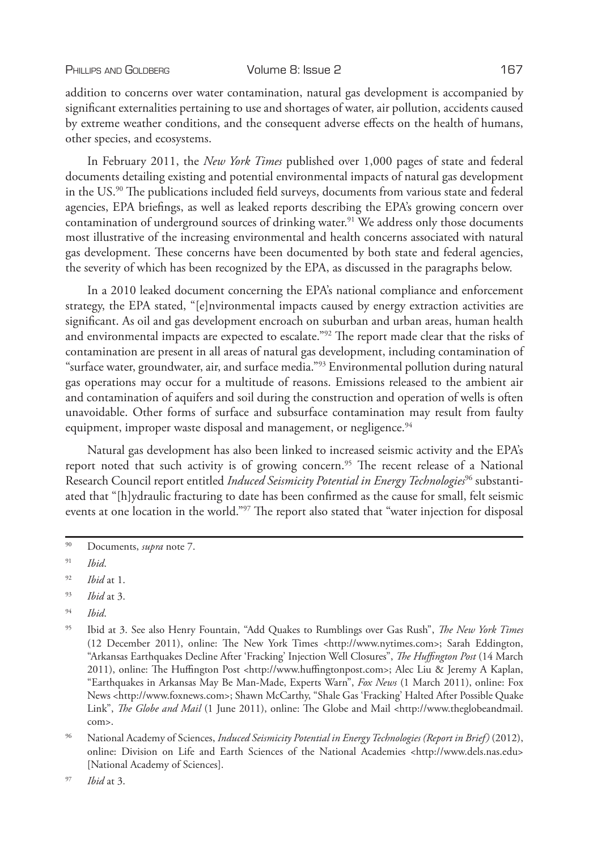addition to concerns over water contamination, natural gas development is accompanied by significant externalities pertaining to use and shortages of water, air pollution, accidents caused by extreme weather conditions, and the consequent adverse effects on the health of humans, other species, and ecosystems.

In February 2011, the *New York Times* published over 1,000 pages of state and federal documents detailing existing and potential environmental impacts of natural gas development in the US.<sup>90</sup> The publications included field surveys, documents from various state and federal agencies, EPA briefings, as well as leaked reports describing the EPA's growing concern over contamination of underground sources of drinking water.<sup>91</sup> We address only those documents most illustrative of the increasing environmental and health concerns associated with natural gas development. These concerns have been documented by both state and federal agencies, the severity of which has been recognized by the EPA, as discussed in the paragraphs below.

In a 2010 leaked document concerning the EPA's national compliance and enforcement strategy, the EPA stated, "[e]nvironmental impacts caused by energy extraction activities are significant. As oil and gas development encroach on suburban and urban areas, human health and environmental impacts are expected to escalate."<sup>92</sup> The report made clear that the risks of contamination are present in all areas of natural gas development, including contamination of "surface water, groundwater, air, and surface media."93 Environmental pollution during natural gas operations may occur for a multitude of reasons. Emissions released to the ambient air and contamination of aquifers and soil during the construction and operation of wells is often unavoidable. Other forms of surface and subsurface contamination may result from faulty equipment, improper waste disposal and management, or negligence.<sup>94</sup>

Natural gas development has also been linked to increased seismic activity and the EPA's report noted that such activity is of growing concern.<sup>95</sup> The recent release of a National Research Council report entitled *Induced Seismicity Potential in Energy Technologies*96 substantiated that "[h]ydraulic fracturing to date has been confirmed as the cause for small, felt seismic events at one location in the world."97 The report also stated that "water injection for disposal

<sup>94</sup> *Ibid*.

<sup>90</sup> Documents, *supra* note 7.

<sup>91</sup> *Ibid*.

<sup>92</sup> *Ibid* at 1.

<sup>93</sup> *Ibid* at 3.

<sup>95</sup> Ibid at 3. See also Henry Fountain, "Add Quakes to Rumblings over Gas Rush", *The New York Times*  (12 December 2011), online: The New York Times <http://www.nytimes.com>; Sarah Eddington, "Arkansas Earthquakes Decline After 'Fracking' Injection Well Closures", *The Huffington Post* (14 March 2011), online: The Huffington Post <http://www.huffingtonpost.com>; Alec Liu & Jeremy A Kaplan, "Earthquakes in Arkansas May Be Man-Made, Experts Warn", *Fox News* (1 March 2011), online: Fox News <http://www.foxnews.com>; Shawn McCarthy, "Shale Gas 'Fracking' Halted After Possible Quake Link", *The Globe and Mail* (1 June 2011), online: The Globe and Mail <http://www.theglobeandmail. com>.

<sup>96</sup> National Academy of Sciences, *Induced Seismicity Potential in Energy Technologies (Report in Brief)* (2012), online: Division on Life and Earth Sciences of the National Academies <http://www.dels.nas.edu> [National Academy of Sciences].

<sup>97</sup> *Ibid* at 3.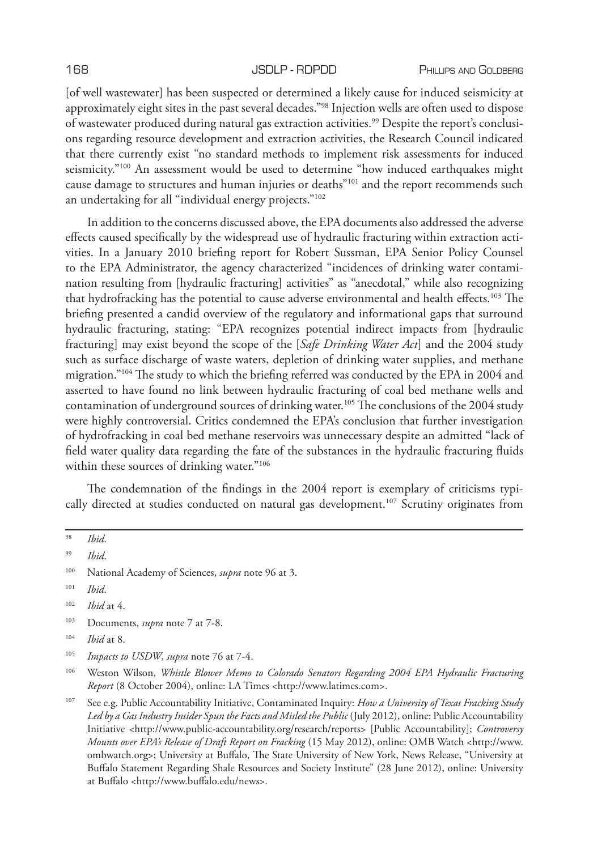[of well wastewater] has been suspected or determined a likely cause for induced seismicity at approximately eight sites in the past several decades."98 Injection wells are often used to dispose of wastewater produced during natural gas extraction activities.<sup>99</sup> Despite the report's conclusions regarding resource development and extraction activities, the Research Council indicated that there currently exist "no standard methods to implement risk assessments for induced seismicity."100 An assessment would be used to determine "how induced earthquakes might cause damage to structures and human injuries or deaths"<sup>101</sup> and the report recommends such an undertaking for all "individual energy projects."<sup>102</sup>

In addition to the concerns discussed above, the EPA documents also addressed the adverse effects caused specifically by the widespread use of hydraulic fracturing within extraction activities. In a January 2010 briefing report for Robert Sussman, EPA Senior Policy Counsel to the EPA Administrator, the agency characterized "incidences of drinking water contamination resulting from [hydraulic fracturing] activities" as "anecdotal," while also recognizing that hydrofracking has the potential to cause adverse environmental and health effects.<sup>103</sup> The briefing presented a candid overview of the regulatory and informational gaps that surround hydraulic fracturing, stating: "EPA recognizes potential indirect impacts from [hydraulic fracturing] may exist beyond the scope of the [*Safe Drinking Water Act*] and the 2004 study such as surface discharge of waste waters, depletion of drinking water supplies, and methane migration."104 The study to which the briefing referred was conducted by the EPA in 2004 and asserted to have found no link between hydraulic fracturing of coal bed methane wells and contamination of underground sources of drinking water.105 The conclusions of the 2004 study were highly controversial. Critics condemned the EPA's conclusion that further investigation of hydrofracking in coal bed methane reservoirs was unnecessary despite an admitted "lack of field water quality data regarding the fate of the substances in the hydraulic fracturing fluids within these sources of drinking water."<sup>106</sup>

The condemnation of the findings in the 2004 report is exemplary of criticisms typically directed at studies conducted on natural gas development.<sup>107</sup> Scrutiny originates from

<sup>103</sup> Documents, *supra* note 7 at 7-8.

<sup>98</sup> *Ibid*.

<sup>99</sup> *Ibid*.

<sup>100</sup> National Academy of Sciences, *supra* note 96 at 3.

<sup>101</sup> *Ibid*.

<sup>102</sup> *Ibid* at 4.

<sup>104</sup> *Ibid* at 8.

<sup>105</sup> *Impacts to USDW*, *supra* note 76 at 7-4.

<sup>106</sup> Weston Wilson, *Whistle Blower Memo to Colorado Senators Regarding 2004 EPA Hydraulic Fracturing Report* (8 October 2004), online: LA Times <http://www.latimes.com>.

<sup>107</sup> See e.g. Public Accountability Initiative, Contaminated Inquiry: *How a University of Texas Fracking Study*  Led by a Gas Industry Insider Spun the Facts and Misled the Public (July 2012), online: Public Accountability Initiative <http://www.public-accountability.org/research/reports> [Public Accountability]; *Controversy Mounts over EPA's Release of Draft Report on Fracking* (15 May 2012), online: OMB Watch <http://www. ombwatch.org>; University at Buffalo, The State University of New York, News Release, "University at Buffalo Statement Regarding Shale Resources and Society Institute" (28 June 2012), online: University at Buffalo <http://www.buffalo.edu/news>.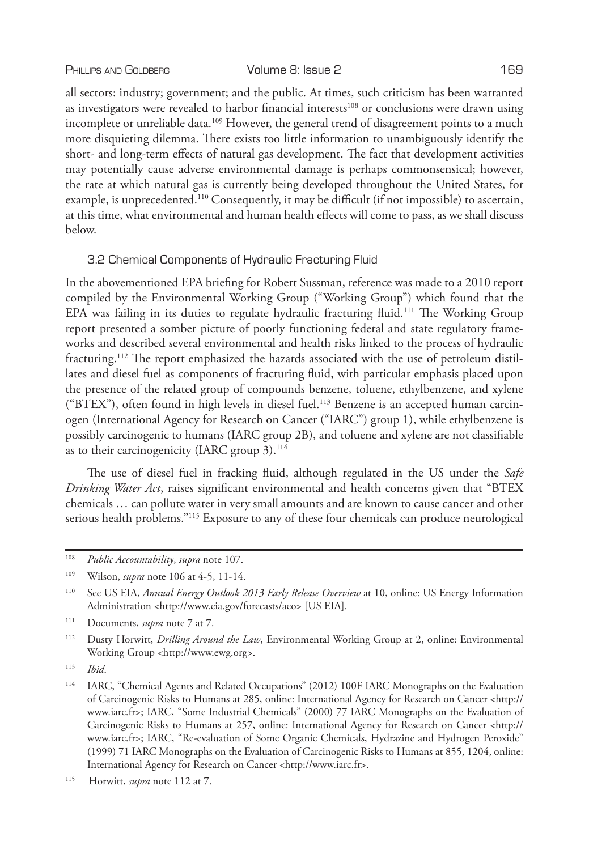all sectors: industry; government; and the public. At times, such criticism has been warranted as investigators were revealed to harbor financial interests<sup>108</sup> or conclusions were drawn using incomplete or unreliable data.<sup>109</sup> However, the general trend of disagreement points to a much more disquieting dilemma. There exists too little information to unambiguously identify the short- and long-term effects of natural gas development. The fact that development activities may potentially cause adverse environmental damage is perhaps commonsensical; however, the rate at which natural gas is currently being developed throughout the United States, for example, is unprecedented.110 Consequently, it may be difficult (if not impossible) to ascertain, at this time, what environmental and human health effects will come to pass, as we shall discuss below.

# 3.2 Chemical Components of Hydraulic Fracturing Fluid

In the abovementioned EPA briefing for Robert Sussman, reference was made to a 2010 report compiled by the Environmental Working Group ("Working Group") which found that the EPA was failing in its duties to regulate hydraulic fracturing fluid.<sup>111</sup> The Working Group report presented a somber picture of poorly functioning federal and state regulatory frameworks and described several environmental and health risks linked to the process of hydraulic fracturing.112 The report emphasized the hazards associated with the use of petroleum distillates and diesel fuel as components of fracturing fluid, with particular emphasis placed upon the presence of the related group of compounds benzene, toluene, ethylbenzene, and xylene ("BTEX"), often found in high levels in diesel fuel.113 Benzene is an accepted human carcinogen (International Agency for Research on Cancer ("IARC") group 1), while ethylbenzene is possibly carcinogenic to humans (IARC group 2B), and toluene and xylene are not classifiable as to their carcinogenicity (IARC group 3).<sup>114</sup>

The use of diesel fuel in fracking fluid, although regulated in the US under the *Safe Drinking Water Act*, raises significant environmental and health concerns given that "BTEX chemicals … can pollute water in very small amounts and are known to cause cancer and other serious health problems."<sup>115</sup> Exposure to any of these four chemicals can produce neurological

<sup>108</sup> *Public Accountability*, *supra* note 107.

<sup>109</sup> Wilson, *supra* note 106 at 4-5, 11-14.

<sup>110</sup> See US EIA, *Annual Energy Outlook 2013 Early Release Overview* at 10, online: US Energy Information Administration <http://www.eia.gov/forecasts/aeo> [US EIA].

<sup>111</sup> Documents, *supra* note 7 at 7.

<sup>112</sup> Dusty Horwitt, *Drilling Around the Law*, Environmental Working Group at 2, online: Environmental Working Group <http://www.ewg.org>.

<sup>113</sup> *Ibid*.

<sup>114</sup> IARC, "Chemical Agents and Related Occupations" (2012) 100F IARC Monographs on the Evaluation of Carcinogenic Risks to Humans at 285, online: International Agency for Research on Cancer <http:// www.iarc.fr>; IARC, "Some Industrial Chemicals" (2000) 77 IARC Monographs on the Evaluation of Carcinogenic Risks to Humans at 257, online: International Agency for Research on Cancer <http:// www.iarc.fr>; IARC, "Re-evaluation of Some Organic Chemicals, Hydrazine and Hydrogen Peroxide" (1999) 71 IARC Monographs on the Evaluation of Carcinogenic Risks to Humans at 855, 1204, online: International Agency for Research on Cancer <http://www.iarc.fr>.

<sup>115</sup> Horwitt, *supra* note 112 at 7.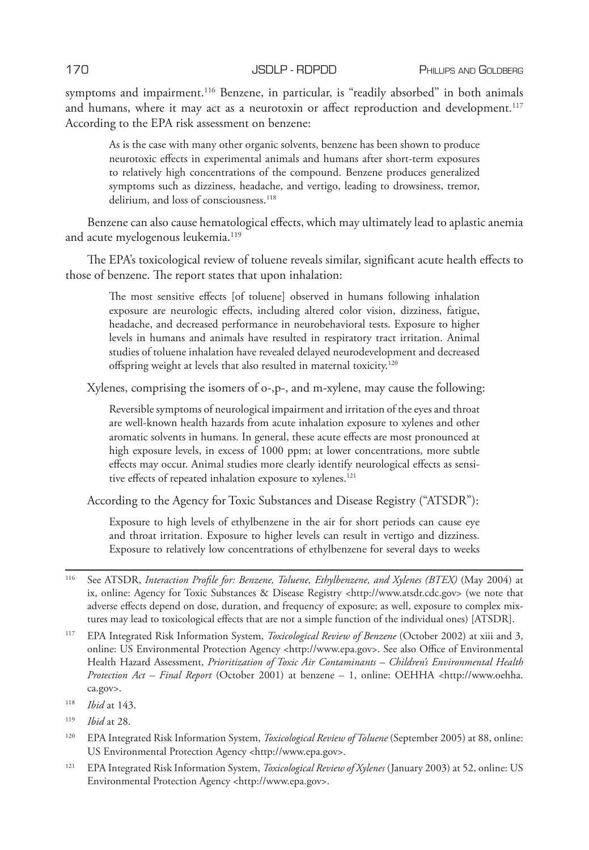symptoms and impairment.<sup>116</sup> Benzene, in particular, is "readily absorbed" in both animals and humans, where it may act as a neurotoxin or affect reproduction and development.<sup>117</sup> According to the EPA risk assessment on benzene:

As is the case with many other organic solvents, benzene has been shown to produce neurotoxic effects in experimental animals and humans after short-term exposures to relatively high concentrations of the compound. Benzene produces generalized symptoms such as dizziness, headache, and vertigo, leading to drowsiness, tremor, delirium, and loss of consciousness.<sup>118</sup>

Benzene can also cause hematological effects, which may ultimately lead to aplastic anemia and acute myelogenous leukemia.<sup>119</sup>

The EPA's toxicological review of toluene reveals similar, significant acute health effects to those of benzene. The report states that upon inhalation:

The most sensitive effects [of toluene] observed in humans following inhalation exposure are neurologic effects, including altered color vision, dizziness, fatigue, headache, and decreased performance in neurobehavioral tests. Exposure to higher levels in humans and animals have resulted in respiratory tract irritation. Animal studies of toluene inhalation have revealed delayed neurodevelopment and decreased offspring weight at levels that also resulted in maternal toxicity.120

Xylenes, comprising the isomers of o-,p-, and m-xylene, may cause the following:

Reversible symptoms of neurological impairment and irritation of the eyes and throat are well-known health hazards from acute inhalation exposure to xylenes and other aromatic solvents in humans. In general, these acute effects are most pronounced at high exposure levels, in excess of 1000 ppm; at lower concentrations, more subtle effects may occur. Animal studies more clearly identify neurological effects as sensitive effects of repeated inhalation exposure to xylenes.<sup>121</sup>

According to the Agency for Toxic Substances and Disease Registry ("ATSDR"):

Exposure to high levels of ethylbenzene in the air for short periods can cause eye and throat irritation. Exposure to higher levels can result in vertigo and dizziness. Exposure to relatively low concentrations of ethylbenzene for several days to weeks

<sup>116</sup> See ATSDR, *Interaction Profile for: Benzene, Toluene, Ethylbenzene, and Xylenes (BTEX)* (May 2004) at ix, online: Agency for Toxic Substances & Disease Registry <http://www.atsdr.cdc.gov> (we note that adverse effects depend on dose, duration, and frequency of exposure; as well, exposure to complex mixtures may lead to toxicological effects that are not a simple function of the individual ones) [ATSDR].

<sup>117</sup> EPA Integrated Risk Information System, *Toxicological Review of Benzene* (October 2002) at xiii and 3, online: US Environmental Protection Agency <http://www.epa.gov>. See also Office of Environmental Health Hazard Assessment, *Prioritization of Toxic Air Contaminants – Children's Environmental Health Protection Act – Final Report* (October 2001) at benzene – 1, online: OEHHA <http://www.oehha. ca.gov>.

<sup>118</sup> *Ibid* at 143.

<sup>119</sup> *Ibid* at 28.

<sup>120</sup> EPA Integrated Risk Information System, *Toxicological Review of Toluene* (September 2005) at 88, online: US Environmental Protection Agency <http://www.epa.gov>.

<sup>121</sup> EPA Integrated Risk Information System, *Toxicological Review of Xylenes* (January 2003) at 52, online: US Environmental Protection Agency <http://www.epa.gov>.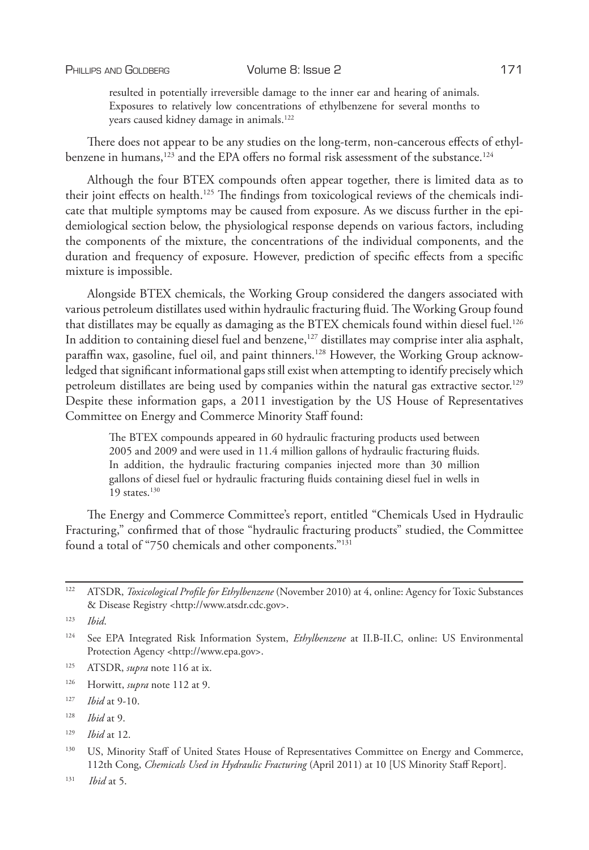resulted in potentially irreversible damage to the inner ear and hearing of animals. Exposures to relatively low concentrations of ethylbenzene for several months to years caused kidney damage in animals.122

There does not appear to be any studies on the long-term, non-cancerous effects of ethylbenzene in humans, $123$  and the EPA offers no formal risk assessment of the substance. $124$ 

Although the four BTEX compounds often appear together, there is limited data as to their joint effects on health.<sup>125</sup> The findings from toxicological reviews of the chemicals indicate that multiple symptoms may be caused from exposure. As we discuss further in the epidemiological section below, the physiological response depends on various factors, including the components of the mixture, the concentrations of the individual components, and the duration and frequency of exposure. However, prediction of specific effects from a specific mixture is impossible.

Alongside BTEX chemicals, the Working Group considered the dangers associated with various petroleum distillates used within hydraulic fracturing fluid. The Working Group found that distillates may be equally as damaging as the BTEX chemicals found within diesel fuel.<sup>126</sup> In addition to containing diesel fuel and benzene, $127$  distillates may comprise inter alia asphalt, paraffin wax, gasoline, fuel oil, and paint thinners.128 However, the Working Group acknowledged that significant informational gaps still exist when attempting to identify precisely which petroleum distillates are being used by companies within the natural gas extractive sector.<sup>129</sup> Despite these information gaps, a 2011 investigation by the US House of Representatives Committee on Energy and Commerce Minority Staff found:

The BTEX compounds appeared in 60 hydraulic fracturing products used between 2005 and 2009 and were used in 11.4 million gallons of hydraulic fracturing fluids. In addition, the hydraulic fracturing companies injected more than 30 million gallons of diesel fuel or hydraulic fracturing fluids containing diesel fuel in wells in 19 states. $130$ 

The Energy and Commerce Committee's report, entitled "Chemicals Used in Hydraulic Fracturing," confirmed that of those "hydraulic fracturing products" studied, the Committee found a total of "750 chemicals and other components."131

<sup>123</sup> *Ibid*.

<sup>122</sup> ATSDR, *Toxicological Profile for Ethylbenzene* (November 2010) at 4, online: Agency for Toxic Substances & Disease Registry <http://www.atsdr.cdc.gov>.

<sup>124</sup> See EPA Integrated Risk Information System, *Ethylbenzene* at II.B-II.C, online: US Environmental Protection Agency <http://www.epa.gov>.

<sup>125</sup> ATSDR, *supra* note 116 at ix.

<sup>126</sup> Horwitt, *supra* note 112 at 9.

<sup>127</sup> *Ibid* at 9-10.

<sup>128</sup> *Ibid* at 9.

<sup>129</sup> *Ibid* at 12.

<sup>&</sup>lt;sup>130</sup> US, Minority Staff of United States House of Representatives Committee on Energy and Commerce, 112th Cong, *Chemicals Used in Hydraulic Fracturing* (April 2011) at 10 [US Minority Staff Report].

<sup>131</sup> *Ibid* at 5.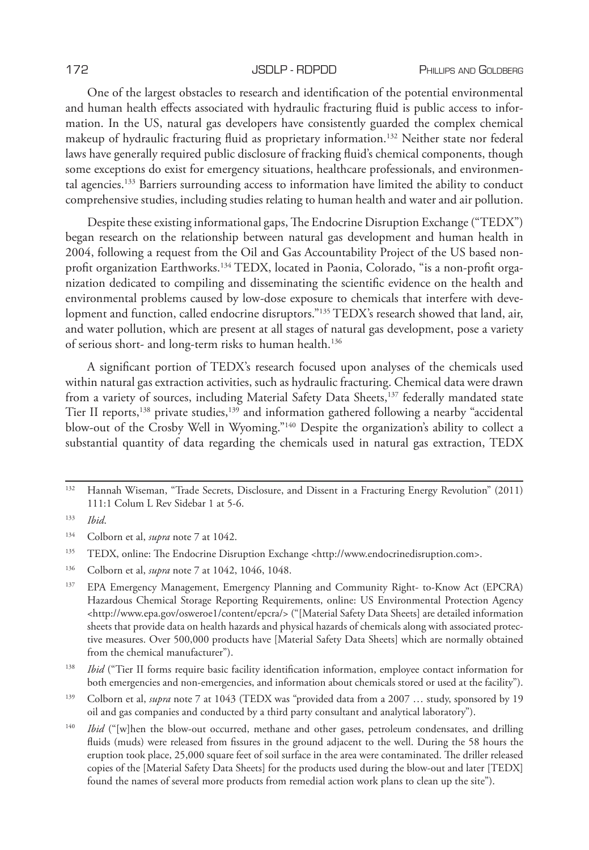One of the largest obstacles to research and identification of the potential environmental and human health effects associated with hydraulic fracturing fluid is public access to information. In the US, natural gas developers have consistently guarded the complex chemical makeup of hydraulic fracturing fluid as proprietary information.132 Neither state nor federal laws have generally required public disclosure of fracking fluid's chemical components, though some exceptions do exist for emergency situations, healthcare professionals, and environmental agencies.133 Barriers surrounding access to information have limited the ability to conduct comprehensive studies, including studies relating to human health and water and air pollution.

Despite these existing informational gaps, The Endocrine Disruption Exchange ("TEDX") began research on the relationship between natural gas development and human health in 2004, following a request from the Oil and Gas Accountability Project of the US based nonprofit organization Earthworks.<sup>134</sup> TEDX, located in Paonia, Colorado, "is a non-profit organization dedicated to compiling and disseminating the scientific evidence on the health and environmental problems caused by low-dose exposure to chemicals that interfere with development and function, called endocrine disruptors."<sup>135</sup> TEDX's research showed that land, air, and water pollution, which are present at all stages of natural gas development, pose a variety of serious short- and long-term risks to human health.136

A significant portion of TEDX's research focused upon analyses of the chemicals used within natural gas extraction activities, such as hydraulic fracturing. Chemical data were drawn from a variety of sources, including Material Safety Data Sheets,<sup>137</sup> federally mandated state Tier II reports,138 private studies,139 and information gathered following a nearby "accidental blow-out of the Crosby Well in Wyoming."<sup>140</sup> Despite the organization's ability to collect a substantial quantity of data regarding the chemicals used in natural gas extraction, TEDX

<sup>138</sup> *Ibid* ("Tier II forms require basic facility identification information, employee contact information for both emergencies and non-emergencies, and information about chemicals stored or used at the facility").

<sup>139</sup> Colborn et al, *supra* note 7 at 1043 (TEDX was "provided data from a 2007 … study, sponsored by 19 oil and gas companies and conducted by a third party consultant and analytical laboratory").

<sup>132</sup> Hannah Wiseman, "Trade Secrets, Disclosure, and Dissent in a Fracturing Energy Revolution" (2011) 111:1 Colum L Rev Sidebar 1 at 5-6.

<sup>133</sup> *Ibid*.

<sup>134</sup> Colborn et al, *supra* note 7 at 1042.

<sup>135</sup> TEDX, online: The Endocrine Disruption Exchange <http://www.endocrinedisruption.com>.

<sup>136</sup> Colborn et al, *supra* note 7 at 1042, 1046, 1048.

<sup>137</sup> EPA Emergency Management, Emergency Planning and Community Right- to-Know Act (EPCRA) Hazardous Chemical Storage Reporting Requirements, online: US Environmental Protection Agency <http://www.epa.gov/osweroe1/content/epcra/> ("[Material Safety Data Sheets] are detailed information sheets that provide data on health hazards and physical hazards of chemicals along with associated protective measures. Over 500,000 products have [Material Safety Data Sheets] which are normally obtained from the chemical manufacturer").

<sup>&</sup>lt;sup>140</sup> *Ibid* ("[w]hen the blow-out occurred, methane and other gases, petroleum condensates, and drilling fluids (muds) were released from fissures in the ground adjacent to the well. During the 58 hours the eruption took place, 25,000 square feet of soil surface in the area were contaminated. The driller released copies of the [Material Safety Data Sheets] for the products used during the blow-out and later [TEDX] found the names of several more products from remedial action work plans to clean up the site").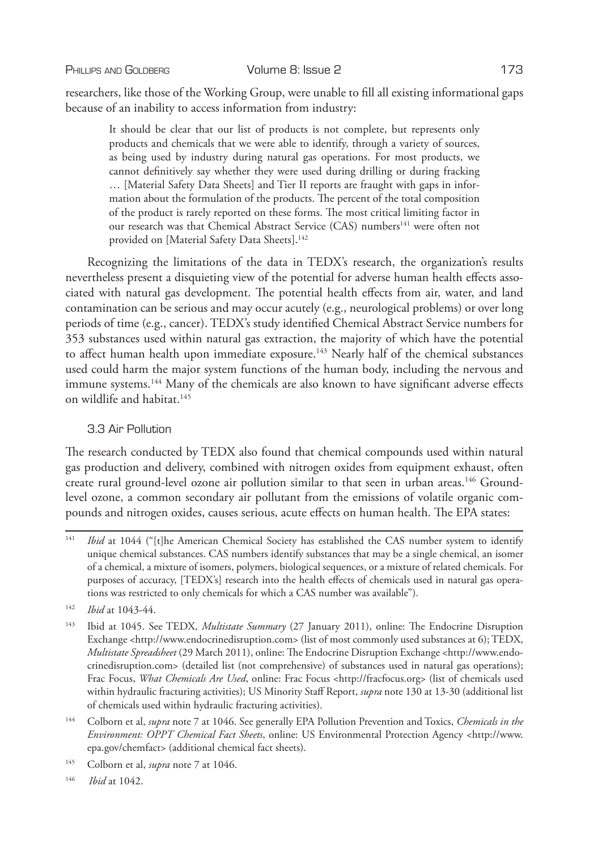PHILLIPS AND GOLDBERG **Volume 8: Issue 2** 173

researchers, like those of the Working Group, were unable to fill all existing informational gaps because of an inability to access information from industry:

It should be clear that our list of products is not complete, but represents only products and chemicals that we were able to identify, through a variety of sources, as being used by industry during natural gas operations. For most products, we cannot definitively say whether they were used during drilling or during fracking … [Material Safety Data Sheets] and Tier II reports are fraught with gaps in information about the formulation of the products. The percent of the total composition of the product is rarely reported on these forms. The most critical limiting factor in our research was that Chemical Abstract Service (CAS) numbers<sup>141</sup> were often not provided on [Material Safety Data Sheets].<sup>142</sup>

Recognizing the limitations of the data in TEDX's research, the organization's results nevertheless present a disquieting view of the potential for adverse human health effects associated with natural gas development. The potential health effects from air, water, and land contamination can be serious and may occur acutely (e.g., neurological problems) or over long periods of time (e.g., cancer). TEDX's study identified Chemical Abstract Service numbers for 353 substances used within natural gas extraction, the majority of which have the potential to affect human health upon immediate exposure.<sup>143</sup> Nearly half of the chemical substances used could harm the major system functions of the human body, including the nervous and immune systems.<sup>144</sup> Many of the chemicals are also known to have significant adverse effects on wildlife and habitat.<sup>145</sup>

# 3.3 Air Pollution

The research conducted by TEDX also found that chemical compounds used within natural gas production and delivery, combined with nitrogen oxides from equipment exhaust, often create rural ground-level ozone air pollution similar to that seen in urban areas.146 Groundlevel ozone, a common secondary air pollutant from the emissions of volatile organic compounds and nitrogen oxides, causes serious, acute effects on human health. The EPA states:

<sup>&</sup>lt;sup>141</sup> *Ibid* at 1044 ("[t]he American Chemical Society has established the CAS number system to identify unique chemical substances. CAS numbers identify substances that may be a single chemical, an isomer of a chemical, a mixture of isomers, polymers, biological sequences, or a mixture of related chemicals. For purposes of accuracy, [TEDX's] research into the health effects of chemicals used in natural gas operations was restricted to only chemicals for which a CAS number was available").

<sup>142</sup> *Ibid* at 1043-44.

<sup>143</sup> Ibid at 1045. See TEDX, *Multistate Summary* (27 January 2011), online: The Endocrine Disruption Exchange <http://www.endocrinedisruption.com> (list of most commonly used substances at 6); TEDX, *Multistate Spreadsheet* (29 March 2011), online: The Endocrine Disruption Exchange <http://www.endocrinedisruption.com> (detailed list (not comprehensive) of substances used in natural gas operations); Frac Focus, *What Chemicals Are Used*, online: Frac Focus <http://fracfocus.org> (list of chemicals used within hydraulic fracturing activities); US Minority Staff Report, *supra* note 130 at 13-30 (additional list of chemicals used within hydraulic fracturing activities).

<sup>144</sup> Colborn et al, *supra* note 7 at 1046. See generally EPA Pollution Prevention and Toxics, *Chemicals in the Environment: OPPT Chemical Fact Sheets*, online: US Environmental Protection Agency <http://www. epa.gov/chemfact> (additional chemical fact sheets).

<sup>145</sup> Colborn et al, *supra* note 7 at 1046.

<sup>146</sup> *Ibid* at 1042.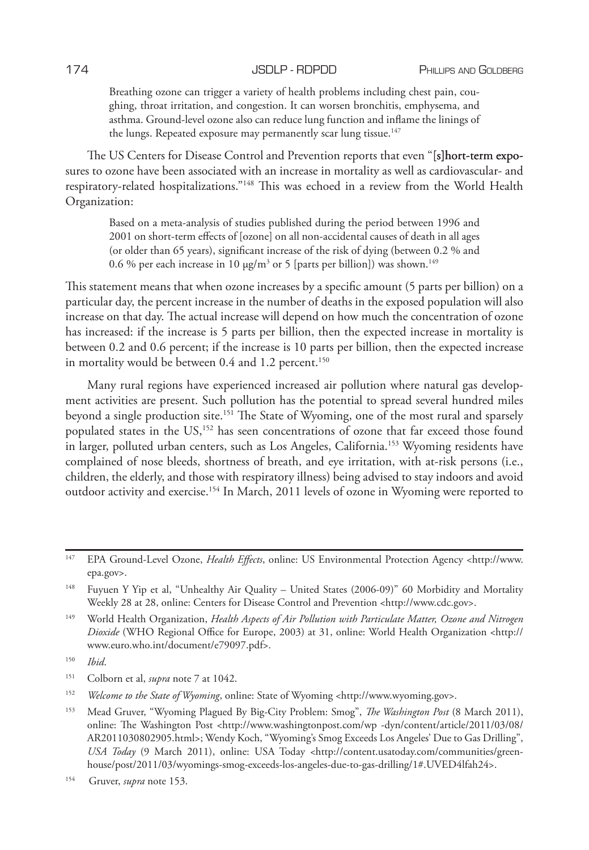Breathing ozone can trigger a variety of health problems including chest pain, coughing, throat irritation, and congestion. It can worsen bronchitis, emphysema, and asthma. Ground-level ozone also can reduce lung function and inflame the linings of the lungs. Repeated exposure may permanently scar lung tissue.<sup>147</sup>

The US Centers for Disease Control and Prevention reports that even "[s]hort-term exposures to ozone have been associated with an increase in mortality as well as cardiovascular- and respiratory-related hospitalizations."148 This was echoed in a review from the World Health Organization:

Based on a meta-analysis of studies published during the period between 1996 and 2001 on short-term effects of [ozone] on all non-accidental causes of death in all ages (or older than 65 years), significant increase of the risk of dying (between 0.2 % and 0.6 % per each increase in 10 μg/m<sup>3</sup> or 5 [parts per billion]) was shown.<sup>149</sup>

This statement means that when ozone increases by a specific amount (5 parts per billion) on a particular day, the percent increase in the number of deaths in the exposed population will also increase on that day. The actual increase will depend on how much the concentration of ozone has increased: if the increase is 5 parts per billion, then the expected increase in mortality is between 0.2 and 0.6 percent; if the increase is 10 parts per billion, then the expected increase in mortality would be between 0.4 and 1.2 percent.<sup>150</sup>

Many rural regions have experienced increased air pollution where natural gas development activities are present. Such pollution has the potential to spread several hundred miles beyond a single production site.151 The State of Wyoming, one of the most rural and sparsely populated states in the US,<sup>152</sup> has seen concentrations of ozone that far exceed those found in larger, polluted urban centers, such as Los Angeles, California.153 Wyoming residents have complained of nose bleeds, shortness of breath, and eye irritation, with at-risk persons (i.e., children, the elderly, and those with respiratory illness) being advised to stay indoors and avoid outdoor activity and exercise.154 In March, 2011 levels of ozone in Wyoming were reported to

<sup>147</sup> EPA Ground-Level Ozone, *Health Effects*, online: US Environmental Protection Agency <http://www. epa.gov>.

<sup>148</sup> Fuyuen Y Yip et al, "Unhealthy Air Quality – United States (2006-09)" 60 Morbidity and Mortality Weekly 28 at 28, online: Centers for Disease Control and Prevention <http://www.cdc.gov>.

<sup>149</sup> World Health Organization, *Health Aspects of Air Pollution with Particulate Matter, Ozone and Nitrogen Dioxide* (WHO Regional Office for Europe, 2003) at 31, online: World Health Organization <http:// www.euro.who.int/document/e79097.pdf>.

<sup>150</sup> *Ibid*.

<sup>151</sup> Colborn et al, *supra* note 7 at 1042.

<sup>152</sup> *Welcome to the State of Wyoming*, online: State of Wyoming <http://www.wyoming.gov>.

<sup>153</sup> Mead Gruver, "Wyoming Plagued By Big-City Problem: Smog", *The Washington Post* (8 March 2011), online: The Washington Post <http://www.washingtonpost.com/wp -dyn/content/article/2011/03/08/ AR2011030802905.html>; Wendy Koch, "Wyoming's Smog Exceeds Los Angeles' Due to Gas Drilling", *USA Today* (9 March 2011), online: USA Today <http://content.usatoday.com/communities/greenhouse/post/2011/03/wyomings-smog-exceeds-los-angeles-due-to-gas-drilling/1#.UVED4lfah24>.

<sup>154</sup> Gruver, *supra* note 153.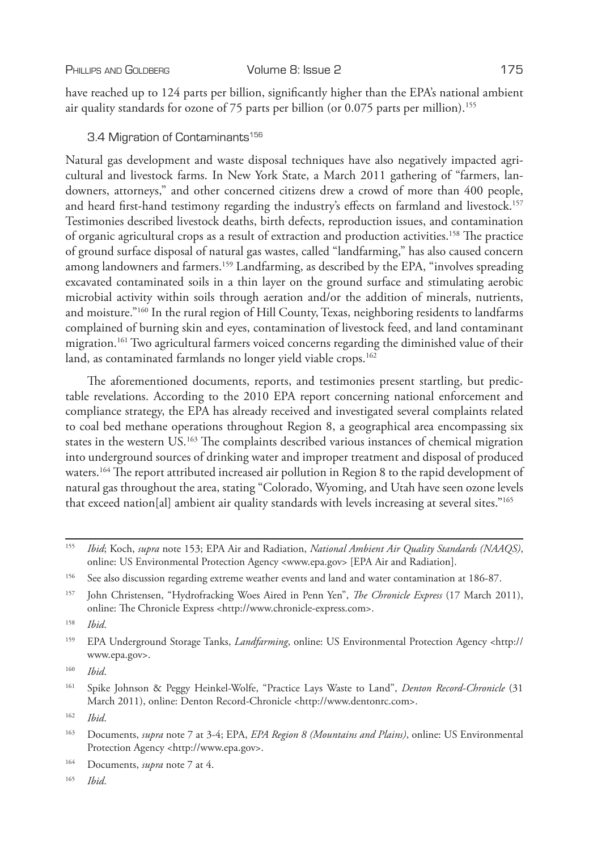PHILLIPS AND GOLDBERG Volume 8: Issue 2 175

have reached up to 124 parts per billion, significantly higher than the EPA's national ambient air quality standards for ozone of 75 parts per billion (or  $0.075$  parts per million).<sup>155</sup>

# 3.4 Migration of Contaminants<sup>156</sup>

Natural gas development and waste disposal techniques have also negatively impacted agricultural and livestock farms. In New York State, a March 2011 gathering of "farmers, landowners, attorneys," and other concerned citizens drew a crowd of more than 400 people, and heard first-hand testimony regarding the industry's effects on farmland and livestock.<sup>157</sup> Testimonies described livestock deaths, birth defects, reproduction issues, and contamination of organic agricultural crops as a result of extraction and production activities.158 The practice of ground surface disposal of natural gas wastes, called "landfarming," has also caused concern among landowners and farmers.159 Landfarming, as described by the EPA, "involves spreading excavated contaminated soils in a thin layer on the ground surface and stimulating aerobic microbial activity within soils through aeration and/or the addition of minerals, nutrients, and moisture."160 In the rural region of Hill County, Texas, neighboring residents to landfarms complained of burning skin and eyes, contamination of livestock feed, and land contaminant migration.<sup>161</sup> Two agricultural farmers voiced concerns regarding the diminished value of their land, as contaminated farmlands no longer yield viable crops.<sup>162</sup>

The aforementioned documents, reports, and testimonies present startling, but predictable revelations. According to the 2010 EPA report concerning national enforcement and compliance strategy, the EPA has already received and investigated several complaints related to coal bed methane operations throughout Region 8, a geographical area encompassing six states in the western US.<sup>163</sup> The complaints described various instances of chemical migration into underground sources of drinking water and improper treatment and disposal of produced waters.164 The report attributed increased air pollution in Region 8 to the rapid development of natural gas throughout the area, stating "Colorado, Wyoming, and Utah have seen ozone levels that exceed nation[al] ambient air quality standards with levels increasing at several sites."165

<sup>160</sup> *Ibid*.

<sup>165</sup> *Ibid*.

<sup>155</sup> *Ibid*; Koch, *supra* note 153; EPA Air and Radiation, *National Ambient Air Quality Standards (NAAQS)*, online: US Environmental Protection Agency <www.epa.gov> [EPA Air and Radiation].

<sup>&</sup>lt;sup>156</sup> See also discussion regarding extreme weather events and land and water contamination at 186-87.

<sup>157</sup> John Christensen, "Hydrofracking Woes Aired in Penn Yen", *The Chronicle Express* (17 March 2011), online: The Chronicle Express <http://www.chronicle-express.com>.

<sup>158</sup> *Ibid*.

<sup>159</sup> EPA Underground Storage Tanks, *Landfarming*, online: US Environmental Protection Agency <http:// www.epa.gov>.

<sup>161</sup> Spike Johnson & Peggy Heinkel-Wolfe, "Practice Lays Waste to Land", *Denton Record-Chronicle* (31 March 2011), online: Denton Record-Chronicle <http://www.dentonrc.com>.

<sup>162</sup> *Ibid*.

<sup>163</sup> Documents, *supra* note 7 at 3-4; EPA, *EPA Region 8 (Mountains and Plains)*, online: US Environmental Protection Agency <http://www.epa.gov>.

<sup>164</sup> Documents, *supra* note 7 at 4.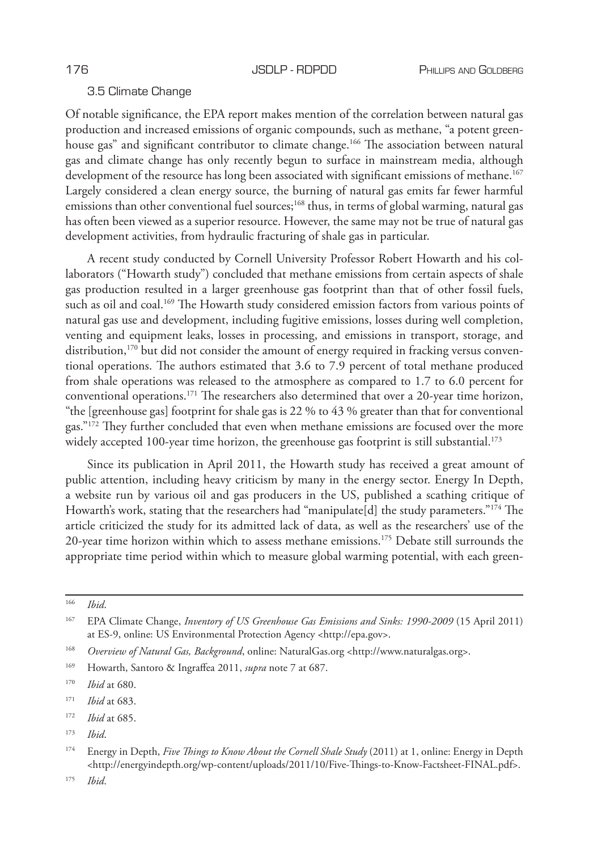# 3.5 Climate Change

Of notable significance, the EPA report makes mention of the correlation between natural gas production and increased emissions of organic compounds, such as methane, "a potent greenhouse gas" and significant contributor to climate change.<sup>166</sup> The association between natural gas and climate change has only recently begun to surface in mainstream media, although development of the resource has long been associated with significant emissions of methane.<sup>167</sup> Largely considered a clean energy source, the burning of natural gas emits far fewer harmful emissions than other conventional fuel sources;<sup>168</sup> thus, in terms of global warming, natural gas has often been viewed as a superior resource. However, the same may not be true of natural gas development activities, from hydraulic fracturing of shale gas in particular.

A recent study conducted by Cornell University Professor Robert Howarth and his collaborators ("Howarth study") concluded that methane emissions from certain aspects of shale gas production resulted in a larger greenhouse gas footprint than that of other fossil fuels, such as oil and coal.<sup>169</sup> The Howarth study considered emission factors from various points of natural gas use and development, including fugitive emissions, losses during well completion, venting and equipment leaks, losses in processing, and emissions in transport, storage, and distribution,<sup>170</sup> but did not consider the amount of energy required in fracking versus conventional operations. The authors estimated that 3.6 to 7.9 percent of total methane produced from shale operations was released to the atmosphere as compared to 1.7 to 6.0 percent for conventional operations.171 The researchers also determined that over a 20-year time horizon, "the [greenhouse gas] footprint for shale gas is 22 % to 43 % greater than that for conventional gas."172 They further concluded that even when methane emissions are focused over the more widely accepted 100-year time horizon, the greenhouse gas footprint is still substantial.<sup>173</sup>

Since its publication in April 2011, the Howarth study has received a great amount of public attention, including heavy criticism by many in the energy sector. Energy In Depth, a website run by various oil and gas producers in the US, published a scathing critique of Howarth's work, stating that the researchers had "manipulate[d] the study parameters."174 The article criticized the study for its admitted lack of data, as well as the researchers' use of the 20-year time horizon within which to assess methane emissions.<sup>175</sup> Debate still surrounds the appropriate time period within which to measure global warming potential, with each green-

<sup>175</sup> *Ibid*.

<sup>166</sup> *Ibid*.

<sup>167</sup> EPA Climate Change, *Inventory of US Greenhouse Gas Emissions and Sinks: 1990-2009* (15 April 2011) at ES-9, online: US Environmental Protection Agency <http://epa.gov>.

<sup>168</sup> *Overview of Natural Gas, Background*, online: NaturalGas.org <http://www.naturalgas.org>.

<sup>169</sup> Howarth, Santoro & Ingraffea 2011, *supra* note 7 at 687.

<sup>170</sup> *Ibid* at 680.

<sup>171</sup> *Ibid* at 683.

<sup>172</sup> *Ibid* at 685.

<sup>173</sup> *Ibid*.

<sup>174</sup> Energy in Depth, *Five Things to Know About the Cornell Shale Study* (2011) at 1, online: Energy in Depth <http://energyindepth.org/wp-content/uploads/2011/10/Five-Things-to-Know-Factsheet-FINAL.pdf>.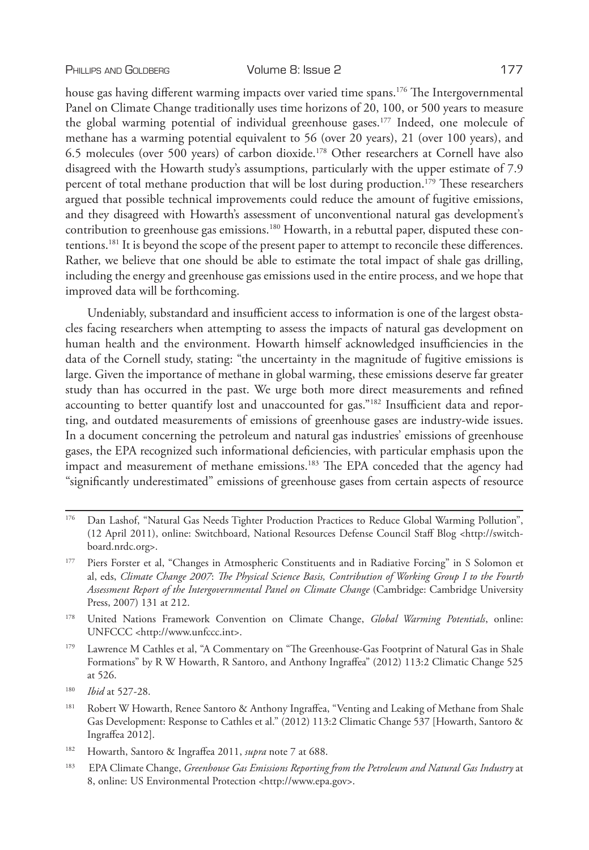house gas having different warming impacts over varied time spans.<sup>176</sup> The Intergovernmental Panel on Climate Change traditionally uses time horizons of 20, 100, or 500 years to measure the global warming potential of individual greenhouse gases.177 Indeed, one molecule of methane has a warming potential equivalent to 56 (over 20 years), 21 (over 100 years), and 6.5 molecules (over 500 years) of carbon dioxide.178 Other researchers at Cornell have also disagreed with the Howarth study's assumptions, particularly with the upper estimate of 7.9 percent of total methane production that will be lost during production.179 These researchers argued that possible technical improvements could reduce the amount of fugitive emissions, and they disagreed with Howarth's assessment of unconventional natural gas development's contribution to greenhouse gas emissions.<sup>180</sup> Howarth, in a rebuttal paper, disputed these contentions.181 It is beyond the scope of the present paper to attempt to reconcile these differences.

including the energy and greenhouse gas emissions used in the entire process, and we hope that improved data will be forthcoming.

Undeniably, substandard and insufficient access to information is one of the largest obstacles facing researchers when attempting to assess the impacts of natural gas development on human health and the environment. Howarth himself acknowledged insufficiencies in the data of the Cornell study, stating: "the uncertainty in the magnitude of fugitive emissions is large. Given the importance of methane in global warming, these emissions deserve far greater study than has occurred in the past. We urge both more direct measurements and refined accounting to better quantify lost and unaccounted for gas."182 Insufficient data and reporting, and outdated measurements of emissions of greenhouse gases are industry-wide issues. In a document concerning the petroleum and natural gas industries' emissions of greenhouse gases, the EPA recognized such informational deficiencies, with particular emphasis upon the impact and measurement of methane emissions.183 The EPA conceded that the agency had "significantly underestimated" emissions of greenhouse gases from certain aspects of resource

Rather, we believe that one should be able to estimate the total impact of shale gas drilling,

<sup>176</sup> Dan Lashof, "Natural Gas Needs Tighter Production Practices to Reduce Global Warming Pollution", (12 April 2011), online: Switchboard, National Resources Defense Council Staff Blog <http://switchboard.nrdc.org>.

<sup>177</sup> Piers Forster et al, "Changes in Atmospheric Constituents and in Radiative Forcing" in S Solomon et al, eds, *Climate Change 2007*: *The Physical Science Basis, Contribution of Working Group I to the Fourth Assessment Report of the Intergovernmental Panel on Climate Change* (Cambridge: Cambridge University Press, 2007) 131 at 212.

<sup>178</sup> United Nations Framework Convention on Climate Change, *Global Warming Potentials*, online: UNFCCC <http://www.unfccc.int>.

<sup>179</sup> Lawrence M Cathles et al, "A Commentary on "The Greenhouse-Gas Footprint of Natural Gas in Shale Formations" by R W Howarth, R Santoro, and Anthony Ingraffea" (2012) 113:2 Climatic Change 525 at 526.

<sup>180</sup> *Ibid* at 527-28.

<sup>&</sup>lt;sup>181</sup> Robert W Howarth, Renee Santoro & Anthony Ingraffea, "Venting and Leaking of Methane from Shale Gas Development: Response to Cathles et al." (2012) 113:2 Climatic Change 537 [Howarth, Santoro & Ingraffea 2012].

<sup>182</sup> Howarth, Santoro & Ingraffea 2011, *supra* note 7 at 688.

<sup>183</sup> EPA Climate Change, *Greenhouse Gas Emissions Reporting from the Petroleum and Natural Gas Industry* at 8, online: US Environmental Protection <http://www.epa.gov>.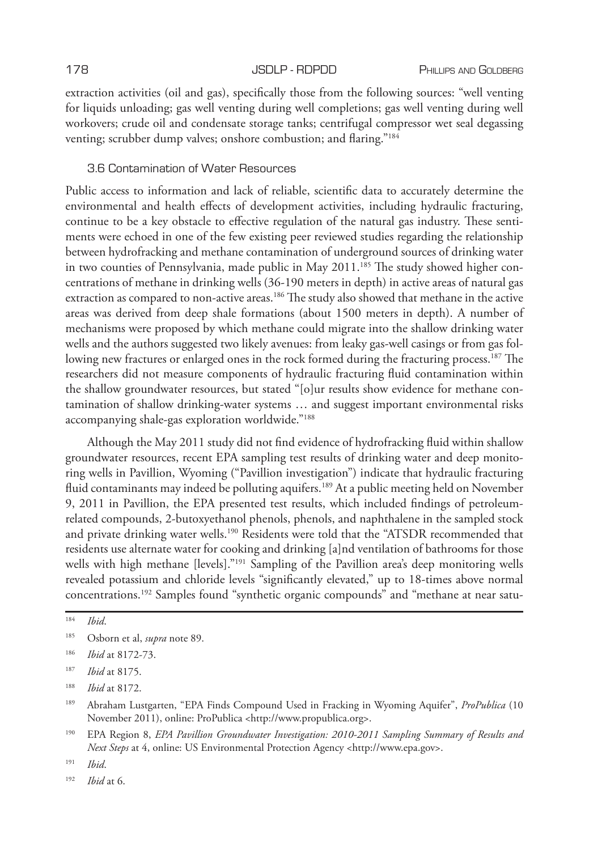extraction activities (oil and gas), specifically those from the following sources: "well venting for liquids unloading; gas well venting during well completions; gas well venting during well workovers; crude oil and condensate storage tanks; centrifugal compressor wet seal degassing venting; scrubber dump valves; onshore combustion; and flaring."184

### 3.6 Contamination of Water Resources

Public access to information and lack of reliable, scientific data to accurately determine the environmental and health effects of development activities, including hydraulic fracturing, continue to be a key obstacle to effective regulation of the natural gas industry. These sentiments were echoed in one of the few existing peer reviewed studies regarding the relationship between hydrofracking and methane contamination of underground sources of drinking water in two counties of Pennsylvania, made public in May  $2011.^{185}$  The study showed higher concentrations of methane in drinking wells (36-190 meters in depth) in active areas of natural gas extraction as compared to non-active areas.<sup>186</sup> The study also showed that methane in the active areas was derived from deep shale formations (about 1500 meters in depth). A number of mechanisms were proposed by which methane could migrate into the shallow drinking water wells and the authors suggested two likely avenues: from leaky gas-well casings or from gas following new fractures or enlarged ones in the rock formed during the fracturing process.<sup>187</sup> The researchers did not measure components of hydraulic fracturing fluid contamination within the shallow groundwater resources, but stated "[o]ur results show evidence for methane contamination of shallow drinking-water systems … and suggest important environmental risks accompanying shale-gas exploration worldwide."188

Although the May 2011 study did not find evidence of hydrofracking fluid within shallow groundwater resources, recent EPA sampling test results of drinking water and deep monitoring wells in Pavillion, Wyoming ("Pavillion investigation") indicate that hydraulic fracturing fluid contaminants may indeed be polluting aquifers.<sup>189</sup> At a public meeting held on November 9, 2011 in Pavillion, the EPA presented test results, which included findings of petroleumrelated compounds, 2-butoxyethanol phenols, phenols, and naphthalene in the sampled stock and private drinking water wells.190 Residents were told that the "ATSDR recommended that residents use alternate water for cooking and drinking [a]nd ventilation of bathrooms for those wells with high methane [levels]."<sup>191</sup> Sampling of the Pavillion area's deep monitoring wells revealed potassium and chloride levels "significantly elevated," up to 18-times above normal concentrations.192 Samples found "synthetic organic compounds" and "methane at near satu-

<sup>184</sup> *Ibid*.

<sup>185</sup> Osborn et al, *supra* note 89.

<sup>186</sup> *Ibid* at 8172-73.

<sup>187</sup> *Ibid* at 8175.

<sup>188</sup> *Ibid* at 8172.

<sup>189</sup> Abraham Lustgarten, "EPA Finds Compound Used in Fracking in Wyoming Aquifer", *ProPublica* (10 November 2011), online: ProPublica <http://www.propublica.org>.

<sup>190</sup> EPA Region 8, *EPA Pavillion Groundwater Investigation: 2010-2011 Sampling Summary of Results and Next Steps* at 4, online: US Environmental Protection Agency <http://www.epa.gov>.

<sup>191</sup> *Ibid*.

<sup>192</sup> *Ibid* at 6.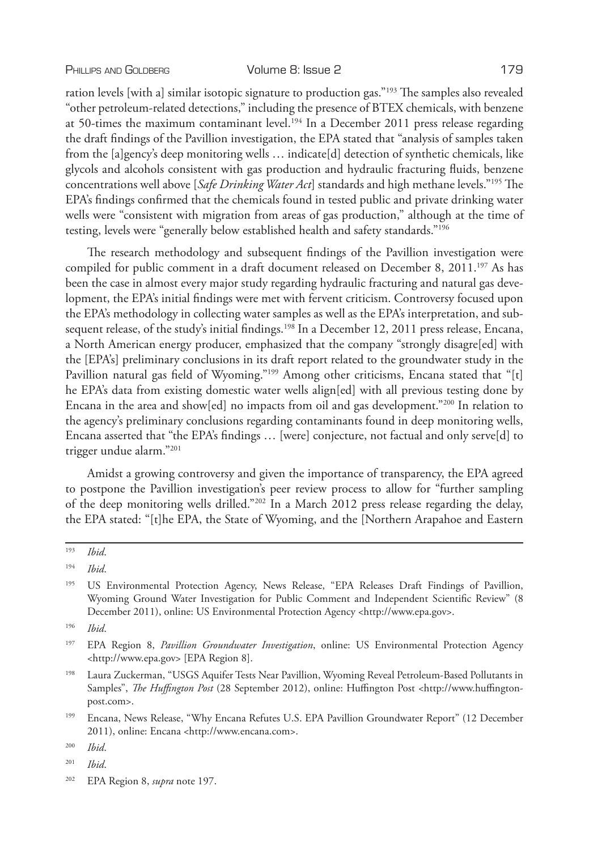### PHILLIPS AND GOLDBERG **Volume 8: Issue 2** 179

ration levels [with a] similar isotopic signature to production gas."193 The samples also revealed "other petroleum-related detections," including the presence of BTEX chemicals, with benzene at 50-times the maximum contaminant level.<sup>194</sup> In a December 2011 press release regarding the draft findings of the Pavillion investigation, the EPA stated that "analysis of samples taken from the [a]gency's deep monitoring wells … indicate[d] detection of synthetic chemicals, like glycols and alcohols consistent with gas production and hydraulic fracturing fluids, benzene concentrations well above [*Safe Drinking Water Act*] standards and high methane levels."195 The EPA's findings confirmed that the chemicals found in tested public and private drinking water wells were "consistent with migration from areas of gas production," although at the time of testing, levels were "generally below established health and safety standards."196

The research methodology and subsequent findings of the Pavillion investigation were compiled for public comment in a draft document released on December 8, 2011.<sup>197</sup> As has been the case in almost every major study regarding hydraulic fracturing and natural gas development, the EPA's initial findings were met with fervent criticism. Controversy focused upon the EPA's methodology in collecting water samples as well as the EPA's interpretation, and subsequent release, of the study's initial findings.<sup>198</sup> In a December 12, 2011 press release, Encana, a North American energy producer, emphasized that the company "strongly disagre[ed] with the [EPA's] preliminary conclusions in its draft report related to the groundwater study in the Pavillion natural gas field of Wyoming."<sup>199</sup> Among other criticisms, Encana stated that "[t] he EPA's data from existing domestic water wells align[ed] with all previous testing done by Encana in the area and show[ed] no impacts from oil and gas development."200 In relation to the agency's preliminary conclusions regarding contaminants found in deep monitoring wells, Encana asserted that "the EPA's findings … [were] conjecture, not factual and only serve[d] to trigger undue alarm."201

Amidst a growing controversy and given the importance of transparency, the EPA agreed to postpone the Pavillion investigation's peer review process to allow for "further sampling of the deep monitoring wells drilled."202 In a March 2012 press release regarding the delay, the EPA stated: "[t]he EPA, the State of Wyoming, and the [Northern Arapahoe and Eastern

- <sup>201</sup> *Ibid*.
- <sup>202</sup> EPA Region 8, *supra* note 197.

<sup>193</sup> *Ibid*.

<sup>194</sup> *Ibid*.

<sup>&</sup>lt;sup>195</sup> US Environmental Protection Agency, News Release, "EPA Releases Draft Findings of Pavillion, Wyoming Ground Water Investigation for Public Comment and Independent Scientific Review" (8 December 2011), online: US Environmental Protection Agency <http://www.epa.gov>.

<sup>196</sup> *Ibid*.

<sup>197</sup> EPA Region 8, *Pavillion Groundwater Investigation*, online: US Environmental Protection Agency <http://www.epa.gov> [EPA Region 8].

<sup>&</sup>lt;sup>198</sup> Laura Zuckerman, "USGS Aquifer Tests Near Pavillion, Wyoming Reveal Petroleum-Based Pollutants in Samples", *The Huffington Post* (28 September 2012), online: Huffington Post <http://www.huffingtonpost.com>.

<sup>199</sup> Encana, News Release, "Why Encana Refutes U.S. EPA Pavillion Groundwater Report" (12 December 2011), online: Encana <http://www.encana.com>.

<sup>200</sup> *Ibid*.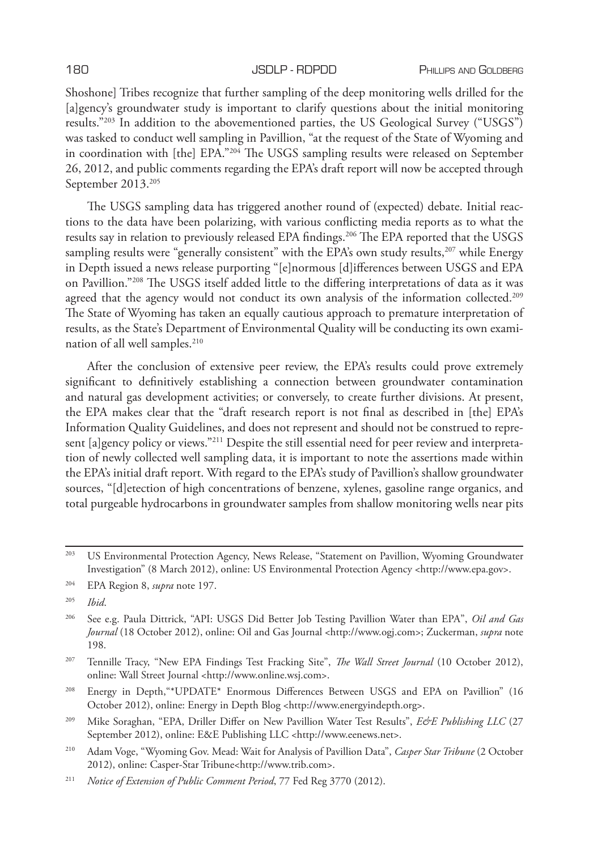Shoshone] Tribes recognize that further sampling of the deep monitoring wells drilled for the [a]gency's groundwater study is important to clarify questions about the initial monitoring results."203 In addition to the abovementioned parties, the US Geological Survey ("USGS") was tasked to conduct well sampling in Pavillion, "at the request of the State of Wyoming and in coordination with [the] EPA."204 The USGS sampling results were released on September 26, 2012, and public comments regarding the EPA's draft report will now be accepted through September 2013.205

The USGS sampling data has triggered another round of (expected) debate. Initial reactions to the data have been polarizing, with various conflicting media reports as to what the results say in relation to previously released EPA findings.206 The EPA reported that the USGS sampling results were "generally consistent" with the EPA's own study results, $207$  while Energy in Depth issued a news release purporting "[e]normous [d]ifferences between USGS and EPA on Pavillion."208 The USGS itself added little to the differing interpretations of data as it was agreed that the agency would not conduct its own analysis of the information collected.<sup>209</sup> The State of Wyoming has taken an equally cautious approach to premature interpretation of results, as the State's Department of Environmental Quality will be conducting its own examination of all well samples.<sup>210</sup>

After the conclusion of extensive peer review, the EPA's results could prove extremely significant to definitively establishing a connection between groundwater contamination and natural gas development activities; or conversely, to create further divisions. At present, the EPA makes clear that the "draft research report is not final as described in [the] EPA's Information Quality Guidelines, and does not represent and should not be construed to represent [a]gency policy or views."211 Despite the still essential need for peer review and interpretation of newly collected well sampling data, it is important to note the assertions made within the EPA's initial draft report. With regard to the EPA's study of Pavillion's shallow groundwater sources, "[d]etection of high concentrations of benzene, xylenes, gasoline range organics, and total purgeable hydrocarbons in groundwater samples from shallow monitoring wells near pits

<sup>203</sup> US Environmental Protection Agency, News Release, "Statement on Pavillion, Wyoming Groundwater Investigation" (8 March 2012), online: US Environmental Protection Agency <http://www.epa.gov>.

<sup>204</sup> EPA Region 8, *supra* note 197.

<sup>205</sup> *Ibid*.

<sup>206</sup> See e.g. Paula Dittrick, "API: USGS Did Better Job Testing Pavillion Water than EPA", *Oil and Gas Journal* (18 October 2012), online: Oil and Gas Journal <http://www.ogj.com>; Zuckerman, *supra* note 198.

<sup>207</sup> Tennille Tracy, "New EPA Findings Test Fracking Site", *The Wall Street Journal* (10 October 2012), online: Wall Street Journal <http://www.online.wsj.com>.

<sup>208</sup> Energy in Depth,"\*UPDATE\* Enormous Differences Between USGS and EPA on Pavillion" (16 October 2012), online: Energy in Depth Blog <http://www.energyindepth.org>.

<sup>&</sup>lt;sup>209</sup> Mike Soraghan, "EPA, Driller Differ on New Pavillion Water Test Results", *E&E Publishing LLC* (27 September 2012), online: E&E Publishing LLC <http://www.eenews.net>.

<sup>210</sup> Adam Voge, "Wyoming Gov. Mead: Wait for Analysis of Pavillion Data", *Casper Star Tribune* (2 October 2012), online: Casper-Star Tribune<http://www.trib.com>.

<sup>211</sup> *Notice of Extension of Public Comment Period*, 77 Fed Reg 3770 (2012).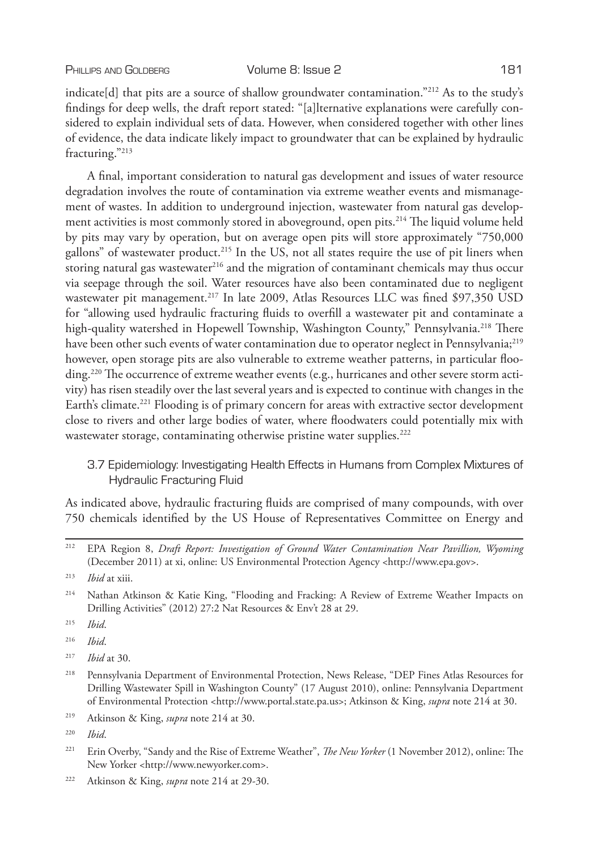indicate[d] that pits are a source of shallow groundwater contamination."<sup>212</sup> As to the study's findings for deep wells, the draft report stated: "[a]lternative explanations were carefully considered to explain individual sets of data. However, when considered together with other lines of evidence, the data indicate likely impact to groundwater that can be explained by hydraulic fracturing."213

A final, important consideration to natural gas development and issues of water resource degradation involves the route of contamination via extreme weather events and mismanagement of wastes. In addition to underground injection, wastewater from natural gas development activities is most commonly stored in aboveground, open pits.<sup>214</sup> The liquid volume held by pits may vary by operation, but on average open pits will store approximately "750,000 gallons" of wastewater product.<sup>215</sup> In the US, not all states require the use of pit liners when storing natural gas wastewater<sup>216</sup> and the migration of contaminant chemicals may thus occur via seepage through the soil. Water resources have also been contaminated due to negligent wastewater pit management.<sup>217</sup> In late 2009, Atlas Resources LLC was fined \$97,350 USD for "allowing used hydraulic fracturing fluids to overfill a wastewater pit and contaminate a high-quality watershed in Hopewell Township, Washington County," Pennsylvania.<sup>218</sup> There have been other such events of water contamination due to operator neglect in Pennsylvania;<sup>219</sup> however, open storage pits are also vulnerable to extreme weather patterns, in particular flooding.<sup>220</sup> The occurrence of extreme weather events (e.g., hurricanes and other severe storm activity) has risen steadily over the last several years and is expected to continue with changes in the Earth's climate.221 Flooding is of primary concern for areas with extractive sector development close to rivers and other large bodies of water, where floodwaters could potentially mix with wastewater storage, contaminating otherwise pristine water supplies.<sup>222</sup>

3.7 Epidemiology: Investigating Health Effects in Humans from Complex Mixtures of Hydraulic Fracturing Fluid

As indicated above, hydraulic fracturing fluids are comprised of many compounds, with over 750 chemicals identified by the US House of Representatives Committee on Energy and

<sup>215</sup> *Ibid*.

<sup>216</sup> *Ibid*.

<sup>217</sup> *Ibid* at 30.

- <sup>218</sup> Pennsylvania Department of Environmental Protection, News Release, "DEP Fines Atlas Resources for Drilling Wastewater Spill in Washington County" (17 August 2010), online: Pennsylvania Department of Environmental Protection <http://www.portal.state.pa.us>; Atkinson & King, *supra* note 214 at 30.
- <sup>219</sup> Atkinson & King, *supra* note 214 at 30.

- <sup>221</sup> Erin Overby, "Sandy and the Rise of Extreme Weather", *The New Yorker* (1 November 2012), online: The New Yorker <http://www.newyorker.com>.
- <sup>222</sup> Atkinson & King, *supra* note 214 at 29-30.

<sup>212</sup> EPA Region 8, *Draft Report: Investigation of Ground Water Contamination Near Pavillion, Wyoming* (December 2011) at xi, online: US Environmental Protection Agency <http://www.epa.gov>.

<sup>213</sup> *Ibid* at xiii.

<sup>214</sup> Nathan Atkinson & Katie King, "Flooding and Fracking: A Review of Extreme Weather Impacts on Drilling Activities" (2012) 27:2 Nat Resources & Env't 28 at 29.

<sup>220</sup> *Ibid*.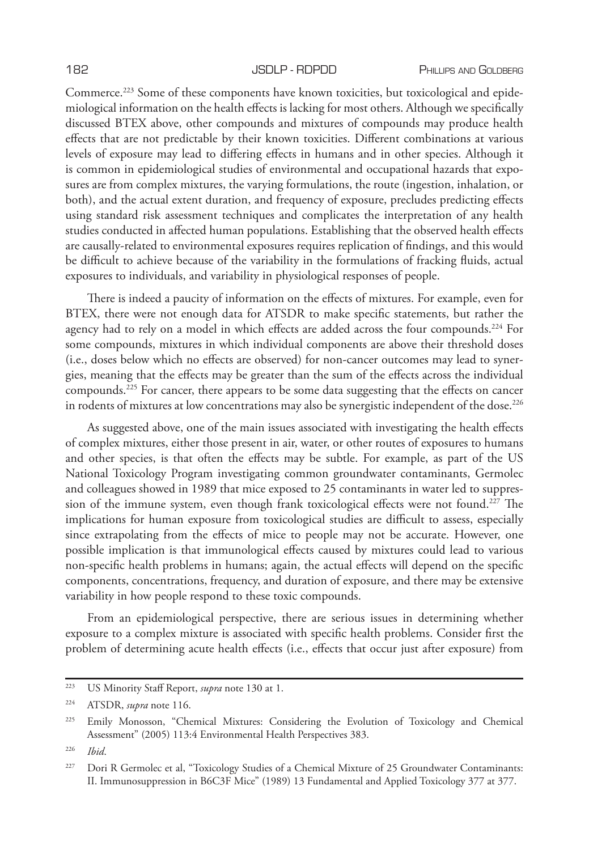Commerce.223 Some of these components have known toxicities, but toxicological and epidemiological information on the health effects is lacking for most others. Although we specifically discussed BTEX above, other compounds and mixtures of compounds may produce health effects that are not predictable by their known toxicities. Different combinations at various levels of exposure may lead to differing effects in humans and in other species. Although it is common in epidemiological studies of environmental and occupational hazards that exposures are from complex mixtures, the varying formulations, the route (ingestion, inhalation, or both), and the actual extent duration, and frequency of exposure, precludes predicting effects using standard risk assessment techniques and complicates the interpretation of any health studies conducted in affected human populations. Establishing that the observed health effects are causally-related to environmental exposures requires replication of findings, and this would be difficult to achieve because of the variability in the formulations of fracking fluids, actual exposures to individuals, and variability in physiological responses of people.

There is indeed a paucity of information on the effects of mixtures. For example, even for BTEX, there were not enough data for ATSDR to make specific statements, but rather the agency had to rely on a model in which effects are added across the four compounds.<sup>224</sup> For some compounds, mixtures in which individual components are above their threshold doses (i.e., doses below which no effects are observed) for non-cancer outcomes may lead to synergies, meaning that the effects may be greater than the sum of the effects across the individual compounds.225 For cancer, there appears to be some data suggesting that the effects on cancer in rodents of mixtures at low concentrations may also be synergistic independent of the dose.<sup>226</sup>

As suggested above, one of the main issues associated with investigating the health effects of complex mixtures, either those present in air, water, or other routes of exposures to humans and other species, is that often the effects may be subtle. For example, as part of the US National Toxicology Program investigating common groundwater contaminants, Germolec and colleagues showed in 1989 that mice exposed to 25 contaminants in water led to suppression of the immune system, even though frank toxicological effects were not found.<sup>227</sup> The implications for human exposure from toxicological studies are difficult to assess, especially since extrapolating from the effects of mice to people may not be accurate. However, one possible implication is that immunological effects caused by mixtures could lead to various non-specific health problems in humans; again, the actual effects will depend on the specific components, concentrations, frequency, and duration of exposure, and there may be extensive variability in how people respond to these toxic compounds.

From an epidemiological perspective, there are serious issues in determining whether exposure to a complex mixture is associated with specific health problems. Consider first the problem of determining acute health effects (i.e., effects that occur just after exposure) from

<sup>223</sup> US Minority Staff Report, *supra* note 130 at 1.

<sup>224</sup> ATSDR, *supra* note 116.

<sup>225</sup> Emily Monosson, "Chemical Mixtures: Considering the Evolution of Toxicology and Chemical Assessment" (2005) 113:4 Environmental Health Perspectives 383.

<sup>226</sup> *Ibid*.

<sup>&</sup>lt;sup>227</sup> Dori R Germolec et al, "Toxicology Studies of a Chemical Mixture of 25 Groundwater Contaminants: II. Immunosuppression in B6C3F Mice" (1989) 13 Fundamental and Applied Toxicology 377 at 377.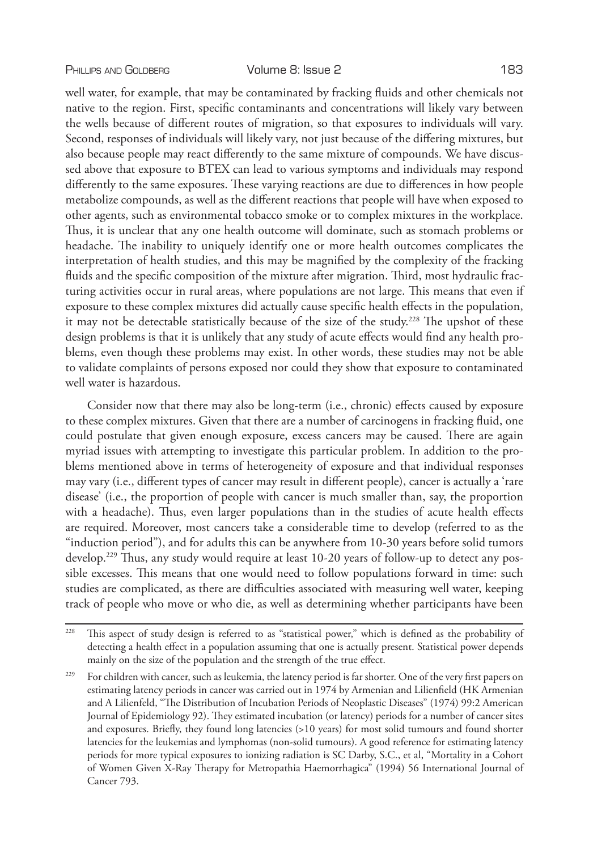well water is hazardous.

well water, for example, that may be contaminated by fracking fluids and other chemicals not native to the region. First, specific contaminants and concentrations will likely vary between the wells because of different routes of migration, so that exposures to individuals will vary. Second, responses of individuals will likely vary, not just because of the differing mixtures, but also because people may react differently to the same mixture of compounds. We have discussed above that exposure to BTEX can lead to various symptoms and individuals may respond differently to the same exposures. These varying reactions are due to differences in how people metabolize compounds, as well as the different reactions that people will have when exposed to other agents, such as environmental tobacco smoke or to complex mixtures in the workplace. Thus, it is unclear that any one health outcome will dominate, such as stomach problems or headache. The inability to uniquely identify one or more health outcomes complicates the interpretation of health studies, and this may be magnified by the complexity of the fracking fluids and the specific composition of the mixture after migration. Third, most hydraulic fracturing activities occur in rural areas, where populations are not large. This means that even if exposure to these complex mixtures did actually cause specific health effects in the population, it may not be detectable statistically because of the size of the study.<sup>228</sup> The upshot of these design problems is that it is unlikely that any study of acute effects would find any health problems, even though these problems may exist. In other words, these studies may not be able

Consider now that there may also be long-term (i.e., chronic) effects caused by exposure to these complex mixtures. Given that there are a number of carcinogens in fracking fluid, one could postulate that given enough exposure, excess cancers may be caused. There are again myriad issues with attempting to investigate this particular problem. In addition to the problems mentioned above in terms of heterogeneity of exposure and that individual responses may vary (i.e., different types of cancer may result in different people), cancer is actually a 'rare disease' (i.e., the proportion of people with cancer is much smaller than, say, the proportion with a headache). Thus, even larger populations than in the studies of acute health effects are required. Moreover, most cancers take a considerable time to develop (referred to as the "induction period"), and for adults this can be anywhere from 10-30 years before solid tumors develop.229 Thus, any study would require at least 10-20 years of follow-up to detect any possible excesses. This means that one would need to follow populations forward in time: such studies are complicated, as there are difficulties associated with measuring well water, keeping track of people who move or who die, as well as determining whether participants have been

to validate complaints of persons exposed nor could they show that exposure to contaminated

<sup>&</sup>lt;sup>228</sup> This aspect of study design is referred to as "statistical power," which is defined as the probability of detecting a health effect in a population assuming that one is actually present. Statistical power depends mainly on the size of the population and the strength of the true effect.

<sup>&</sup>lt;sup>229</sup> For children with cancer, such as leukemia, the latency period is far shorter. One of the very first papers on estimating latency periods in cancer was carried out in 1974 by Armenian and Lilienfield (HK Armenian and A Lilienfeld, "The Distribution of Incubation Periods of Neoplastic Diseases" (1974) 99:2 American Journal of Epidemiology 92). They estimated incubation (or latency) periods for a number of cancer sites and exposures. Briefly, they found long latencies (>10 years) for most solid tumours and found shorter latencies for the leukemias and lymphomas (non-solid tumours). A good reference for estimating latency periods for more typical exposures to ionizing radiation is SC Darby, S.C., et al, "Mortality in a Cohort of Women Given X-Ray Therapy for Metropathia Haemorrhagica" (1994) 56 International Journal of Cancer 793.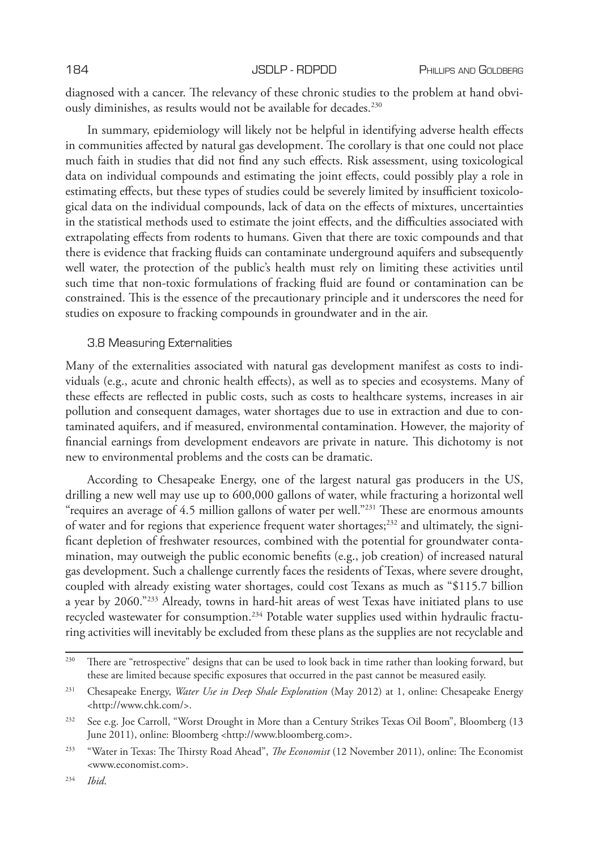diagnosed with a cancer. The relevancy of these chronic studies to the problem at hand obviously diminishes, as results would not be available for decades.<sup>230</sup>

In summary, epidemiology will likely not be helpful in identifying adverse health effects in communities affected by natural gas development. The corollary is that one could not place much faith in studies that did not find any such effects. Risk assessment, using toxicological data on individual compounds and estimating the joint effects, could possibly play a role in estimating effects, but these types of studies could be severely limited by insufficient toxicological data on the individual compounds, lack of data on the effects of mixtures, uncertainties in the statistical methods used to estimate the joint effects, and the difficulties associated with extrapolating effects from rodents to humans. Given that there are toxic compounds and that there is evidence that fracking fluids can contaminate underground aquifers and subsequently well water, the protection of the public's health must rely on limiting these activities until such time that non-toxic formulations of fracking fluid are found or contamination can be constrained. This is the essence of the precautionary principle and it underscores the need for studies on exposure to fracking compounds in groundwater and in the air.

# 3.8 Measuring Externalities

Many of the externalities associated with natural gas development manifest as costs to individuals (e.g., acute and chronic health effects), as well as to species and ecosystems. Many of these effects are reflected in public costs, such as costs to healthcare systems, increases in air pollution and consequent damages, water shortages due to use in extraction and due to contaminated aquifers, and if measured, environmental contamination. However, the majority of financial earnings from development endeavors are private in nature. This dichotomy is not new to environmental problems and the costs can be dramatic.

According to Chesapeake Energy, one of the largest natural gas producers in the US, drilling a new well may use up to 600,000 gallons of water, while fracturing a horizontal well "requires an average of 4.5 million gallons of water per well."<sup>231</sup> These are enormous amounts of water and for regions that experience frequent water shortages;<sup>232</sup> and ultimately, the significant depletion of freshwater resources, combined with the potential for groundwater contamination, may outweigh the public economic benefits (e.g., job creation) of increased natural gas development. Such a challenge currently faces the residents of Texas, where severe drought, coupled with already existing water shortages, could cost Texans as much as "\$115.7 billion a year by 2060."233 Already, towns in hard-hit areas of west Texas have initiated plans to use recycled wastewater for consumption.234 Potable water supplies used within hydraulic fracturing activities will inevitably be excluded from these plans as the supplies are not recyclable and

<sup>&</sup>lt;sup>230</sup> There are "retrospective" designs that can be used to look back in time rather than looking forward, but these are limited because specific exposures that occurred in the past cannot be measured easily.

<sup>231</sup> Chesapeake Energy, *Water Use in Deep Shale Exploration* (May 2012) at 1, online: Chesapeake Energy <http://www.chk.com/>.

<sup>232</sup> See e.g. Joe Carroll, "Worst Drought in More than a Century Strikes Texas Oil Boom", Bloomberg (13 June 2011), online: Bloomberg <http://www.bloomberg.com>.

<sup>233</sup> "Water in Texas: The Thirsty Road Ahead", *The Economist* (12 November 2011), online: The Economist <www.economist.com>.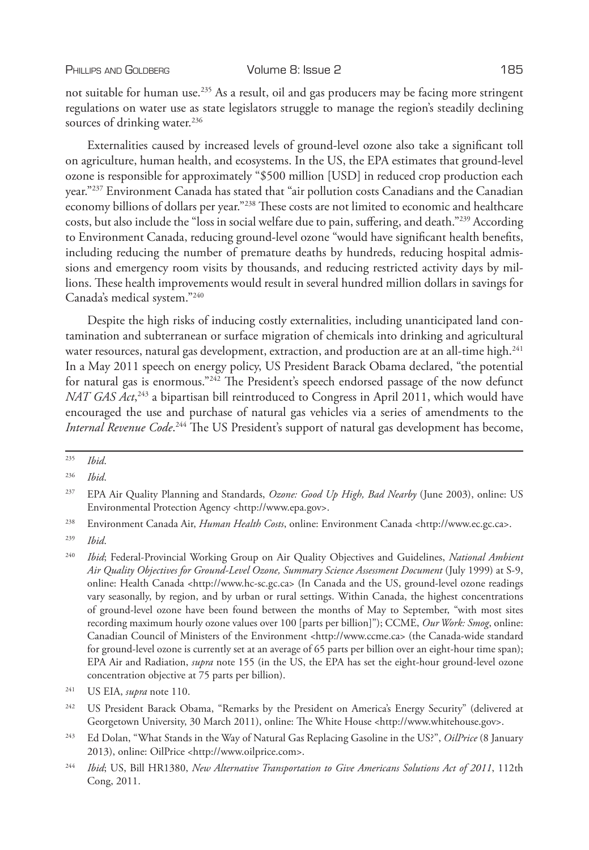not suitable for human use.<sup>235</sup> As a result, oil and gas producers may be facing more stringent regulations on water use as state legislators struggle to manage the region's steadily declining sources of drinking water.<sup>236</sup>

Externalities caused by increased levels of ground-level ozone also take a significant toll on agriculture, human health, and ecosystems. In the US, the EPA estimates that ground-level ozone is responsible for approximately "\$500 million [USD] in reduced crop production each year."237 Environment Canada has stated that "air pollution costs Canadians and the Canadian economy billions of dollars per year."238 These costs are not limited to economic and healthcare costs, but also include the "loss in social welfare due to pain, suffering, and death."239 According to Environment Canada, reducing ground-level ozone "would have significant health benefits, including reducing the number of premature deaths by hundreds, reducing hospital admissions and emergency room visits by thousands, and reducing restricted activity days by millions. These health improvements would result in several hundred million dollars in savings for Canada's medical system."240

Despite the high risks of inducing costly externalities, including unanticipated land contamination and subterranean or surface migration of chemicals into drinking and agricultural water resources, natural gas development, extraction, and production are at an all-time high.<sup>241</sup> In a May 2011 speech on energy policy, US President Barack Obama declared, "the potential for natural gas is enormous."<sup>242</sup> The President's speech endorsed passage of the now defunct *NAT GAS Act*,<sup>243</sup> a bipartisan bill reintroduced to Congress in April 2011, which would have encouraged the use and purchase of natural gas vehicles via a series of amendments to the *Internal Revenue Code*. 244 The US President's support of natural gas development has become,

<sup>235</sup> *Ibid*.

<sup>236</sup> *Ibid*.

<sup>237</sup> EPA Air Quality Planning and Standards, *Ozone: Good Up High, Bad Nearby* (June 2003), online: US Environmental Protection Agency <http://www.epa.gov>.

<sup>238</sup> Environment Canada Air, *Human Health Costs*, online: Environment Canada <http://www.ec.gc.ca>.

<sup>239</sup> *Ibid*.

<sup>240</sup> *Ibid*; Federal-Provincial Working Group on Air Quality Objectives and Guidelines, *National Ambient Air Quality Objectives for Ground-Level Ozone, Summary Science Assessment Document* (July 1999) at S-9, online: Health Canada <http://www.hc-sc.gc.ca> (In Canada and the US, ground-level ozone readings vary seasonally, by region, and by urban or rural settings. Within Canada, the highest concentrations of ground-level ozone have been found between the months of May to September, "with most sites recording maximum hourly ozone values over 100 [parts per billion]"); CCME, *Our Work: Smog*, online: Canadian Council of Ministers of the Environment <http://www.ccme.ca> (the Canada-wide standard for ground-level ozone is currently set at an average of 65 parts per billion over an eight-hour time span); EPA Air and Radiation, *supra* note 155 (in the US, the EPA has set the eight-hour ground-level ozone concentration objective at 75 parts per billion).

<sup>241</sup> US EIA, *supra* note 110.

<sup>&</sup>lt;sup>242</sup> US President Barack Obama, "Remarks by the President on America's Energy Security" (delivered at Georgetown University, 30 March 2011), online: The White House <http://www.whitehouse.gov>.

<sup>243</sup> Ed Dolan, "What Stands in the Way of Natural Gas Replacing Gasoline in the US?", *OilPrice* (8 January 2013), online: OilPrice <http://www.oilprice.com>.

<sup>244</sup> *Ibid*; US, Bill HR1380, *New Alternative Transportation to Give Americans Solutions Act of 2011*, 112th Cong, 2011.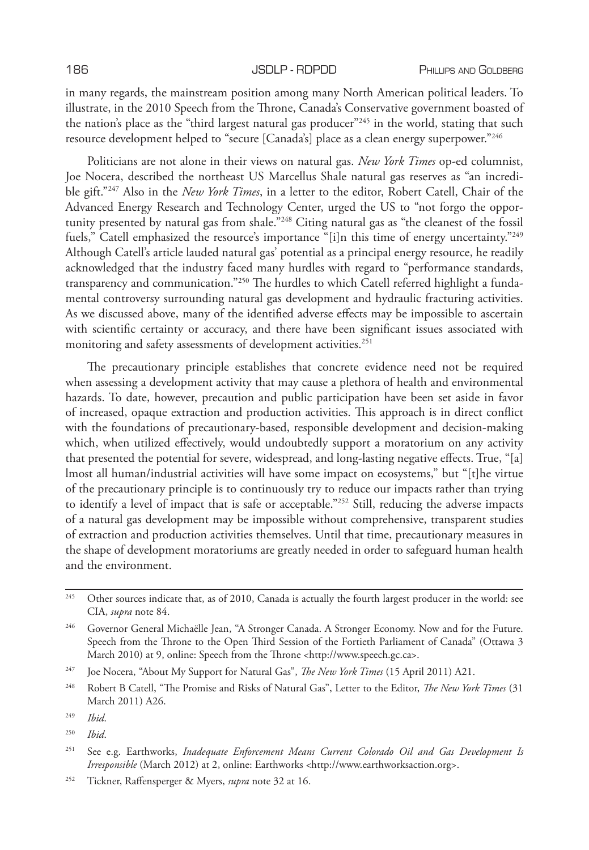in many regards, the mainstream position among many North American political leaders. To illustrate, in the 2010 Speech from the Throne, Canada's Conservative government boasted of the nation's place as the "third largest natural gas producer"245 in the world, stating that such resource development helped to "secure [Canada's] place as a clean energy superpower."<sup>246</sup>

Politicians are not alone in their views on natural gas. *New York Times* op-ed columnist, Joe Nocera, described the northeast US Marcellus Shale natural gas reserves as "an incredible gift."247 Also in the *New York Times*, in a letter to the editor, Robert Catell, Chair of the Advanced Energy Research and Technology Center, urged the US to "not forgo the opportunity presented by natural gas from shale."248 Citing natural gas as "the cleanest of the fossil fuels," Catell emphasized the resource's importance "[i]n this time of energy uncertainty."<sup>249</sup> Although Catell's article lauded natural gas' potential as a principal energy resource, he readily acknowledged that the industry faced many hurdles with regard to "performance standards, transparency and communication."<sup>250</sup> The hurdles to which Catell referred highlight a fundamental controversy surrounding natural gas development and hydraulic fracturing activities. As we discussed above, many of the identified adverse effects may be impossible to ascertain with scientific certainty or accuracy, and there have been significant issues associated with monitoring and safety assessments of development activities.<sup>251</sup>

The precautionary principle establishes that concrete evidence need not be required when assessing a development activity that may cause a plethora of health and environmental hazards. To date, however, precaution and public participation have been set aside in favor of increased, opaque extraction and production activities. This approach is in direct conflict with the foundations of precautionary-based, responsible development and decision-making which, when utilized effectively, would undoubtedly support a moratorium on any activity that presented the potential for severe, widespread, and long-lasting negative effects. True, "[a] lmost all human/industrial activities will have some impact on ecosystems," but "[t]he virtue of the precautionary principle is to continuously try to reduce our impacts rather than trying to identify a level of impact that is safe or acceptable."252 Still, reducing the adverse impacts of a natural gas development may be impossible without comprehensive, transparent studies of extraction and production activities themselves. Until that time, precautionary measures in the shape of development moratoriums are greatly needed in order to safeguard human health and the environment.

<sup>&</sup>lt;sup>245</sup> Other sources indicate that, as of 2010, Canada is actually the fourth largest producer in the world: see CIA, *supra* note 84.

<sup>246</sup> Governor General Michaëlle Jean, "A Stronger Canada. A Stronger Economy. Now and for the Future. Speech from the Throne to the Open Third Session of the Fortieth Parliament of Canada" (Ottawa 3 March 2010) at 9, online: Speech from the Throne <http://www.speech.gc.ca>.

<sup>247</sup> Joe Nocera, "About My Support for Natural Gas", *The New York Times* (15 April 2011) A21.

<sup>248</sup> Robert B Catell, "The Promise and Risks of Natural Gas", Letter to the Editor, *The New York Times* (31 March 2011) A26.

<sup>249</sup> *Ibid*.

<sup>250</sup> *Ibid*.

<sup>251</sup> See e.g. Earthworks, *Inadequate Enforcement Means Current Colorado Oil and Gas Development Is Irresponsible* (March 2012) at 2, online: Earthworks <http://www.earthworksaction.org>.

<sup>252</sup> Tickner, Raffensperger & Myers, *supra* note 32 at 16.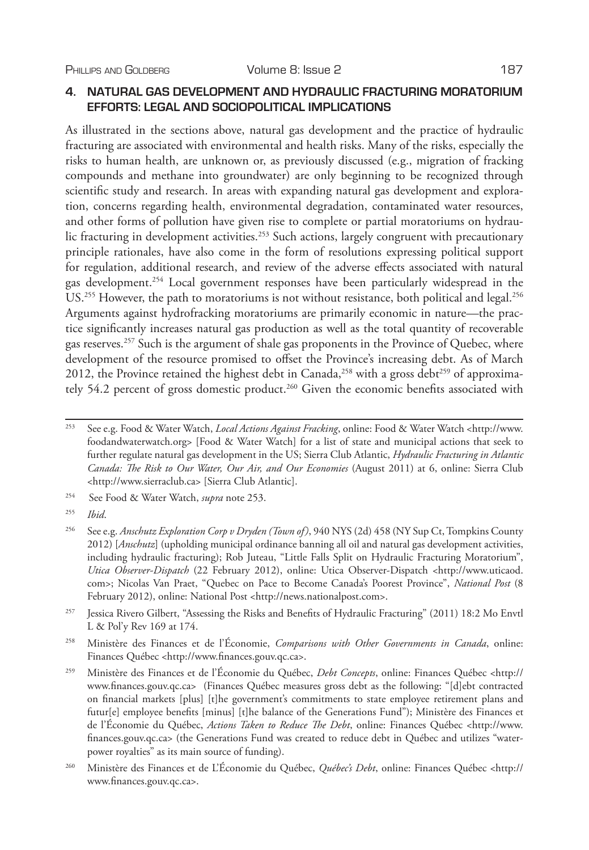# **4. NATURAL GAS DEVELOPMENT AND HYDRAULIC FRACTURING MORATORIUM EFFORTS: LEGAL AND SOCIOPOLITICAL IMPLICATIONS**

As illustrated in the sections above, natural gas development and the practice of hydraulic fracturing are associated with environmental and health risks. Many of the risks, especially the risks to human health, are unknown or, as previously discussed (e.g., migration of fracking compounds and methane into groundwater) are only beginning to be recognized through scientific study and research. In areas with expanding natural gas development and exploration, concerns regarding health, environmental degradation, contaminated water resources, and other forms of pollution have given rise to complete or partial moratoriums on hydraulic fracturing in development activities.<sup>253</sup> Such actions, largely congruent with precautionary principle rationales, have also come in the form of resolutions expressing political support for regulation, additional research, and review of the adverse effects associated with natural gas development.<sup>254</sup> Local government responses have been particularly widespread in the US.<sup>255</sup> However, the path to moratoriums is not without resistance, both political and legal.<sup>256</sup> Arguments against hydrofracking moratoriums are primarily economic in nature—the practice significantly increases natural gas production as well as the total quantity of recoverable gas reserves.257 Such is the argument of shale gas proponents in the Province of Quebec, where development of the resource promised to offset the Province's increasing debt. As of March 2012, the Province retained the highest debt in Canada,<sup>258</sup> with a gross debt<sup>259</sup> of approximately 54.2 percent of gross domestic product.<sup>260</sup> Given the economic benefits associated with

<sup>258</sup> Ministère des Finances et de l'Économie, *Comparisons with Other Governments in Canada*, online: Finances Québec <http://www.finances.gouv.qc.ca>.

<sup>253</sup> See e.g. Food & Water Watch, *Local Actions Against Fracking*, online: Food & Water Watch <http://www. foodandwaterwatch.org> [Food & Water Watch] for a list of state and municipal actions that seek to further regulate natural gas development in the US; Sierra Club Atlantic, *Hydraulic Fracturing in Atlantic Canada: The Risk to Our Water, Our Air, and Our Economies* (August 2011) at 6, online: Sierra Club <http://www.sierraclub.ca> [Sierra Club Atlantic].

<sup>254</sup> See Food & Water Watch, *supra* note 253.

<sup>255</sup> *Ibid*.

<sup>256</sup> See e.g. *Anschutz Exploration Corp v Dryden (Town of)*, 940 NYS (2d) 458 (NY Sup Ct, Tompkins County 2012) [*Anschutz*] (upholding municipal ordinance banning all oil and natural gas development activities, including hydraulic fracturing); Rob Juteau, "Little Falls Split on Hydraulic Fracturing Moratorium", *Utica Observer-Dispatch* (22 February 2012), online: Utica Observer-Dispatch <http://www.uticaod. com>; Nicolas Van Praet, "Quebec on Pace to Become Canada's Poorest Province", *National Post* (8 February 2012), online: National Post <http://news.nationalpost.com>.

<sup>257</sup> Jessica Rivero Gilbert, "Assessing the Risks and Benefits of Hydraulic Fracturing" (2011) 18:2 Mo Envtl L & Pol'y Rev 169 at 174.

<sup>259</sup> Ministère des Finances et de l'Économie du Québec, *Debt Concepts*, online: Finances Québec <http:// www.finances.gouv.qc.ca> (Finances Québec measures gross debt as the following: "[d]ebt contracted on financial markets [plus] [t]he government's commitments to state employee retirement plans and futur[e] employee benefits [minus] [t]he balance of the Generations Fund"); Ministère des Finances et de l'Économie du Québec, *Actions Taken to Reduce The Debt*, online: Finances Québec <http://www. finances.gouv.qc.ca> (the Generations Fund was created to reduce debt in Québec and utilizes "waterpower royalties" as its main source of funding).

<sup>260</sup> Ministère des Finances et de L'Économie du Québec, *Québec's Debt*, online: Finances Québec <http:// www.finances.gouv.qc.ca>.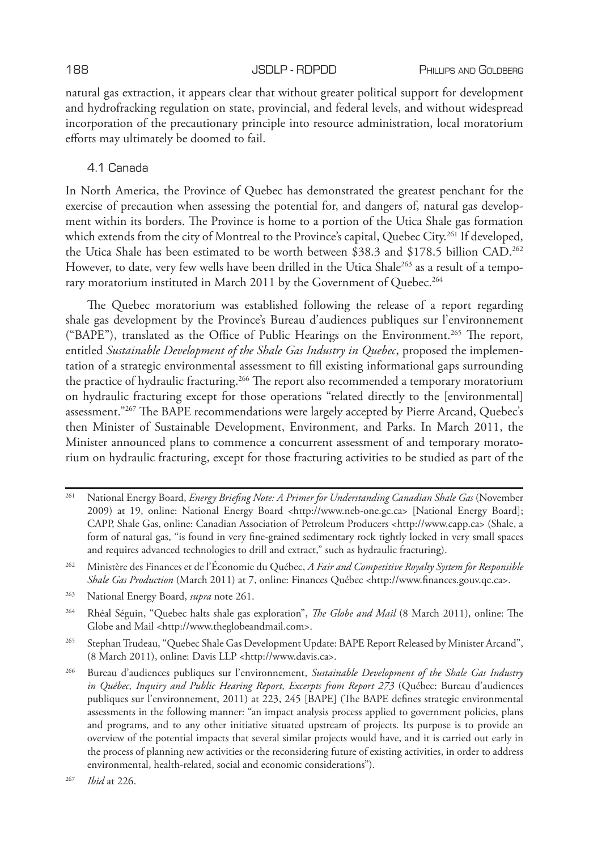natural gas extraction, it appears clear that without greater political support for development and hydrofracking regulation on state, provincial, and federal levels, and without widespread incorporation of the precautionary principle into resource administration, local moratorium efforts may ultimately be doomed to fail.

# 4.1 Canada

In North America, the Province of Quebec has demonstrated the greatest penchant for the exercise of precaution when assessing the potential for, and dangers of, natural gas development within its borders. The Province is home to a portion of the Utica Shale gas formation which extends from the city of Montreal to the Province's capital, Quebec City.<sup>261</sup> If developed, the Utica Shale has been estimated to be worth between \$38.3 and \$178.5 billion CAD.262 However, to date, very few wells have been drilled in the Utica Shale<sup>263</sup> as a result of a temporary moratorium instituted in March 2011 by the Government of Quebec.<sup>264</sup>

The Quebec moratorium was established following the release of a report regarding shale gas development by the Province's Bureau d'audiences publiques sur l'environnement ("BAPE"), translated as the Office of Public Hearings on the Environment.265 The report, entitled *Sustainable Development of the Shale Gas Industry in Quebec*, proposed the implementation of a strategic environmental assessment to fill existing informational gaps surrounding the practice of hydraulic fracturing.<sup>266</sup> The report also recommended a temporary moratorium on hydraulic fracturing except for those operations "related directly to the [environmental] assessment."<sup>267</sup> The BAPE recommendations were largely accepted by Pierre Arcand, Quebec's then Minister of Sustainable Development, Environment, and Parks. In March 2011, the Minister announced plans to commence a concurrent assessment of and temporary moratorium on hydraulic fracturing, except for those fracturing activities to be studied as part of the

<sup>261</sup> National Energy Board, *Energy Briefing Note: A Primer for Understanding Canadian Shale Gas* (November 2009) at 19, online: National Energy Board <http://www.neb-one.gc.ca> [National Energy Board]; CAPP, Shale Gas, online: Canadian Association of Petroleum Producers <http://www.capp.ca> (Shale, a form of natural gas, "is found in very fine-grained sedimentary rock tightly locked in very small spaces and requires advanced technologies to drill and extract," such as hydraulic fracturing).

<sup>262</sup> Ministère des Finances et de l'Économie du Québec, *A Fair and Competitive Royalty System for Responsible Shale Gas Production* (March 2011) at 7, online: Finances Québec <http://www.finances.gouv.qc.ca>.

<sup>263</sup> National Energy Board, *supra* note 261.

<sup>264</sup> Rhéal Séguin, "Quebec halts shale gas exploration", *The Globe and Mail* (8 March 2011), online: The Globe and Mail <http://www.theglobeandmail.com>.

<sup>265</sup> Stephan Trudeau, "Quebec Shale Gas Development Update: BAPE Report Released by Minister Arcand", (8 March 2011), online: Davis LLP <http://www.davis.ca>.

<sup>266</sup> Bureau d'audiences publiques sur l'environnement, *Sustainable Development of the Shale Gas Industry in Québec, Inquiry and Public Hearing Report, Excerpts from Report 273* (Québec: Bureau d'audiences publiques sur l'environnement, 2011) at 223, 245 [BAPE] (The BAPE defines strategic environmental assessments in the following manner: "an impact analysis process applied to government policies, plans and programs, and to any other initiative situated upstream of projects. Its purpose is to provide an overview of the potential impacts that several similar projects would have, and it is carried out early in the process of planning new activities or the reconsidering future of existing activities, in order to address environmental, health-related, social and economic considerations").

<sup>267</sup> *Ibid* at 226.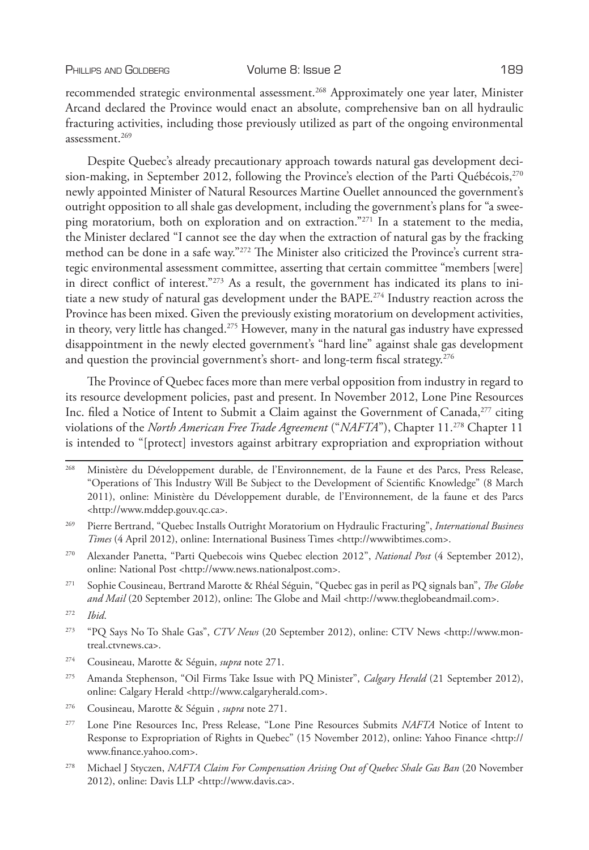recommended strategic environmental assessment.268 Approximately one year later, Minister Arcand declared the Province would enact an absolute, comprehensive ban on all hydraulic fracturing activities, including those previously utilized as part of the ongoing environmental assessment.269

Despite Quebec's already precautionary approach towards natural gas development decision-making, in September 2012, following the Province's election of the Parti Québécois,  $270$ newly appointed Minister of Natural Resources Martine Ouellet announced the government's outright opposition to all shale gas development, including the government's plans for "a sweeping moratorium, both on exploration and on extraction."271 In a statement to the media, the Minister declared "I cannot see the day when the extraction of natural gas by the fracking method can be done in a safe way."272 The Minister also criticized the Province's current strategic environmental assessment committee, asserting that certain committee "members [were] in direct conflict of interest."273 As a result, the government has indicated its plans to initiate a new study of natural gas development under the BAPE.274 Industry reaction across the Province has been mixed. Given the previously existing moratorium on development activities, in theory, very little has changed.<sup>275</sup> However, many in the natural gas industry have expressed disappointment in the newly elected government's "hard line" against shale gas development and question the provincial government's short- and long-term fiscal strategy.<sup>276</sup>

The Province of Quebec faces more than mere verbal opposition from industry in regard to its resource development policies, past and present. In November 2012, Lone Pine Resources Inc. filed a Notice of Intent to Submit a Claim against the Government of Canada,<sup>277</sup> citing violations of the *North American Free Trade Agreement* ("*NAFTA*"), Chapter 11.278 Chapter 11 is intended to "[protect] investors against arbitrary expropriation and expropriation without

- <sup>268</sup> Ministère du Développement durable, de l'Environnement, de la Faune et des Parcs, Press Release, "Operations of This Industry Will Be Subject to the Development of Scientific Knowledge" (8 March 2011), online: Ministère du Développement durable, de l'Environnement, de la faune et des Parcs <http://www.mddep.gouv.qc.ca>.
- <sup>269</sup> Pierre Bertrand, "Quebec Installs Outright Moratorium on Hydraulic Fracturing", *International Business Times* (4 April 2012), online: International Business Times <http://wwwibtimes.com>.
- <sup>270</sup> Alexander Panetta, "Parti Quebecois wins Quebec election 2012", *National Post* (4 September 2012), online: National Post <http://www.news.nationalpost.com>.
- <sup>271</sup> Sophie Cousineau, Bertrand Marotte & Rhéal Séguin, "Quebec gas in peril as PQ signals ban", *The Globe and Mail* (20 September 2012), online: The Globe and Mail <http://www.theglobeandmail.com>.
- <sup>272</sup> *Ibid*.
- <sup>273</sup> "PQ Says No To Shale Gas", *CTV News* (20 September 2012), online: CTV News <http://www.montreal.ctvnews.ca>.
- <sup>274</sup> Cousineau, Marotte & Séguin, *supra* note 271.
- <sup>275</sup> Amanda Stephenson, "Oil Firms Take Issue with PQ Minister", *Calgary Herald* (21 September 2012), online: Calgary Herald <http://www.calgaryherald.com>.
- <sup>276</sup> Cousineau, Marotte & Séguin , *supra* note 271.
- <sup>277</sup> Lone Pine Resources Inc, Press Release, "Lone Pine Resources Submits *NAFTA* Notice of Intent to Response to Expropriation of Rights in Quebec" (15 November 2012), online: Yahoo Finance <http:// www.finance.yahoo.com>.
- <sup>278</sup> Michael J Styczen, *NAFTA Claim For Compensation Arising Out of Quebec Shale Gas Ban* (20 November 2012), online: Davis LLP <http://www.davis.ca>.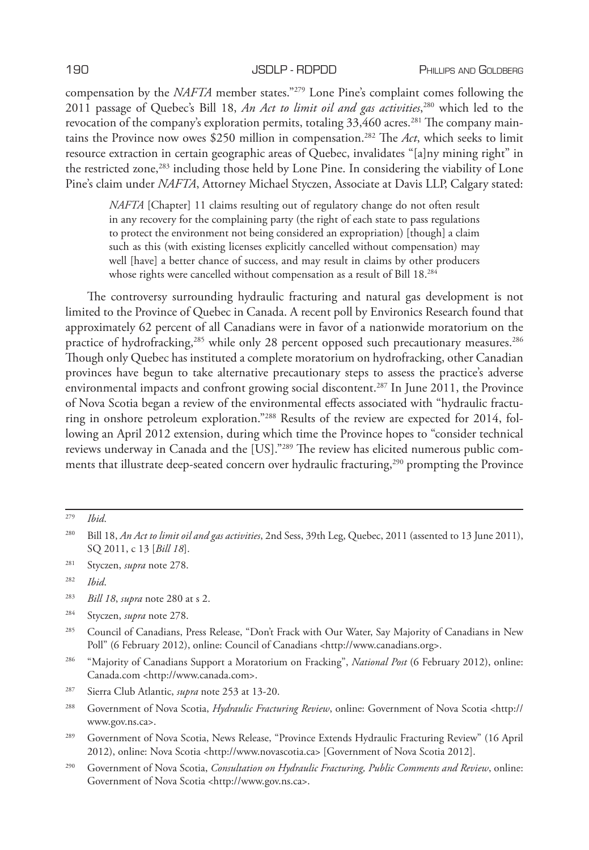compensation by the *NAFTA* member states."279 Lone Pine's complaint comes following the 2011 passage of Quebec's Bill 18, *An Act to limit oil and gas activities*, 280 which led to the revocation of the company's exploration permits, totaling 33,460 acres.<sup>281</sup> The company maintains the Province now owes \$250 million in compensation.282 The *Act*, which seeks to limit resource extraction in certain geographic areas of Quebec, invalidates "[a]ny mining right" in the restricted zone,283 including those held by Lone Pine. In considering the viability of Lone Pine's claim under *NAFTA*, Attorney Michael Styczen, Associate at Davis LLP, Calgary stated:

*NAFTA* [Chapter] 11 claims resulting out of regulatory change do not often result in any recovery for the complaining party (the right of each state to pass regulations to protect the environment not being considered an expropriation) [though] a claim such as this (with existing licenses explicitly cancelled without compensation) may well [have] a better chance of success, and may result in claims by other producers whose rights were cancelled without compensation as a result of Bill 18.<sup>284</sup>

The controversy surrounding hydraulic fracturing and natural gas development is not limited to the Province of Quebec in Canada. A recent poll by Environics Research found that approximately 62 percent of all Canadians were in favor of a nationwide moratorium on the practice of hydrofracking,<sup>285</sup> while only 28 percent opposed such precautionary measures.<sup>286</sup> Though only Quebec has instituted a complete moratorium on hydrofracking, other Canadian provinces have begun to take alternative precautionary steps to assess the practice's adverse environmental impacts and confront growing social discontent.287 In June 2011, the Province of Nova Scotia began a review of the environmental effects associated with "hydraulic fracturing in onshore petroleum exploration."288 Results of the review are expected for 2014, following an April 2012 extension, during which time the Province hopes to "consider technical reviews underway in Canada and the [US]."289 The review has elicited numerous public comments that illustrate deep-seated concern over hydraulic fracturing,<sup>290</sup> prompting the Province

<sup>281</sup> Styczen, *supra* note 278.

<sup>286</sup> "Majority of Canadians Support a Moratorium on Fracking", *National Post* (6 February 2012), online: Canada.com <http://www.canada.com>.

<sup>290</sup> Government of Nova Scotia, *Consultation on Hydraulic Fracturing, Public Comments and Review*, online: Government of Nova Scotia <http://www.gov.ns.ca>.

<sup>279</sup> *Ibid*.

<sup>280</sup> Bill 18, *An Act to limit oil and gas activities*, 2nd Sess, 39th Leg, Quebec, 2011 (assented to 13 June 2011), SQ 2011, c 13 [*Bill 18*].

<sup>282</sup> *Ibid*.

<sup>283</sup> *Bill 18*, *supra* note 280 at s 2.

<sup>284</sup> Styczen, *supra* note 278.

<sup>285</sup> Council of Canadians, Press Release, "Don't Frack with Our Water, Say Majority of Canadians in New Poll" (6 February 2012), online: Council of Canadians <http://www.canadians.org>.

<sup>287</sup> Sierra Club Atlantic, *supra* note 253 at 13-20.

<sup>288</sup> Government of Nova Scotia, *Hydraulic Fracturing Review*, online: Government of Nova Scotia <http:// www.gov.ns.ca>.

<sup>289</sup> Government of Nova Scotia, News Release, "Province Extends Hydraulic Fracturing Review" (16 April 2012), online: Nova Scotia <http://www.novascotia.ca> [Government of Nova Scotia 2012].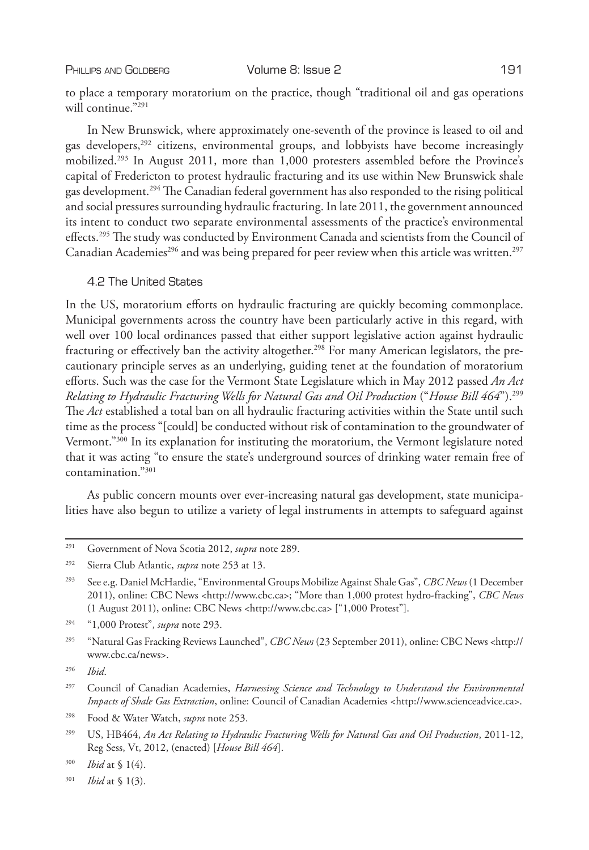to place a temporary moratorium on the practice, though "traditional oil and gas operations will continue."291

In New Brunswick, where approximately one-seventh of the province is leased to oil and gas developers,<sup>292</sup> citizens, environmental groups, and lobbyists have become increasingly mobilized.293 In August 2011, more than 1,000 protesters assembled before the Province's capital of Fredericton to protest hydraulic fracturing and its use within New Brunswick shale gas development.294 The Canadian federal government has also responded to the rising political and social pressures surrounding hydraulic fracturing. In late 2011, the government announced its intent to conduct two separate environmental assessments of the practice's environmental effects.295 The study was conducted by Environment Canada and scientists from the Council of Canadian Academies<sup>296</sup> and was being prepared for peer review when this article was written.<sup>297</sup>

4.2 The United States

In the US, moratorium efforts on hydraulic fracturing are quickly becoming commonplace. Municipal governments across the country have been particularly active in this regard, with well over 100 local ordinances passed that either support legislative action against hydraulic fracturing or effectively ban the activity altogether.<sup>298</sup> For many American legislators, the precautionary principle serves as an underlying, guiding tenet at the foundation of moratorium efforts. Such was the case for the Vermont State Legislature which in May 2012 passed *An Act Relating to Hydraulic Fracturing Wells for Natural Gas and Oil Production* ("*House Bill 464*").299 The *Act* established a total ban on all hydraulic fracturing activities within the State until such time as the process "[could] be conducted without risk of contamination to the groundwater of Vermont."300 In its explanation for instituting the moratorium, the Vermont legislature noted that it was acting "to ensure the state's underground sources of drinking water remain free of contamination."301

As public concern mounts over ever-increasing natural gas development, state municipalities have also begun to utilize a variety of legal instruments in attempts to safeguard against

<sup>301</sup> *Ibid* at § 1(3).

<sup>291</sup> Government of Nova Scotia 2012, *supra* note 289.

<sup>292</sup> Sierra Club Atlantic, *supra* note 253 at 13.

<sup>293</sup> See e.g. Daniel McHardie, "Environmental Groups Mobilize Against Shale Gas", *CBC News* (1 December 2011), online: CBC News <http://www.cbc.ca>; "More than 1,000 protest hydro-fracking", *CBC News* (1 August 2011), online: CBC News <http://www.cbc.ca> ["1,000 Protest"].

<sup>294</sup> "1,000 Protest", *supra* note 293.

<sup>295</sup> "Natural Gas Fracking Reviews Launched", *CBC News* (23 September 2011), online: CBC News <http:// www.cbc.ca/news>.

<sup>296</sup> *Ibid*.

<sup>297</sup> Council of Canadian Academies, *Harnessing Science and Technology to Understand the Environmental Impacts of Shale Gas Extraction*, online: Council of Canadian Academies <http://www.scienceadvice.ca>.

<sup>298</sup> Food & Water Watch, *supra* note 253.

<sup>299</sup> US, HB464, *An Act Relating to Hydraulic Fracturing Wells for Natural Gas and Oil Production*, 2011-12, Reg Sess, Vt, 2012, (enacted) [*House Bill 464*].

<sup>300</sup> *Ibid* at § 1(4).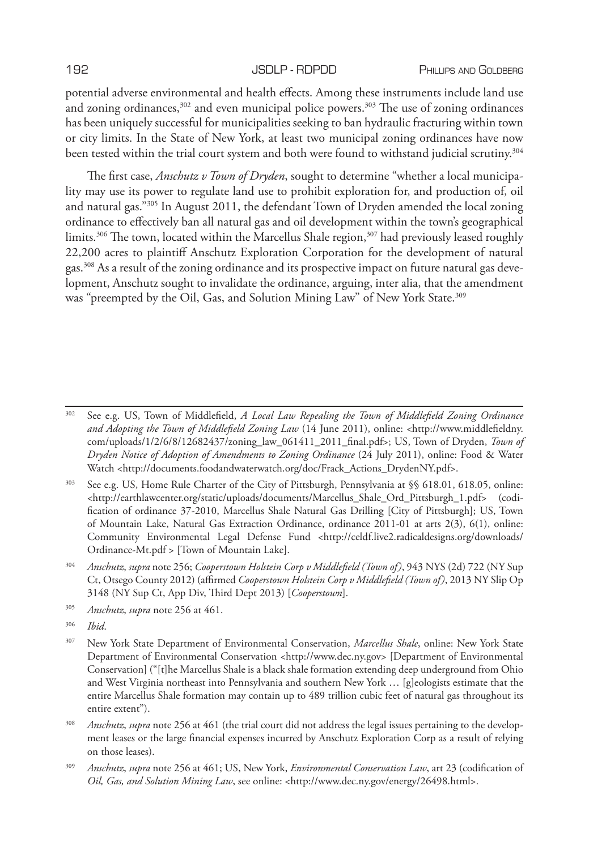potential adverse environmental and health effects. Among these instruments include land use and zoning ordinances, $302$  and even municipal police powers. $303$  The use of zoning ordinances has been uniquely successful for municipalities seeking to ban hydraulic fracturing within town or city limits. In the State of New York, at least two municipal zoning ordinances have now been tested within the trial court system and both were found to withstand judicial scrutiny.<sup>304</sup>

The first case, *Anschutz v Town of Dryden*, sought to determine "whether a local municipality may use its power to regulate land use to prohibit exploration for, and production of, oil and natural gas."305 In August 2011, the defendant Town of Dryden amended the local zoning ordinance to effectively ban all natural gas and oil development within the town's geographical limits.<sup>306</sup> The town, located within the Marcellus Shale region,<sup>307</sup> had previously leased roughly 22,200 acres to plaintiff Anschutz Exploration Corporation for the development of natural gas.308 As a result of the zoning ordinance and its prospective impact on future natural gas development, Anschutz sought to invalidate the ordinance, arguing, inter alia, that the amendment was "preempted by the Oil, Gas, and Solution Mining Law" of New York State.<sup>309</sup>

<sup>303</sup> See e.g. US, Home Rule Charter of the City of Pittsburgh, Pennsylvania at §§ 618.01, 618.05, online: <http://earthlawcenter.org/static/uploads/documents/Marcellus\_Shale\_Ord\_Pittsburgh\_1.pdf> (codification of ordinance 37-2010, Marcellus Shale Natural Gas Drilling [City of Pittsburgh]; US, Town of Mountain Lake, Natural Gas Extraction Ordinance, ordinance 2011-01 at arts 2(3), 6(1), online: Community Environmental Legal Defense Fund <http://celdf.live2.radicaldesigns.org/downloads/ Ordinance-Mt.pdf > [Town of Mountain Lake].

- <sup>304</sup> *Anschutz*, *supra* note 256; *Cooperstown Holstein Corp v Middlefield (Town of)*, 943 NYS (2d) 722 (NY Sup Ct, Otsego County 2012) (affirmed *Cooperstown Holstein Corp v Middlefield (Town of)*, 2013 NY Slip Op 3148 (NY Sup Ct, App Div, Third Dept 2013) [*Cooperstown*].
- <sup>305</sup> *Anschutz*, *supra* note 256 at 461.

<sup>306</sup> *Ibid*.

- <sup>307</sup> New York State Department of Environmental Conservation, *Marcellus Shale*, online: New York State Department of Environmental Conservation <http://www.dec.ny.gov> [Department of Environmental Conservation] ("[t]he Marcellus Shale is a black shale formation extending deep underground from Ohio and West Virginia northeast into Pennsylvania and southern New York … [g]eologists estimate that the entire Marcellus Shale formation may contain up to 489 trillion cubic feet of natural gas throughout its entire extent").
- <sup>308</sup> *Anschutz*, *supra* note 256 at 461 (the trial court did not address the legal issues pertaining to the development leases or the large financial expenses incurred by Anschutz Exploration Corp as a result of relying on those leases).
- <sup>309</sup> *Anschutz*, *supra* note 256 at 461; US, New York, *Environmental Conservation Law*, art 23 (codification of *Oil, Gas, and Solution Mining Law*, see online: <http://www.dec.ny.gov/energy/26498.html>.

<sup>302</sup> See e.g. US, Town of Middlefield, *A Local Law Repealing the Town of Middlefield Zoning Ordinance and Adopting the Town of Middlefield Zoning Law* (14 June 2011), online: <http://www.middlefieldny. com/uploads/1/2/6/8/12682437/zoning\_law\_061411\_2011\_final.pdf>; US, Town of Dryden, *Town of Dryden Notice of Adoption of Amendments to Zoning Ordinance* (24 July 2011), online: Food & Water Watch <http://documents.foodandwaterwatch.org/doc/Frack\_Actions\_DrydenNY.pdf>.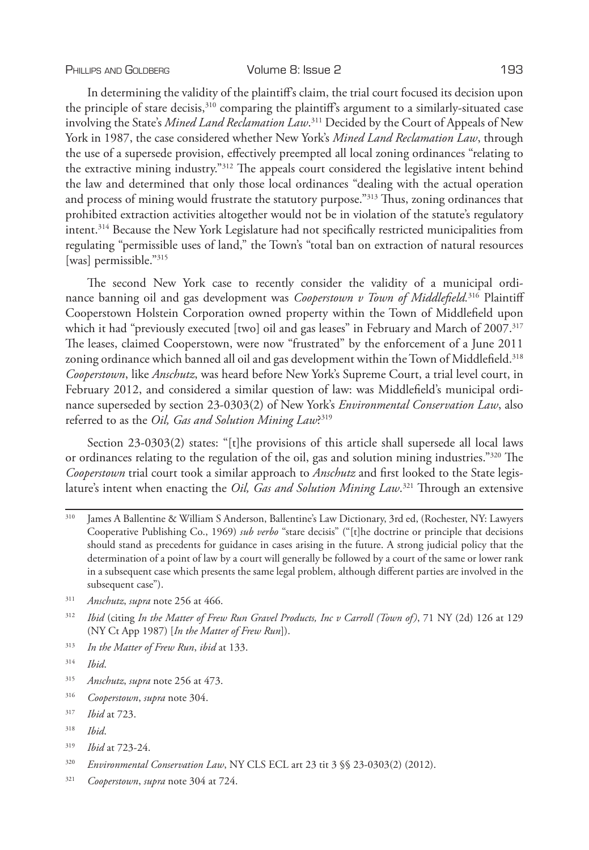### PHILLIPS AND GOLDBERG **Volume 8: Issue 2** 193

In determining the validity of the plaintiff's claim, the trial court focused its decision upon the principle of stare decisis, $310$  comparing the plaintiff's argument to a similarly-situated case involving the State's *Mined Land Reclamation Law*. 311 Decided by the Court of Appeals of New York in 1987, the case considered whether New York's *Mined Land Reclamation Law*, through the use of a supersede provision, effectively preempted all local zoning ordinances "relating to the extractive mining industry."312 The appeals court considered the legislative intent behind the law and determined that only those local ordinances "dealing with the actual operation and process of mining would frustrate the statutory purpose."<sup>313</sup> Thus, zoning ordinances that prohibited extraction activities altogether would not be in violation of the statute's regulatory intent.314 Because the New York Legislature had not specifically restricted municipalities from regulating "permissible uses of land," the Town's "total ban on extraction of natural resources [was] permissible."<sup>315</sup>

The second New York case to recently consider the validity of a municipal ordinance banning oil and gas development was *Cooperstown v Town of Middlefield.*<sup>316</sup> Plaintiff Cooperstown Holstein Corporation owned property within the Town of Middlefield upon which it had "previously executed [two] oil and gas leases" in February and March of 2007.<sup>317</sup> The leases, claimed Cooperstown, were now "frustrated" by the enforcement of a June 2011 zoning ordinance which banned all oil and gas development within the Town of Middlefield.<sup>318</sup> *Cooperstown*, like *Anschutz*, was heard before New York's Supreme Court, a trial level court, in February 2012, and considered a similar question of law: was Middlefield's municipal ordinance superseded by section 23-0303(2) of New York's *Environmental Conservation Law*, also referred to as the *Oil, Gas and Solution Mining Law*? 319

Section 23-0303(2) states: "[t]he provisions of this article shall supersede all local laws or ordinances relating to the regulation of the oil, gas and solution mining industries."320 The *Cooperstown* trial court took a similar approach to *Anschutz* and first looked to the State legislature's intent when enacting the *Oil, Gas and Solution Mining Law*. 321 Through an extensive

- <sup>310</sup> James A Ballentine & William S Anderson, Ballentine's Law Dictionary, 3rd ed, (Rochester, NY: Lawyers Cooperative Publishing Co., 1969) *sub verbo* "stare decisis" ("[t]he doctrine or principle that decisions should stand as precedents for guidance in cases arising in the future. A strong judicial policy that the determination of a point of law by a court will generally be followed by a court of the same or lower rank in a subsequent case which presents the same legal problem, although different parties are involved in the subsequent case").
- <sup>311</sup> *Anschutz*, *supra* note 256 at 466.
- <sup>312</sup> *Ibid* (citing *In the Matter of Frew Run Gravel Products, Inc v Carroll (Town of)*, 71 NY (2d) 126 at 129 (NY Ct App 1987) [*In the Matter of Frew Run*]).
- <sup>313</sup> *In the Matter of Frew Run*, *ibid* at 133.

- <sup>315</sup> *Anschutz*, *supra* note 256 at 473.
- <sup>316</sup> *Cooperstown*, *supra* note 304.
- <sup>317</sup> *Ibid* at 723.
- <sup>318</sup> *Ibid*.
- <sup>319</sup> *Ibid* at 723-24.
- <sup>320</sup> *Environmental Conservation Law*, NY CLS ECL art 23 tit 3 §§ 23-0303(2) (2012).
- <sup>321</sup> *Cooperstown*, *supra* note 304 at 724.

<sup>314</sup> *Ibid*.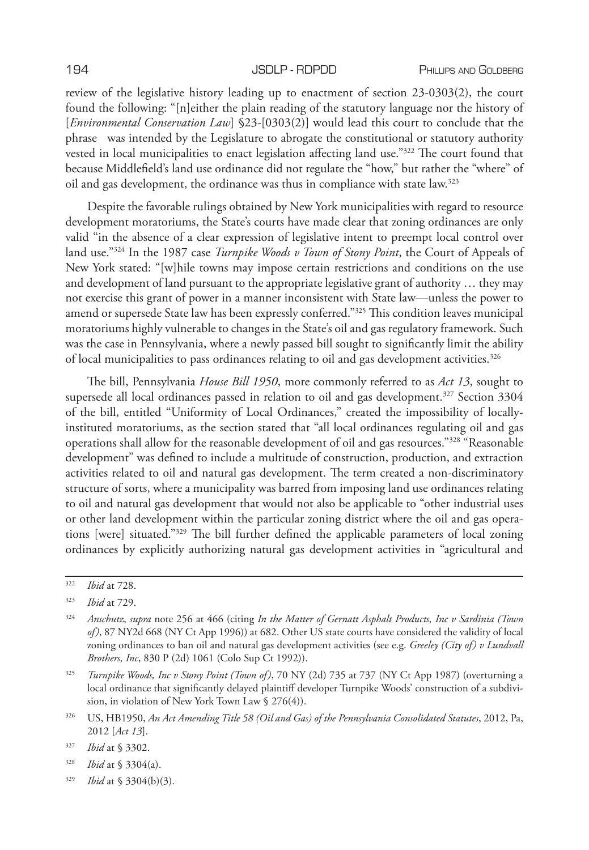review of the legislative history leading up to enactment of section 23-0303(2), the court found the following: "[n]either the plain reading of the statutory language nor the history of [*Environmental Conservation Law*] §23-[0303(2)] would lead this court to conclude that the phrase was intended by the Legislature to abrogate the constitutional or statutory authority vested in local municipalities to enact legislation affecting land use."322 The court found that because Middlefield's land use ordinance did not regulate the "how," but rather the "where" of oil and gas development, the ordinance was thus in compliance with state law.<sup>323</sup>

Despite the favorable rulings obtained by New York municipalities with regard to resource development moratoriums, the State's courts have made clear that zoning ordinances are only valid "in the absence of a clear expression of legislative intent to preempt local control over land use."324 In the 1987 case *Turnpike Woods v Town of Stony Point*, the Court of Appeals of New York stated: "[w]hile towns may impose certain restrictions and conditions on the use and development of land pursuant to the appropriate legislative grant of authority … they may not exercise this grant of power in a manner inconsistent with State law—unless the power to amend or supersede State law has been expressly conferred."<sup>325</sup> This condition leaves municipal moratoriums highly vulnerable to changes in the State's oil and gas regulatory framework. Such was the case in Pennsylvania, where a newly passed bill sought to significantly limit the ability of local municipalities to pass ordinances relating to oil and gas development activities.<sup>326</sup>

The bill, Pennsylvania *House Bill 1950*, more commonly referred to as *Act 13*, sought to supersede all local ordinances passed in relation to oil and gas development.<sup>327</sup> Section 3304 of the bill, entitled "Uniformity of Local Ordinances," created the impossibility of locallyinstituted moratoriums, as the section stated that "all local ordinances regulating oil and gas operations shall allow for the reasonable development of oil and gas resources."328 "Reasonable development" was defined to include a multitude of construction, production, and extraction activities related to oil and natural gas development. The term created a non-discriminatory structure of sorts, where a municipality was barred from imposing land use ordinances relating to oil and natural gas development that would not also be applicable to "other industrial uses or other land development within the particular zoning district where the oil and gas operations [were] situated."329 The bill further defined the applicable parameters of local zoning ordinances by explicitly authorizing natural gas development activities in "agricultural and

<sup>322</sup> *Ibid* at 728.

<sup>323</sup> *Ibid* at 729.

<sup>324</sup> *Anschutz*, *supra* note 256 at 466 (citing *In the Matter of Gernatt Asphalt Products, Inc v Sardinia (Town of)*, 87 NY2d 668 (NY Ct App 1996)) at 682. Other US state courts have considered the validity of local zoning ordinances to ban oil and natural gas development activities (see e.g. *Greeley (City of) v Lundvall Brothers, Inc*, 830 P (2d) 1061 (Colo Sup Ct 1992)).

<sup>325</sup> *Turnpike Woods, Inc v Stony Point (Town of)*, 70 NY (2d) 735 at 737 (NY Ct App 1987) (overturning a local ordinance that significantly delayed plaintiff developer Turnpike Woods' construction of a subdivision, in violation of New York Town Law § 276(4)).

<sup>326</sup> US, HB1950, *An Act Amending Title 58 (Oil and Gas) of the Pennsylvania Consolidated Statutes*, 2012, Pa, 2012 [*Act 13*].

<sup>327</sup> *Ibid* at § 3302.

<sup>328</sup> *Ibid* at § 3304(a).

<sup>329</sup> *Ibid* at § 3304(b)(3).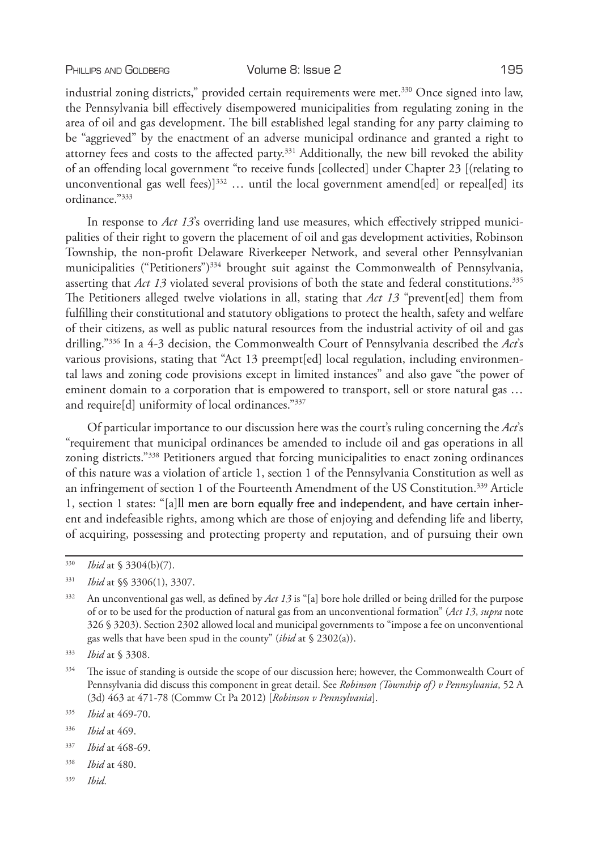industrial zoning districts," provided certain requirements were met.<sup>330</sup> Once signed into law, the Pennsylvania bill effectively disempowered municipalities from regulating zoning in the area of oil and gas development. The bill established legal standing for any party claiming to be "aggrieved" by the enactment of an adverse municipal ordinance and granted a right to attorney fees and costs to the affected party.<sup>331</sup> Additionally, the new bill revoked the ability of an offending local government "to receive funds [collected] under Chapter 23 [(relating to unconventional gas well fees)]<sup>332</sup> ... until the local government amend[ed] or repeal[ed] its ordinance."333

In response to *Act 13*'s overriding land use measures, which effectively stripped municipalities of their right to govern the placement of oil and gas development activities, Robinson Township, the non-profit Delaware Riverkeeper Network, and several other Pennsylvanian municipalities ("Petitioners")<sup>334</sup> brought suit against the Commonwealth of Pennsylvania, asserting that *Act 13* violated several provisions of both the state and federal constitutions.<sup>335</sup> The Petitioners alleged twelve violations in all, stating that *Act 13* "prevent[ed] them from fulfilling their constitutional and statutory obligations to protect the health, safety and welfare of their citizens, as well as public natural resources from the industrial activity of oil and gas drilling."336 In a 4-3 decision, the Commonwealth Court of Pennsylvania described the *Act*'s various provisions, stating that "Act 13 preempt[ed] local regulation, including environmental laws and zoning code provisions except in limited instances" and also gave "the power of eminent domain to a corporation that is empowered to transport, sell or store natural gas … and require[d] uniformity of local ordinances."337

Of particular importance to our discussion here was the court's ruling concerning the *Act*'s "requirement that municipal ordinances be amended to include oil and gas operations in all zoning districts."338 Petitioners argued that forcing municipalities to enact zoning ordinances of this nature was a violation of article 1, section 1 of the Pennsylvania Constitution as well as an infringement of section 1 of the Fourteenth Amendment of the US Constitution.339 Article 1, section 1 states: "[a]ll men are born equally free and independent, and have certain inherent and indefeasible rights, among which are those of enjoying and defending life and liberty, of acquiring, possessing and protecting property and reputation, and of pursuing their own

- <sup>338</sup> *Ibid* at 480.
- <sup>339</sup> *Ibid*.

<sup>330</sup> *Ibid* at § 3304(b)(7).

<sup>331</sup> *Ibid* at §§ 3306(1), 3307.

<sup>332</sup> An unconventional gas well, as defined by *Act 13* is "[a] bore hole drilled or being drilled for the purpose of or to be used for the production of natural gas from an unconventional formation" (*Act 13*, *supra* note 326 § 3203). Section 2302 allowed local and municipal governments to "impose a fee on unconventional gas wells that have been spud in the county" (*ibid* at § 2302(a)).

<sup>333</sup> *Ibid* at § 3308.

<sup>334</sup> The issue of standing is outside the scope of our discussion here; however, the Commonwealth Court of Pennsylvania did discuss this component in great detail. See *Robinson (Township of) v Pennsylvania*, 52 A (3d) 463 at 471-78 (Commw Ct Pa 2012) [*Robinson v Pennsylvania*].

<sup>335</sup> *Ibid* at 469-70.

<sup>336</sup> *Ibid* at 469.

<sup>337</sup> *Ibid* at 468-69.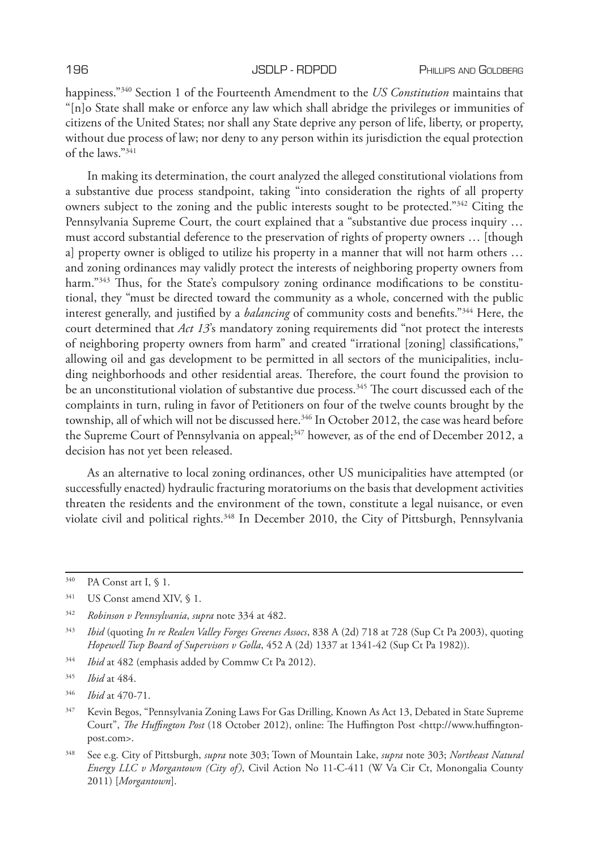happiness."340 Section 1 of the Fourteenth Amendment to the *US Constitution* maintains that "[n]o State shall make or enforce any law which shall abridge the privileges or immunities of citizens of the United States; nor shall any State deprive any person of life, liberty, or property, without due process of law; nor deny to any person within its jurisdiction the equal protection of the laws."341

In making its determination, the court analyzed the alleged constitutional violations from a substantive due process standpoint, taking "into consideration the rights of all property owners subject to the zoning and the public interests sought to be protected."342 Citing the Pennsylvania Supreme Court, the court explained that a "substantive due process inquiry … must accord substantial deference to the preservation of rights of property owners … [though a] property owner is obliged to utilize his property in a manner that will not harm others … and zoning ordinances may validly protect the interests of neighboring property owners from harm."<sup>343</sup> Thus, for the State's compulsory zoning ordinance modifications to be constitutional, they "must be directed toward the community as a whole, concerned with the public interest generally, and justified by a *balancing* of community costs and benefits."344 Here, the court determined that *Act 13*'s mandatory zoning requirements did "not protect the interests of neighboring property owners from harm" and created "irrational [zoning] classifications," allowing oil and gas development to be permitted in all sectors of the municipalities, including neighborhoods and other residential areas. Therefore, the court found the provision to be an unconstitutional violation of substantive due process.<sup>345</sup> The court discussed each of the complaints in turn, ruling in favor of Petitioners on four of the twelve counts brought by the township, all of which will not be discussed here.<sup>346</sup> In October 2012, the case was heard before the Supreme Court of Pennsylvania on appeal;<sup>347</sup> however, as of the end of December 2012, a decision has not yet been released.

As an alternative to local zoning ordinances, other US municipalities have attempted (or successfully enacted) hydraulic fracturing moratoriums on the basis that development activities threaten the residents and the environment of the town, constitute a legal nuisance, or even violate civil and political rights.<sup>348</sup> In December 2010, the City of Pittsburgh, Pennsylvania

<sup>344</sup> *Ibid* at 482 (emphasis added by Commw Ct Pa 2012).

<sup>340</sup> PA Const art I, § 1.

<sup>341</sup> US Const amend XIV, § 1.

<sup>342</sup> *Robinson v Pennsylvania*, *supra* note 334 at 482.

<sup>343</sup> *Ibid* (quoting *In re Realen Valley Forges Greenes Assocs*, 838 A (2d) 718 at 728 (Sup Ct Pa 2003), quoting *Hopewell Twp Board of Supervisors v Golla*, 452 A (2d) 1337 at 1341-42 (Sup Ct Pa 1982)).

<sup>345</sup> *Ibid* at 484.

<sup>346</sup> *Ibid* at 470-71.

<sup>347</sup> Kevin Begos, "Pennsylvania Zoning Laws For Gas Drilling, Known As Act 13, Debated in State Supreme Court", *The Huffington Post* (18 October 2012), online: The Huffington Post <http://www.huffingtonpost.com>.

<sup>348</sup> See e.g. City of Pittsburgh, *supra* note 303; Town of Mountain Lake, *supra* note 303; *Northeast Natural Energy LLC v Morgantown (City of)*, Civil Action No 11-C-411 (W Va Cir Ct, Monongalia County 2011) [*Morgantown*].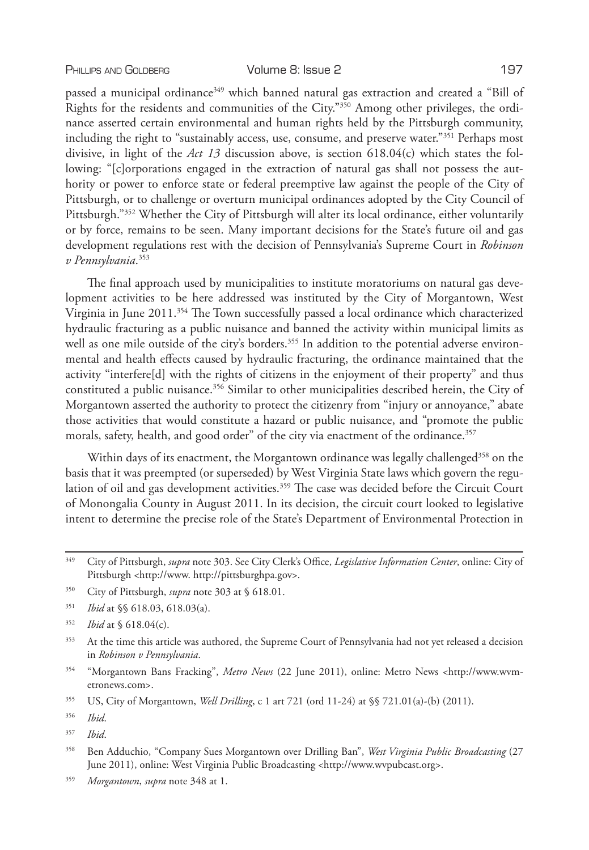passed a municipal ordinance<sup>349</sup> which banned natural gas extraction and created a "Bill of Rights for the residents and communities of the City."350 Among other privileges, the ordinance asserted certain environmental and human rights held by the Pittsburgh community, including the right to "sustainably access, use, consume, and preserve water."<sup>351</sup> Perhaps most divisive, in light of the *Act 13* discussion above, is section 618.04(c) which states the following: "[c]orporations engaged in the extraction of natural gas shall not possess the authority or power to enforce state or federal preemptive law against the people of the City of Pittsburgh, or to challenge or overturn municipal ordinances adopted by the City Council of Pittsburgh."352 Whether the City of Pittsburgh will alter its local ordinance, either voluntarily or by force, remains to be seen. Many important decisions for the State's future oil and gas development regulations rest with the decision of Pennsylvania's Supreme Court in *Robinson v Pennsylvania*. 353

The final approach used by municipalities to institute moratoriums on natural gas development activities to be here addressed was instituted by the City of Morgantown, West Virginia in June 2011.354 The Town successfully passed a local ordinance which characterized hydraulic fracturing as a public nuisance and banned the activity within municipal limits as well as one mile outside of the city's borders.<sup>355</sup> In addition to the potential adverse environmental and health effects caused by hydraulic fracturing, the ordinance maintained that the activity "interfere[d] with the rights of citizens in the enjoyment of their property" and thus constituted a public nuisance.356 Similar to other municipalities described herein, the City of Morgantown asserted the authority to protect the citizenry from "injury or annoyance," abate those activities that would constitute a hazard or public nuisance, and "promote the public morals, safety, health, and good order" of the city via enactment of the ordinance.<sup>357</sup>

Within days of its enactment, the Morgantown ordinance was legally challenged<sup>358</sup> on the basis that it was preempted (or superseded) by West Virginia State laws which govern the regulation of oil and gas development activities.<sup>359</sup> The case was decided before the Circuit Court of Monongalia County in August 2011. In its decision, the circuit court looked to legislative intent to determine the precise role of the State's Department of Environmental Protection in

<sup>349</sup> City of Pittsburgh, *supra* note 303. See City Clerk's Office, *Legislative Information Center*, online: City of Pittsburgh <http://www. http://pittsburghpa.gov>.

<sup>350</sup> City of Pittsburgh, *supra* note 303 at § 618.01.

<sup>351</sup> *Ibid* at §§ 618.03, 618.03(a).

<sup>352</sup> *Ibid* at § 618.04(c).

<sup>353</sup> At the time this article was authored, the Supreme Court of Pennsylvania had not yet released a decision in *Robinson v Pennsylvania*.

<sup>354</sup> "Morgantown Bans Fracking", *Metro News* (22 June 2011), online: Metro News <http://www.wvmetronews.com>.

<sup>355</sup> US, City of Morgantown, *Well Drilling*, c 1 art 721 (ord 11-24) at §§ 721.01(a)-(b) (2011).

<sup>356</sup> *Ibid*.

<sup>357</sup> *Ibid*.

<sup>358</sup> Ben Adduchio, "Company Sues Morgantown over Drilling Ban", *West Virginia Public Broadcasting* (27 June 2011), online: West Virginia Public Broadcasting <http://www.wvpubcast.org>.

<sup>359</sup> *Morgantown*, *supra* note 348 at 1.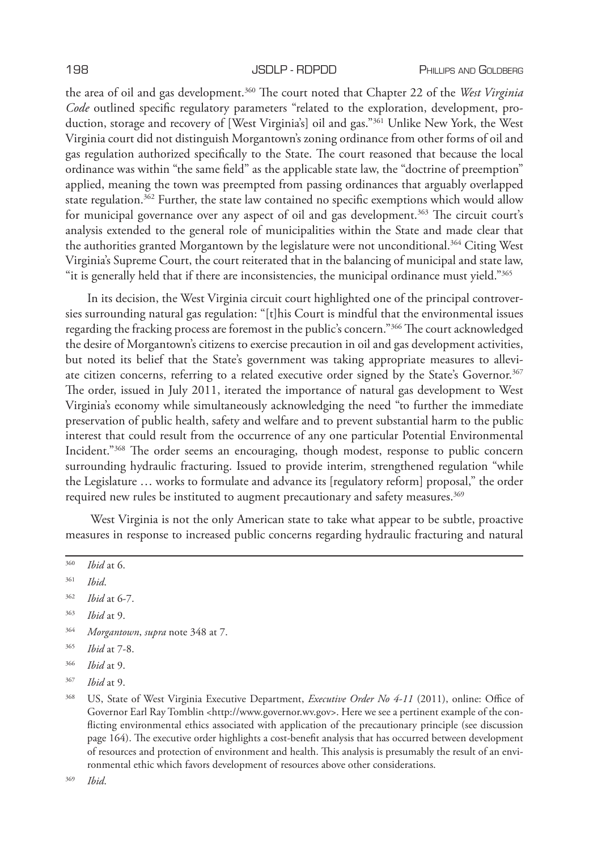the area of oil and gas development.360 The court noted that Chapter 22 of the *West Virginia Code* outlined specific regulatory parameters "related to the exploration, development, production, storage and recovery of [West Virginia's] oil and gas."361 Unlike New York, the West Virginia court did not distinguish Morgantown's zoning ordinance from other forms of oil and gas regulation authorized specifically to the State. The court reasoned that because the local ordinance was within "the same field" as the applicable state law, the "doctrine of preemption" applied, meaning the town was preempted from passing ordinances that arguably overlapped state regulation.<sup>362</sup> Further, the state law contained no specific exemptions which would allow for municipal governance over any aspect of oil and gas development.<sup>363</sup> The circuit court's analysis extended to the general role of municipalities within the State and made clear that the authorities granted Morgantown by the legislature were not unconditional.364 Citing West Virginia's Supreme Court, the court reiterated that in the balancing of municipal and state law, "it is generally held that if there are inconsistencies, the municipal ordinance must yield."365

In its decision, the West Virginia circuit court highlighted one of the principal controversies surrounding natural gas regulation: "[t]his Court is mindful that the environmental issues regarding the fracking process are foremost in the public's concern."366 The court acknowledged the desire of Morgantown's citizens to exercise precaution in oil and gas development activities, but noted its belief that the State's government was taking appropriate measures to alleviate citizen concerns, referring to a related executive order signed by the State's Governor.367 The order, issued in July 2011, iterated the importance of natural gas development to West Virginia's economy while simultaneously acknowledging the need "to further the immediate preservation of public health, safety and welfare and to prevent substantial harm to the public interest that could result from the occurrence of any one particular Potential Environmental Incident."368 The order seems an encouraging, though modest, response to public concern surrounding hydraulic fracturing. Issued to provide interim, strengthened regulation "while the Legislature … works to formulate and advance its [regulatory reform] proposal," the order required new rules be instituted to augment precautionary and safety measures.<sup>369</sup>

 West Virginia is not the only American state to take what appear to be subtle, proactive measures in response to increased public concerns regarding hydraulic fracturing and natural

- <sup>360</sup> *Ibid* at 6.
- <sup>361</sup> *Ibid*.

- <sup>363</sup> *Ibid* at 9.
- <sup>364</sup> *Morgantown*, *supra* note 348 at 7.
- <sup>365</sup> *Ibid* at 7-8.
- <sup>366</sup> *Ibid* at 9.
- <sup>367</sup> *Ibid* at 9.

<sup>369</sup> *Ibid*.

<sup>362</sup> *Ibid* at 6-7.

<sup>368</sup> US, State of West Virginia Executive Department, *Executive Order No 4-11* (2011), online: Office of Governor Earl Ray Tomblin <http://www.governor.wv.gov>. Here we see a pertinent example of the conflicting environmental ethics associated with application of the precautionary principle (see discussion page 164). The executive order highlights a cost-benefit analysis that has occurred between development of resources and protection of environment and health. This analysis is presumably the result of an environmental ethic which favors development of resources above other considerations.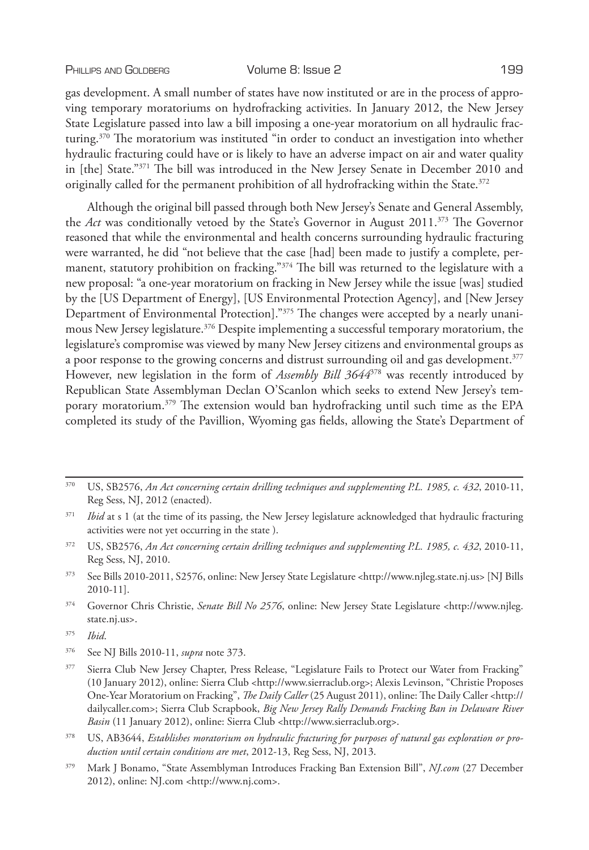gas development. A small number of states have now instituted or are in the process of approving temporary moratoriums on hydrofracking activities. In January 2012, the New Jersey State Legislature passed into law a bill imposing a one-year moratorium on all hydraulic fracturing.370 The moratorium was instituted "in order to conduct an investigation into whether hydraulic fracturing could have or is likely to have an adverse impact on air and water quality in [the] State."371 The bill was introduced in the New Jersey Senate in December 2010 and originally called for the permanent prohibition of all hydrofracking within the State. $372$ 

Although the original bill passed through both New Jersey's Senate and General Assembly, the *Act* was conditionally vetoed by the State's Governor in August 2011.373 The Governor reasoned that while the environmental and health concerns surrounding hydraulic fracturing were warranted, he did "not believe that the case [had] been made to justify a complete, permanent, statutory prohibition on fracking." $374$  The bill was returned to the legislature with a new proposal: "a one-year moratorium on fracking in New Jersey while the issue [was] studied by the [US Department of Energy], [US Environmental Protection Agency], and [New Jersey Department of Environmental Protection]."375 The changes were accepted by a nearly unanimous New Jersey legislature.376 Despite implementing a successful temporary moratorium, the legislature's compromise was viewed by many New Jersey citizens and environmental groups as a poor response to the growing concerns and distrust surrounding oil and gas development.<sup>377</sup> However, new legislation in the form of *Assembly Bill 3644*378 was recently introduced by Republican State Assemblyman Declan O'Scanlon which seeks to extend New Jersey's temporary moratorium.379 The extension would ban hydrofracking until such time as the EPA completed its study of the Pavillion, Wyoming gas fields, allowing the State's Department of

<sup>372</sup> US, SB2576, *An Act concerning certain drilling techniques and supplementing P.L. 1985, c. 432*, 2010-11, Reg Sess, NJ, 2010.

<sup>370</sup> US, SB2576, *An Act concerning certain drilling techniques and supplementing P.L. 1985, c. 432*, 2010-11, Reg Sess, NJ, 2012 (enacted).

<sup>&</sup>lt;sup>371</sup> *Ibid* at s 1 (at the time of its passing, the New Jersey legislature acknowledged that hydraulic fracturing activities were not yet occurring in the state ).

<sup>373</sup> See Bills 2010-2011, S2576, online: New Jersey State Legislature <http://www.njleg.state.nj.us> [NJ Bills 2010-11].

<sup>374</sup> Governor Chris Christie, *Senate Bill No 2576*, online: New Jersey State Legislature <http://www.njleg. state.nj.us>.

<sup>375</sup> *Ibid*.

<sup>376</sup> See NJ Bills 2010-11, *supra* note 373.

<sup>&</sup>lt;sup>377</sup> Sierra Club New Jersey Chapter, Press Release, "Legislature Fails to Protect our Water from Fracking" (10 January 2012), online: Sierra Club <http://www.sierraclub.org>; Alexis Levinson, "Christie Proposes One-Year Moratorium on Fracking", *The Daily Caller* (25 August 2011), online: The Daily Caller <http:// dailycaller.com>; Sierra Club Scrapbook, *Big New Jersey Rally Demands Fracking Ban in Delaware River Basin* (11 January 2012), online: Sierra Club <http://www.sierraclub.org>.

<sup>378</sup> US, AB3644, *Establishes moratorium on hydraulic fracturing for purposes of natural gas exploration or production until certain conditions are met*, 2012-13, Reg Sess, NJ, 2013.

<sup>379</sup> Mark J Bonamo, "State Assemblyman Introduces Fracking Ban Extension Bill", *NJ.com* (27 December 2012), online: NJ.com <http://www.nj.com>.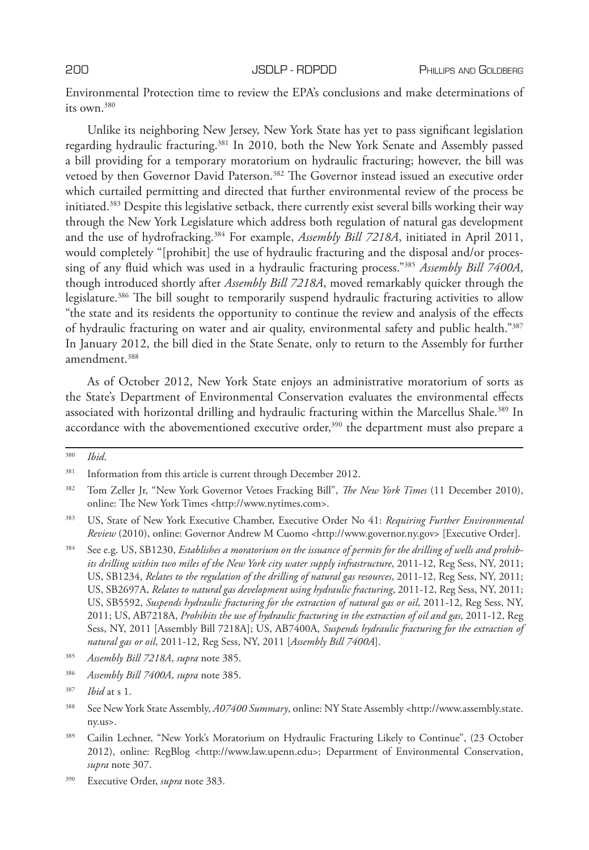Environmental Protection time to review the EPA's conclusions and make determinations of its own.380

Unlike its neighboring New Jersey, New York State has yet to pass significant legislation regarding hydraulic fracturing.381 In 2010, both the New York Senate and Assembly passed a bill providing for a temporary moratorium on hydraulic fracturing; however, the bill was vetoed by then Governor David Paterson.382 The Governor instead issued an executive order which curtailed permitting and directed that further environmental review of the process be initiated.383 Despite this legislative setback, there currently exist several bills working their way through the New York Legislature which address both regulation of natural gas development and the use of hydrofracking.384 For example, *Assembly Bill 7218A*, initiated in April 2011, would completely "[prohibit] the use of hydraulic fracturing and the disposal and/or processing of any fluid which was used in a hydraulic fracturing process."385 *Assembly Bill 7400A*, though introduced shortly after *Assembly Bill 7218A*, moved remarkably quicker through the legislature.<sup>386</sup> The bill sought to temporarily suspend hydraulic fracturing activities to allow "the state and its residents the opportunity to continue the review and analysis of the effects of hydraulic fracturing on water and air quality, environmental safety and public health."387 In January 2012, the bill died in the State Senate, only to return to the Assembly for further amendment.<sup>388</sup>

As of October 2012, New York State enjoys an administrative moratorium of sorts as the State's Department of Environmental Conservation evaluates the environmental effects associated with horizontal drilling and hydraulic fracturing within the Marcellus Shale.<sup>389</sup> In accordance with the abovementioned executive order, $390$  the department must also prepare a

<sup>380</sup> *Ibid*.

<sup>&</sup>lt;sup>381</sup> Information from this article is current through December 2012.

<sup>382</sup> Tom Zeller Jr, "New York Governor Vetoes Fracking Bill", *The New York Times* (11 December 2010), online: The New York Times <http://www.nytimes.com>.

<sup>383</sup> US, State of New York Executive Chamber, Executive Order No 41: *Requiring Further Environmental Review* (2010), online: Governor Andrew M Cuomo <http://www.governor.ny.gov> [Executive Order].

<sup>384</sup> See e.g. US, SB1230, *Establishes a moratorium on the issuance of permits for the drilling of wells and prohibits drilling within two miles of the New York city water supply infrastructure*, 2011-12, Reg Sess, NY, 2011; US, SB1234, *Relates to the regulation of the drilling of natural gas resources*, 2011-12, Reg Sess, NY, 2011; US, SB2697A, *Relates to natural gas development using hydraulic fracturing*, 2011-12, Reg Sess, NY, 2011; US, SB5592, *Suspends hydraulic fracturing for the extraction of natural gas or oil*, 2011-12, Reg Sess, NY, 2011; US, AB7218A, *Prohibits the use of hydraulic fracturing in the extraction of oil and gas*, 2011-12, Reg Sess, NY, 2011 [Assembly Bill 7218A]; US, AB7400A, *Suspends hydraulic fracturing for the extraction of natural gas or oil*, 2011-12, Reg Sess, NY, 2011 [*Assembly Bill 7400A*].

<sup>385</sup> *Assembly Bill 7218A*, *supra* note 385.

<sup>386</sup> *Assembly Bill 7400A*, *supra* note 385.

<sup>387</sup> *Ibid* at s 1.

<sup>388</sup> See New York State Assembly, *A07400 Summary*, online: NY State Assembly <http://www.assembly.state. ny.us>.

<sup>&</sup>lt;sup>389</sup> Cailin Lechner, "New York's Moratorium on Hydraulic Fracturing Likely to Continue", (23 October 2012), online: RegBlog <http://www.law.upenn.edu>; Department of Environmental Conservation, *supra* note 307.

<sup>390</sup> Executive Order, *supra* note 383.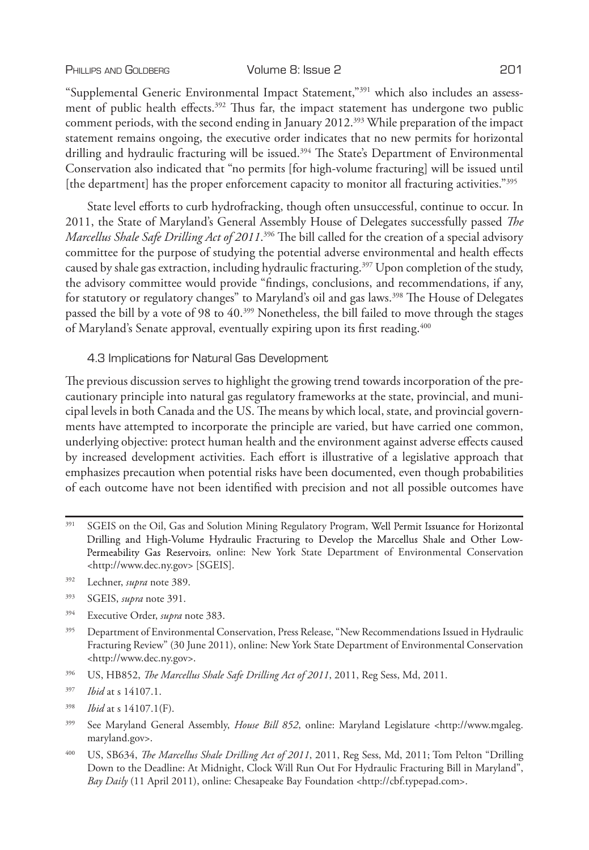### PHILLIPS AND GOLDBERG **Volume 8: Issue 2** 201

"Supplemental Generic Environmental Impact Statement,"391 which also includes an assessment of public health effects.<sup>392</sup> Thus far, the impact statement has undergone two public comment periods, with the second ending in January 2012.393 While preparation of the impact statement remains ongoing, the executive order indicates that no new permits for horizontal drilling and hydraulic fracturing will be issued.<sup>394</sup> The State's Department of Environmental Conservation also indicated that "no permits [for high-volume fracturing] will be issued until [the department] has the proper enforcement capacity to monitor all fracturing activities."395

State level efforts to curb hydrofracking, though often unsuccessful, continue to occur. In 2011, the State of Maryland's General Assembly House of Delegates successfully passed *The Marcellus Shale Safe Drilling Act of 2011*. 396 The bill called for the creation of a special advisory committee for the purpose of studying the potential adverse environmental and health effects caused by shale gas extraction, including hydraulic fracturing.397 Upon completion of the study, the advisory committee would provide "findings, conclusions, and recommendations, if any, for statutory or regulatory changes" to Maryland's oil and gas laws.<sup>398</sup> The House of Delegates passed the bill by a vote of 98 to 40.<sup>399</sup> Nonetheless, the bill failed to move through the stages of Maryland's Senate approval, eventually expiring upon its first reading.<sup>400</sup>

# 4.3 Implications for Natural Gas Development

The previous discussion serves to highlight the growing trend towards incorporation of the precautionary principle into natural gas regulatory frameworks at the state, provincial, and municipal levels in both Canada and the US. The means by which local, state, and provincial governments have attempted to incorporate the principle are varied, but have carried one common, underlying objective: protect human health and the environment against adverse effects caused by increased development activities. Each effort is illustrative of a legislative approach that emphasizes precaution when potential risks have been documented, even though probabilities of each outcome have not been identified with precision and not all possible outcomes have

- <sup>391</sup> SGEIS on the Oil, Gas and Solution Mining Regulatory Program, Well Permit Issuance for Horizontal Drilling and High-Volume Hydraulic Fracturing to Develop the Marcellus Shale and Other Low-Permeability Gas Reservoirs, online: New York State Department of Environmental Conservation <http://www.dec.ny.gov> [SGEIS].
- <sup>392</sup> Lechner, *supra* note 389.
- <sup>393</sup> SGEIS, *supra* note 391.
- <sup>394</sup> Executive Order, *supra* note 383.
- <sup>395</sup> Department of Environmental Conservation, Press Release, "New Recommendations Issued in Hydraulic Fracturing Review" (30 June 2011), online: New York State Department of Environmental Conservation <http://www.dec.ny.gov>.
- <sup>396</sup> US, HB852, *The Marcellus Shale Safe Drilling Act of 2011*, 2011, Reg Sess, Md, 2011.
- <sup>397</sup> *Ibid* at s 14107.1.
- <sup>398</sup> *Ibid* at s 14107.1(F).
- <sup>399</sup> See Maryland General Assembly, *House Bill 852*, online: Maryland Legislature <http://www.mgaleg. maryland.gov>.
- <sup>400</sup> US, SB634, *The Marcellus Shale Drilling Act of 2011*, 2011, Reg Sess, Md, 2011; Tom Pelton "Drilling Down to the Deadline: At Midnight, Clock Will Run Out For Hydraulic Fracturing Bill in Maryland", *Bay Daily* (11 April 2011), online: Chesapeake Bay Foundation <http://cbf.typepad.com>.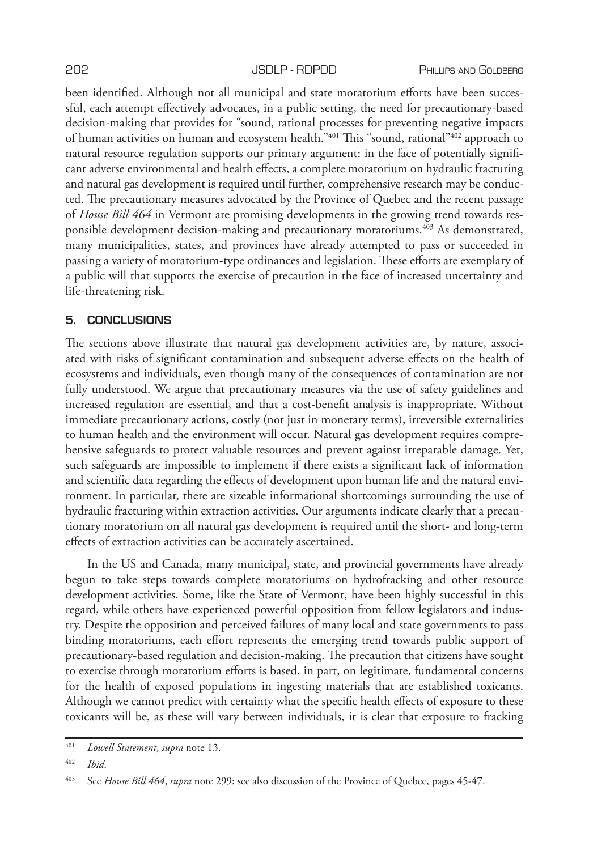been identified. Although not all municipal and state moratorium efforts have been successful, each attempt effectively advocates, in a public setting, the need for precautionary-based decision-making that provides for "sound, rational processes for preventing negative impacts of human activities on human and ecosystem health."401 This "sound, rational"402 approach to natural resource regulation supports our primary argument: in the face of potentially significant adverse environmental and health effects, a complete moratorium on hydraulic fracturing and natural gas development is required until further, comprehensive research may be conducted. The precautionary measures advocated by the Province of Quebec and the recent passage of *House Bill 464* in Vermont are promising developments in the growing trend towards responsible development decision-making and precautionary moratoriums.<sup>403</sup> As demonstrated, many municipalities, states, and provinces have already attempted to pass or succeeded in passing a variety of moratorium-type ordinances and legislation. These efforts are exemplary of a public will that supports the exercise of precaution in the face of increased uncertainty and life-threatening risk.

# **5. CONCLUSIONS**

The sections above illustrate that natural gas development activities are, by nature, associated with risks of significant contamination and subsequent adverse effects on the health of ecosystems and individuals, even though many of the consequences of contamination are not fully understood. We argue that precautionary measures via the use of safety guidelines and increased regulation are essential, and that a cost-benefit analysis is inappropriate. Without immediate precautionary actions, costly (not just in monetary terms), irreversible externalities to human health and the environment will occur. Natural gas development requires comprehensive safeguards to protect valuable resources and prevent against irreparable damage. Yet, such safeguards are impossible to implement if there exists a significant lack of information and scientific data regarding the effects of development upon human life and the natural environment. In particular, there are sizeable informational shortcomings surrounding the use of hydraulic fracturing within extraction activities. Our arguments indicate clearly that a precautionary moratorium on all natural gas development is required until the short- and long-term effects of extraction activities can be accurately ascertained.

In the US and Canada, many municipal, state, and provincial governments have already begun to take steps towards complete moratoriums on hydrofracking and other resource development activities. Some, like the State of Vermont, have been highly successful in this regard, while others have experienced powerful opposition from fellow legislators and industry. Despite the opposition and perceived failures of many local and state governments to pass binding moratoriums, each effort represents the emerging trend towards public support of precautionary-based regulation and decision-making. The precaution that citizens have sought to exercise through moratorium efforts is based, in part, on legitimate, fundamental concerns for the health of exposed populations in ingesting materials that are established toxicants. Although we cannot predict with certainty what the specific health effects of exposure to these toxicants will be, as these will vary between individuals, it is clear that exposure to fracking

<sup>401</sup> *Lowell Statement*, *supra* note 13.

<sup>402</sup> *Ibid*.

<sup>403</sup> See *House Bill 464*, *supra* note 299; see also discussion of the Province of Quebec, pages 45-47.